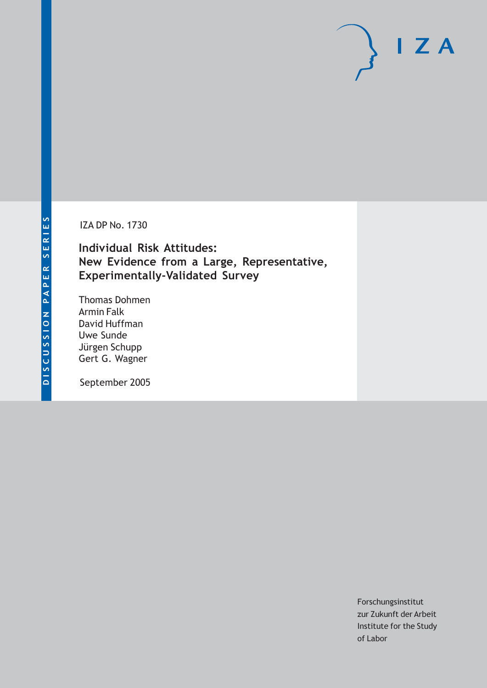**IZA DP No. 1730** 

**Individual Risk Attitudes:** New Evidence from a Large, Representative, **Experimentally-Validated Survey** 

**Thomas Dohmen Armin Falk** David Huffman Uwe Sunde Jürgen Schupp Gert G. Wagner

September 2005

Forschungsinstitut zur Zukunft der Arbeit Institute for the Study of Labor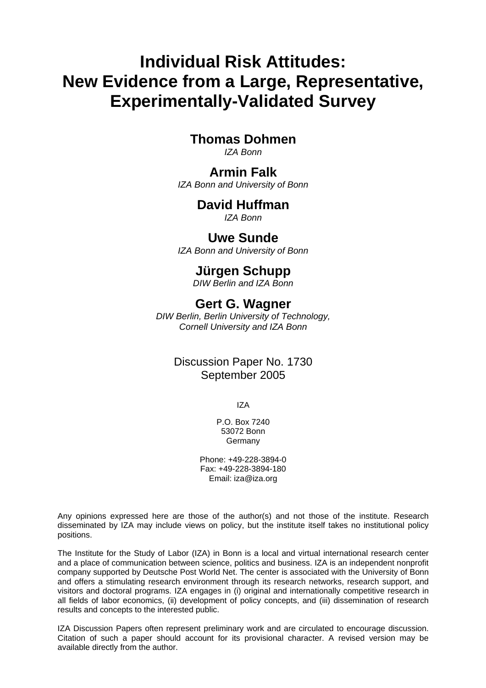# **Individual Risk Attitudes: New Evidence from a Large, Representative, Experimentally-Validated Survey**

# **Thomas Dohmen**

*IZA Bonn* 

### **Armin Falk**

*IZA Bonn and University of Bonn* 

# **David Huffman**

*IZA Bonn* 

### **Uwe Sunde**

*IZA Bonn and University of Bonn* 

# **Jürgen Schupp**

*DIW Berlin and IZA Bonn* 

# **Gert G. Wagner**

*DIW Berlin, Berlin University of Technology, Cornell University and IZA Bonn* 

# Discussion Paper No. 1730 September 2005

IZA

P.O. Box 7240 53072 Bonn Germany

Phone: +49-228-3894-0 Fax: +49-228-3894-180 Email: [iza@iza.org](mailto:iza@iza.org)

Any opinions expressed here are those of the author(s) and not those of the institute. Research disseminated by IZA may include views on policy, but the institute itself takes no institutional policy positions.

The Institute for the Study of Labor (IZA) in Bonn is a local and virtual international research center and a place of communication between science, politics and business. IZA is an independent nonprofit company supported by Deutsche Post World Net. The center is associated with the University of Bonn and offers a stimulating research environment through its research networks, research support, and visitors and doctoral programs. IZA engages in (i) original and internationally competitive research in all fields of labor economics, (ii) development of policy concepts, and (iii) dissemination of research results and concepts to the interested public.

IZA Discussion Papers often represent preliminary work and are circulated to encourage discussion. Citation of such a paper should account for its provisional character. A revised version may be available directly from the author.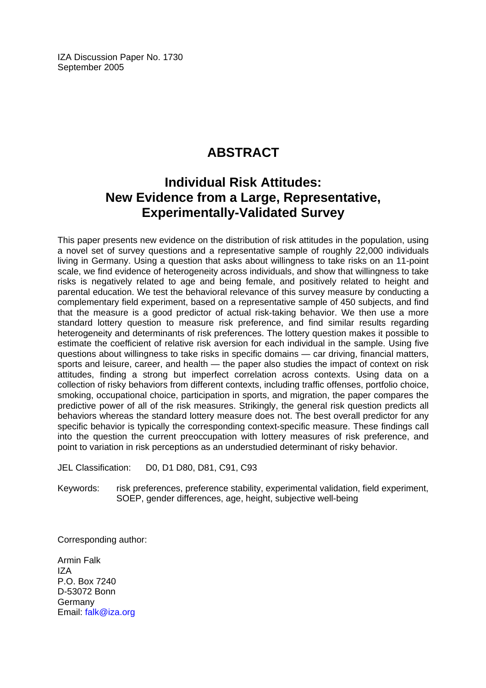IZA Discussion Paper No. 1730 September 2005

# **ABSTRACT**

# **Individual Risk Attitudes: New Evidence from a Large, Representative, Experimentally-Validated Survey**

This paper presents new evidence on the distribution of risk attitudes in the population, using a novel set of survey questions and a representative sample of roughly 22,000 individuals living in Germany. Using a question that asks about willingness to take risks on an 11-point scale, we find evidence of heterogeneity across individuals, and show that willingness to take risks is negatively related to age and being female, and positively related to height and parental education. We test the behavioral relevance of this survey measure by conducting a complementary field experiment, based on a representative sample of 450 subjects, and find that the measure is a good predictor of actual risk-taking behavior. We then use a more standard lottery question to measure risk preference, and find similar results regarding heterogeneity and determinants of risk preferences. The lottery question makes it possible to estimate the coefficient of relative risk aversion for each individual in the sample. Using five questions about willingness to take risks in specific domains — car driving, financial matters, sports and leisure, career, and health — the paper also studies the impact of context on risk attitudes, finding a strong but imperfect correlation across contexts. Using data on a collection of risky behaviors from different contexts, including traffic offenses, portfolio choice, smoking, occupational choice, participation in sports, and migration, the paper compares the predictive power of all of the risk measures. Strikingly, the general risk question predicts all behaviors whereas the standard lottery measure does not. The best overall predictor for any specific behavior is typically the corresponding context-specific measure. These findings call into the question the current preoccupation with lottery measures of risk preference, and point to variation in risk perceptions as an understudied determinant of risky behavior.

JEL Classification: D0, D1 D80, D81, C91, C93

Keywords: risk preferences, preference stability, experimental validation, field experiment, SOEP, gender differences, age, height, subjective well-being

Corresponding author:

Armin Falk IZA P.O. Box 7240 D-53072 Bonn Germany Email: [falk@iza.org](mailto:falk@iza.org)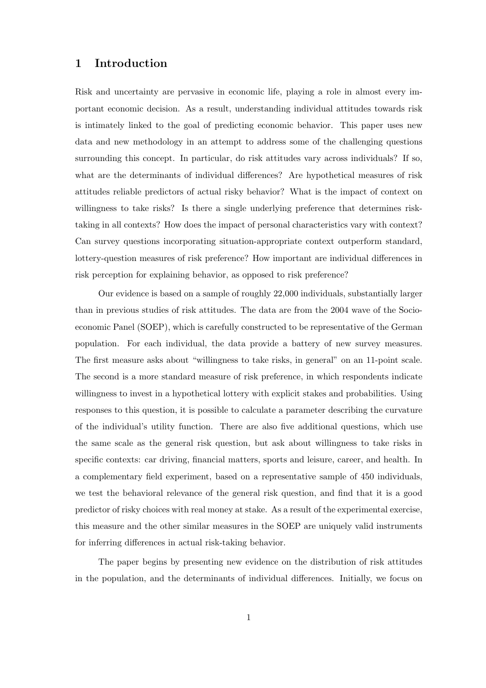#### **1 Introduction**

Risk and uncertainty are pervasive in economic life, playing a role in almost every important economic decision. As a result, understanding individual attitudes towards risk is intimately linked to the goal of predicting economic behavior. This paper uses new data and new methodology in an attempt to address some of the challenging questions surrounding this concept. In particular, do risk attitudes vary across individuals? If so, what are the determinants of individual differences? Are hypothetical measures of risk attitudes reliable predictors of actual risky behavior? What is the impact of context on willingness to take risks? Is there a single underlying preference that determines risktaking in all contexts? How does the impact of personal characteristics vary with context? Can survey questions incorporating situation-appropriate context outperform standard, lottery-question measures of risk preference? How important are individual differences in risk perception for explaining behavior, as opposed to risk preference?

Our evidence is based on a sample of roughly 22,000 individuals, substantially larger than in previous studies of risk attitudes. The data are from the 2004 wave of the Socioeconomic Panel (SOEP), which is carefully constructed to be representative of the German population. For each individual, the data provide a battery of new survey measures. The first measure asks about "willingness to take risks, in general" on an 11-point scale. The second is a more standard measure of risk preference, in which respondents indicate willingness to invest in a hypothetical lottery with explicit stakes and probabilities. Using responses to this question, it is possible to calculate a parameter describing the curvature of the individual's utility function. There are also five additional questions, which use the same scale as the general risk question, but ask about willingness to take risks in specific contexts: car driving, financial matters, sports and leisure, career, and health. In a complementary field experiment, based on a representative sample of 450 individuals, we test the behavioral relevance of the general risk question, and find that it is a good predictor of risky choices with real money at stake. As a result of the experimental exercise, this measure and the other similar measures in the SOEP are uniquely valid instruments for inferring differences in actual risk-taking behavior.

The paper begins by presenting new evidence on the distribution of risk attitudes in the population, and the determinants of individual differences. Initially, we focus on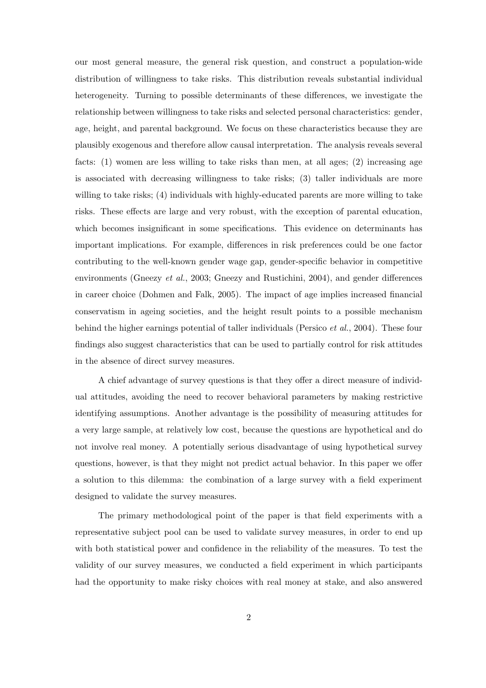our most general measure, the general risk question, and construct a population-wide distribution of willingness to take risks. This distribution reveals substantial individual heterogeneity. Turning to possible determinants of these differences, we investigate the relationship between willingness to take risks and selected personal characteristics: gender, age, height, and parental background. We focus on these characteristics because they are plausibly exogenous and therefore allow causal interpretation. The analysis reveals several facts: (1) women are less willing to take risks than men, at all ages; (2) increasing age is associated with decreasing willingness to take risks; (3) taller individuals are more willing to take risks; (4) individuals with highly-educated parents are more willing to take risks. These effects are large and very robust, with the exception of parental education, which becomes insignificant in some specifications. This evidence on determinants has important implications. For example, differences in risk preferences could be one factor contributing to the well-known gender wage gap, gender-specific behavior in competitive environments (Gneezy *et al.*, 2003; Gneezy and Rustichini, 2004), and gender differences in career choice (Dohmen and Falk, 2005). The impact of age implies increased financial conservatism in ageing societies, and the height result points to a possible mechanism behind the higher earnings potential of taller individuals (Persico *et al.*, 2004). These four findings also suggest characteristics that can be used to partially control for risk attitudes in the absence of direct survey measures.

A chief advantage of survey questions is that they offer a direct measure of individual attitudes, avoiding the need to recover behavioral parameters by making restrictive identifying assumptions. Another advantage is the possibility of measuring attitudes for a very large sample, at relatively low cost, because the questions are hypothetical and do not involve real money. A potentially serious disadvantage of using hypothetical survey questions, however, is that they might not predict actual behavior. In this paper we offer a solution to this dilemma: the combination of a large survey with a field experiment designed to validate the survey measures.

The primary methodological point of the paper is that field experiments with a representative subject pool can be used to validate survey measures, in order to end up with both statistical power and confidence in the reliability of the measures. To test the validity of our survey measures, we conducted a field experiment in which participants had the opportunity to make risky choices with real money at stake, and also answered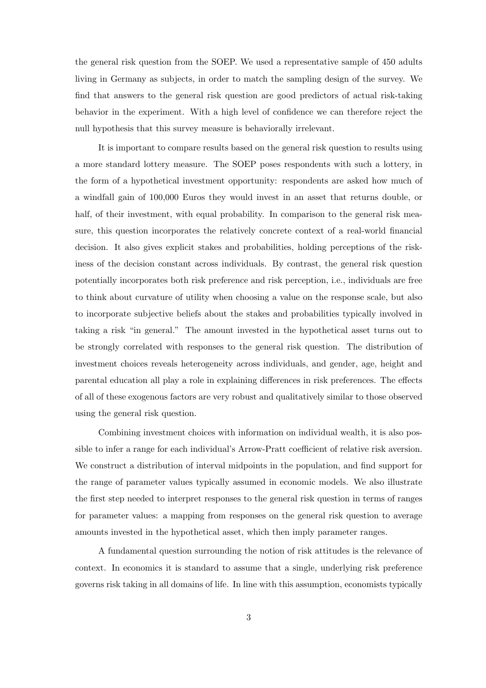the general risk question from the SOEP. We used a representative sample of 450 adults living in Germany as subjects, in order to match the sampling design of the survey. We find that answers to the general risk question are good predictors of actual risk-taking behavior in the experiment. With a high level of confidence we can therefore reject the null hypothesis that this survey measure is behaviorally irrelevant.

It is important to compare results based on the general risk question to results using a more standard lottery measure. The SOEP poses respondents with such a lottery, in the form of a hypothetical investment opportunity: respondents are asked how much of a windfall gain of 100,000 Euros they would invest in an asset that returns double, or half, of their investment, with equal probability. In comparison to the general risk measure, this question incorporates the relatively concrete context of a real-world financial decision. It also gives explicit stakes and probabilities, holding perceptions of the riskiness of the decision constant across individuals. By contrast, the general risk question potentially incorporates both risk preference and risk perception, i.e., individuals are free to think about curvature of utility when choosing a value on the response scale, but also to incorporate subjective beliefs about the stakes and probabilities typically involved in taking a risk "in general." The amount invested in the hypothetical asset turns out to be strongly correlated with responses to the general risk question. The distribution of investment choices reveals heterogeneity across individuals, and gender, age, height and parental education all play a role in explaining differences in risk preferences. The effects of all of these exogenous factors are very robust and qualitatively similar to those observed using the general risk question.

Combining investment choices with information on individual wealth, it is also possible to infer a range for each individual's Arrow-Pratt coefficient of relative risk aversion. We construct a distribution of interval midpoints in the population, and find support for the range of parameter values typically assumed in economic models. We also illustrate the first step needed to interpret responses to the general risk question in terms of ranges for parameter values: a mapping from responses on the general risk question to average amounts invested in the hypothetical asset, which then imply parameter ranges.

A fundamental question surrounding the notion of risk attitudes is the relevance of context. In economics it is standard to assume that a single, underlying risk preference governs risk taking in all domains of life. In line with this assumption, economists typically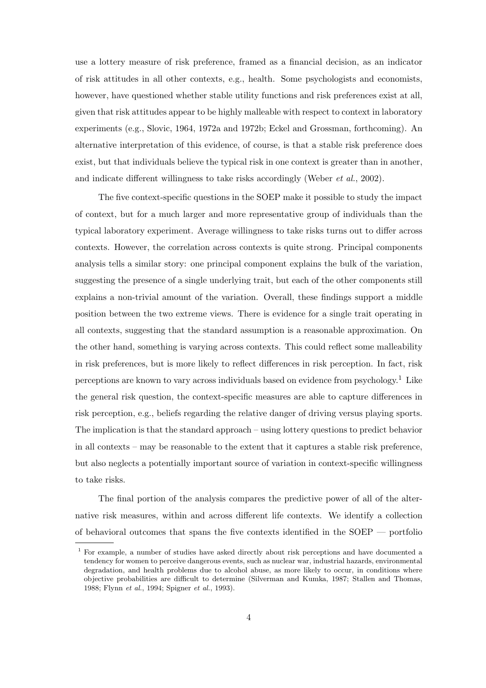use a lottery measure of risk preference, framed as a financial decision, as an indicator of risk attitudes in all other contexts, e.g., health. Some psychologists and economists, however, have questioned whether stable utility functions and risk preferences exist at all, given that risk attitudes appear to be highly malleable with respect to context in laboratory experiments (e.g., Slovic, 1964, 1972a and 1972b; Eckel and Grossman, forthcoming). An alternative interpretation of this evidence, of course, is that a stable risk preference does exist, but that individuals believe the typical risk in one context is greater than in another, and indicate different willingness to take risks accordingly (Weber *et al.*, 2002).

The five context-specific questions in the SOEP make it possible to study the impact of context, but for a much larger and more representative group of individuals than the typical laboratory experiment. Average willingness to take risks turns out to differ across contexts. However, the correlation across contexts is quite strong. Principal components analysis tells a similar story: one principal component explains the bulk of the variation, suggesting the presence of a single underlying trait, but each of the other components still explains a non-trivial amount of the variation. Overall, these findings support a middle position between the two extreme views. There is evidence for a single trait operating in all contexts, suggesting that the standard assumption is a reasonable approximation. On the other hand, something is varying across contexts. This could reflect some malleability in risk preferences, but is more likely to reflect differences in risk perception. In fact, risk perceptions are known to vary across individuals based on evidence from psychology.<sup>1</sup> Like the general risk question, the context-specific measures are able to capture differences in risk perception, e.g., beliefs regarding the relative danger of driving versus playing sports. The implication is that the standard approach – using lottery questions to predict behavior in all contexts – may be reasonable to the extent that it captures a stable risk preference, but also neglects a potentially important source of variation in context-specific willingness to take risks.

The final portion of the analysis compares the predictive power of all of the alternative risk measures, within and across different life contexts. We identify a collection of behavioral outcomes that spans the five contexts identified in the SOEP — portfolio

<sup>1</sup> For example, a number of studies have asked directly about risk perceptions and have documented a tendency for women to perceive dangerous events, such as nuclear war, industrial hazards, environmental degradation, and health problems due to alcohol abuse, as more likely to occur, in conditions where objective probabilities are difficult to determine (Silverman and Kumka, 1987; Stallen and Thomas, 1988; Flynn *et al.*, 1994; Spigner *et al.*, 1993).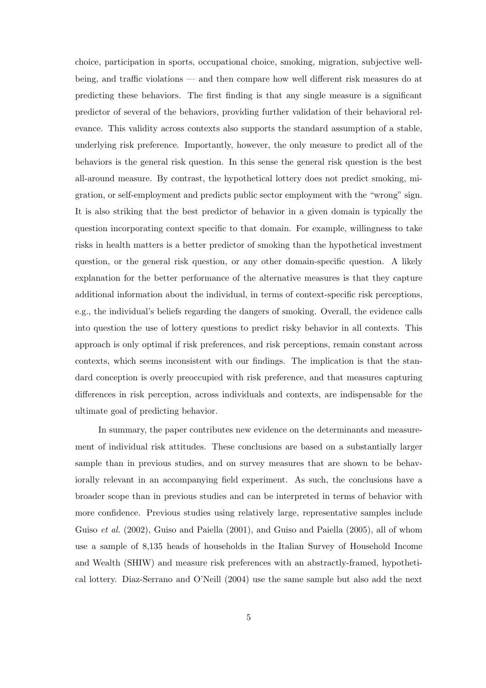choice, participation in sports, occupational choice, smoking, migration, subjective wellbeing, and traffic violations — and then compare how well different risk measures do at predicting these behaviors. The first finding is that any single measure is a significant predictor of several of the behaviors, providing further validation of their behavioral relevance. This validity across contexts also supports the standard assumption of a stable, underlying risk preference. Importantly, however, the only measure to predict all of the behaviors is the general risk question. In this sense the general risk question is the best all-around measure. By contrast, the hypothetical lottery does not predict smoking, migration, or self-employment and predicts public sector employment with the "wrong" sign. It is also striking that the best predictor of behavior in a given domain is typically the question incorporating context specific to that domain. For example, willingness to take risks in health matters is a better predictor of smoking than the hypothetical investment question, or the general risk question, or any other domain-specific question. A likely explanation for the better performance of the alternative measures is that they capture additional information about the individual, in terms of context-specific risk perceptions, e.g., the individual's beliefs regarding the dangers of smoking. Overall, the evidence calls into question the use of lottery questions to predict risky behavior in all contexts. This approach is only optimal if risk preferences, and risk perceptions, remain constant across contexts, which seems inconsistent with our findings. The implication is that the standard conception is overly preoccupied with risk preference, and that measures capturing differences in risk perception, across individuals and contexts, are indispensable for the ultimate goal of predicting behavior.

In summary, the paper contributes new evidence on the determinants and measurement of individual risk attitudes. These conclusions are based on a substantially larger sample than in previous studies, and on survey measures that are shown to be behaviorally relevant in an accompanying field experiment. As such, the conclusions have a broader scope than in previous studies and can be interpreted in terms of behavior with more confidence. Previous studies using relatively large, representative samples include Guiso *et al.* (2002), Guiso and Paiella (2001), and Guiso and Paiella (2005), all of whom use a sample of 8,135 heads of households in the Italian Survey of Household Income and Wealth (SHIW) and measure risk preferences with an abstractly-framed, hypothetical lottery. Diaz-Serrano and O'Neill (2004) use the same sample but also add the next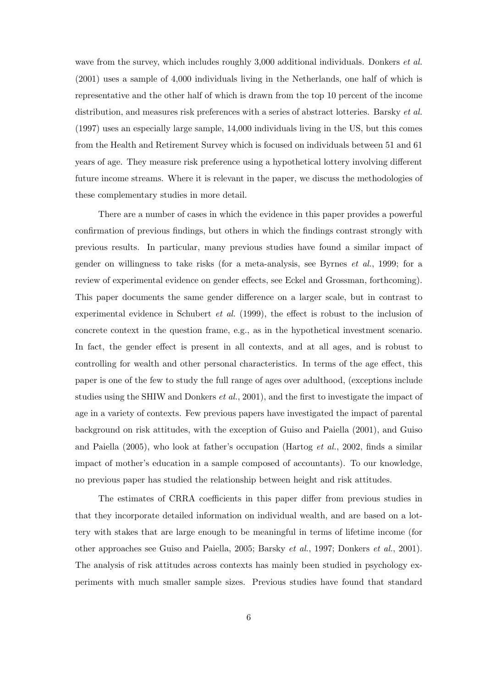wave from the survey, which includes roughly 3,000 additional individuals. Donkers *et al.* (2001) uses a sample of 4,000 individuals living in the Netherlands, one half of which is representative and the other half of which is drawn from the top 10 percent of the income distribution, and measures risk preferences with a series of abstract lotteries. Barsky *et al.* (1997) uses an especially large sample, 14,000 individuals living in the US, but this comes from the Health and Retirement Survey which is focused on individuals between 51 and 61 years of age. They measure risk preference using a hypothetical lottery involving different future income streams. Where it is relevant in the paper, we discuss the methodologies of these complementary studies in more detail.

There are a number of cases in which the evidence in this paper provides a powerful confirmation of previous findings, but others in which the findings contrast strongly with previous results. In particular, many previous studies have found a similar impact of gender on willingness to take risks (for a meta-analysis, see Byrnes *et al.*, 1999; for a review of experimental evidence on gender effects, see Eckel and Grossman, forthcoming). This paper documents the same gender difference on a larger scale, but in contrast to experimental evidence in Schubert *et al.* (1999), the effect is robust to the inclusion of concrete context in the question frame, e.g., as in the hypothetical investment scenario. In fact, the gender effect is present in all contexts, and at all ages, and is robust to controlling for wealth and other personal characteristics. In terms of the age effect, this paper is one of the few to study the full range of ages over adulthood, (exceptions include studies using the SHIW and Donkers *et al.*, 2001), and the first to investigate the impact of age in a variety of contexts. Few previous papers have investigated the impact of parental background on risk attitudes, with the exception of Guiso and Paiella (2001), and Guiso and Paiella (2005), who look at father's occupation (Hartog *et al.*, 2002, finds a similar impact of mother's education in a sample composed of accountants). To our knowledge, no previous paper has studied the relationship between height and risk attitudes.

The estimates of CRRA coefficients in this paper differ from previous studies in that they incorporate detailed information on individual wealth, and are based on a lottery with stakes that are large enough to be meaningful in terms of lifetime income (for other approaches see Guiso and Paiella, 2005; Barsky *et al.*, 1997; Donkers *et al.*, 2001). The analysis of risk attitudes across contexts has mainly been studied in psychology experiments with much smaller sample sizes. Previous studies have found that standard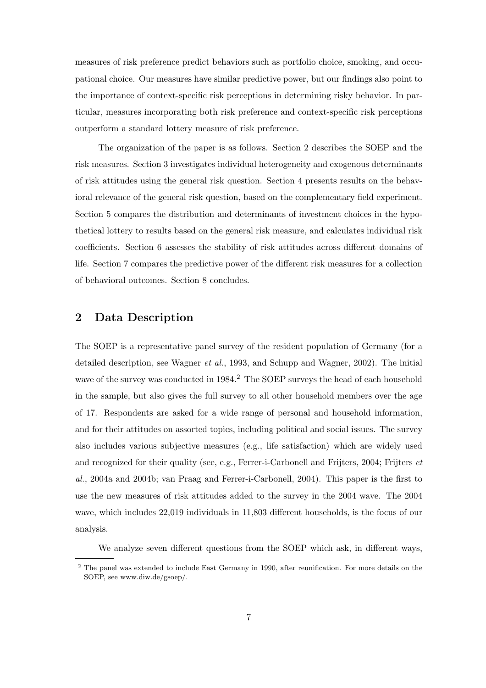measures of risk preference predict behaviors such as portfolio choice, smoking, and occupational choice. Our measures have similar predictive power, but our findings also point to the importance of context-specific risk perceptions in determining risky behavior. In particular, measures incorporating both risk preference and context-specific risk perceptions outperform a standard lottery measure of risk preference.

The organization of the paper is as follows. Section 2 describes the SOEP and the risk measures. Section 3 investigates individual heterogeneity and exogenous determinants of risk attitudes using the general risk question. Section 4 presents results on the behavioral relevance of the general risk question, based on the complementary field experiment. Section 5 compares the distribution and determinants of investment choices in the hypothetical lottery to results based on the general risk measure, and calculates individual risk coefficients. Section 6 assesses the stability of risk attitudes across different domains of life. Section 7 compares the predictive power of the different risk measures for a collection of behavioral outcomes. Section 8 concludes.

### **2 Data Description**

The SOEP is a representative panel survey of the resident population of Germany (for a detailed description, see Wagner *et al.*, 1993, and Schupp and Wagner, 2002). The initial wave of the survey was conducted in 1984.<sup>2</sup> The SOEP surveys the head of each household in the sample, but also gives the full survey to all other household members over the age of 17. Respondents are asked for a wide range of personal and household information, and for their attitudes on assorted topics, including political and social issues. The survey also includes various subjective measures (e.g., life satisfaction) which are widely used and recognized for their quality (see, e.g., Ferrer-i-Carbonell and Frijters, 2004; Frijters *et al.*, 2004a and 2004b; van Praag and Ferrer-i-Carbonell, 2004). This paper is the first to use the new measures of risk attitudes added to the survey in the 2004 wave. The 2004 wave, which includes 22,019 individuals in 11,803 different households, is the focus of our analysis.

We analyze seven different questions from the SOEP which ask, in different ways,

 $2$  The panel was extended to include East Germany in 1990, after reunification. For more details on the SOEP, see www.diw.de/gsoep/.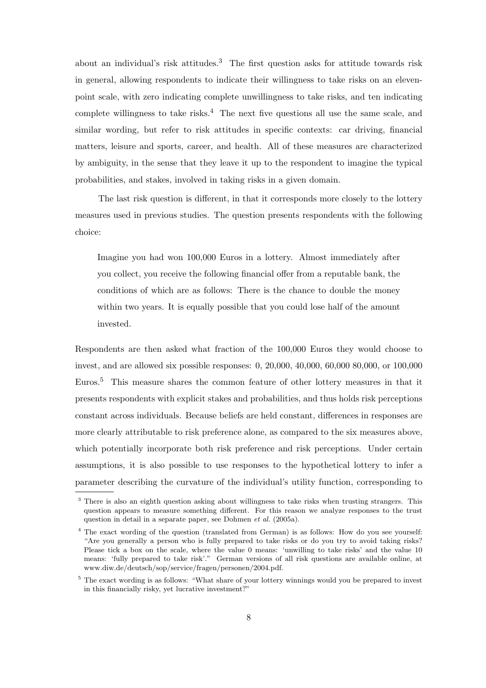about an individual's risk attitudes.<sup>3</sup> The first question asks for attitude towards risk in general, allowing respondents to indicate their willingness to take risks on an elevenpoint scale, with zero indicating complete unwillingness to take risks, and ten indicating complete willingness to take risks.<sup>4</sup> The next five questions all use the same scale, and similar wording, but refer to risk attitudes in specific contexts: car driving, financial matters, leisure and sports, career, and health. All of these measures are characterized by ambiguity, in the sense that they leave it up to the respondent to imagine the typical probabilities, and stakes, involved in taking risks in a given domain.

The last risk question is different, in that it corresponds more closely to the lottery measures used in previous studies. The question presents respondents with the following choice:

Imagine you had won 100,000 Euros in a lottery. Almost immediately after you collect, you receive the following financial offer from a reputable bank, the conditions of which are as follows: There is the chance to double the money within two years. It is equally possible that you could lose half of the amount invested.

Respondents are then asked what fraction of the 100,000 Euros they would choose to invest, and are allowed six possible responses: 0, 20,000, 40,000, 60,000 80,000, or 100,000 Euros.<sup>5</sup> This measure shares the common feature of other lottery measures in that it presents respondents with explicit stakes and probabilities, and thus holds risk perceptions constant across individuals. Because beliefs are held constant, differences in responses are more clearly attributable to risk preference alone, as compared to the six measures above, which potentially incorporate both risk preference and risk perceptions. Under certain assumptions, it is also possible to use responses to the hypothetical lottery to infer a parameter describing the curvature of the individual's utility function, corresponding to

<sup>&</sup>lt;sup>3</sup> There is also an eighth question asking about willingness to take risks when trusting strangers. This question appears to measure something different. For this reason we analyze responses to the trust question in detail in a separate paper, see Dohmen *et al.* (2005a).

<sup>&</sup>lt;sup>4</sup> The exact wording of the question (translated from German) is as follows: How do you see yourself: "Are you generally a person who is fully prepared to take risks or do you try to avoid taking risks? Please tick a box on the scale, where the value 0 means: 'unwilling to take risks' and the value 10 means: 'fully prepared to take risk'." German versions of all risk questions are available online, at www.diw.de/deutsch/sop/service/fragen/personen/2004.pdf.

<sup>&</sup>lt;sup>5</sup> The exact wording is as follows: "What share of your lottery winnings would you be prepared to invest in this financially risky, yet lucrative investment?"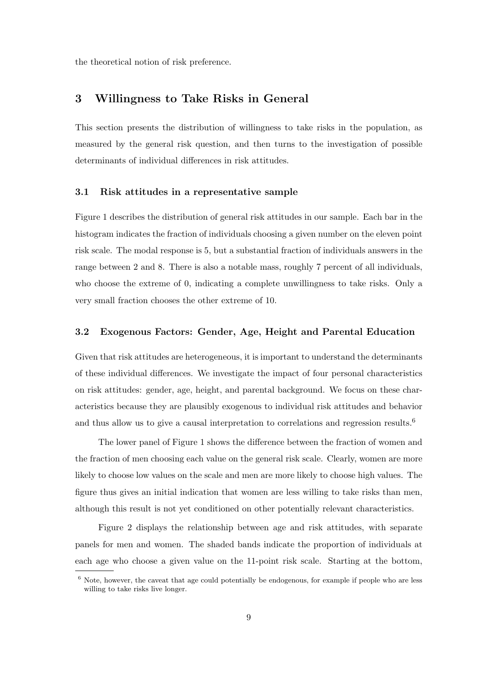the theoretical notion of risk preference.

#### **3 Willingness to Take Risks in General**

This section presents the distribution of willingness to take risks in the population, as measured by the general risk question, and then turns to the investigation of possible determinants of individual differences in risk attitudes.

#### **3.1 Risk attitudes in a representative sample**

Figure 1 describes the distribution of general risk attitudes in our sample. Each bar in the histogram indicates the fraction of individuals choosing a given number on the eleven point risk scale. The modal response is 5, but a substantial fraction of individuals answers in the range between 2 and 8. There is also a notable mass, roughly 7 percent of all individuals, who choose the extreme of 0, indicating a complete unwillingness to take risks. Only a very small fraction chooses the other extreme of 10.

#### **3.2 Exogenous Factors: Gender, Age, Height and Parental Education**

Given that risk attitudes are heterogeneous, it is important to understand the determinants of these individual differences. We investigate the impact of four personal characteristics on risk attitudes: gender, age, height, and parental background. We focus on these characteristics because they are plausibly exogenous to individual risk attitudes and behavior and thus allow us to give a causal interpretation to correlations and regression results.<sup>6</sup>

The lower panel of Figure 1 shows the difference between the fraction of women and the fraction of men choosing each value on the general risk scale. Clearly, women are more likely to choose low values on the scale and men are more likely to choose high values. The figure thus gives an initial indication that women are less willing to take risks than men, although this result is not yet conditioned on other potentially relevant characteristics.

Figure 2 displays the relationship between age and risk attitudes, with separate panels for men and women. The shaded bands indicate the proportion of individuals at each age who choose a given value on the 11-point risk scale. Starting at the bottom,

<sup>6</sup> Note, however, the caveat that age could potentially be endogenous, for example if people who are less willing to take risks live longer.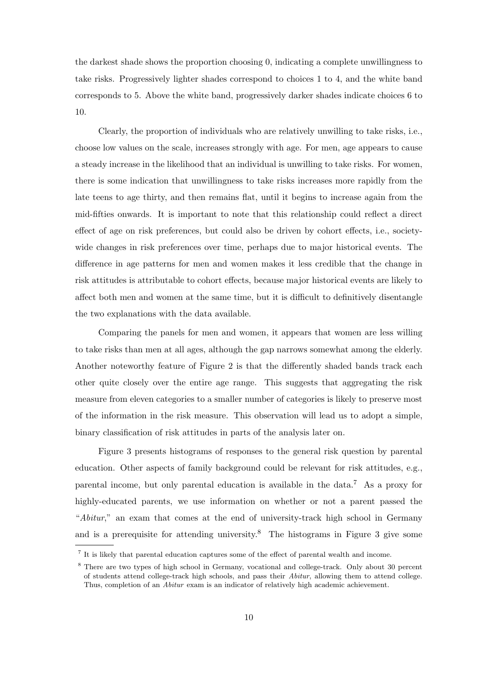the darkest shade shows the proportion choosing 0, indicating a complete unwillingness to take risks. Progressively lighter shades correspond to choices 1 to 4, and the white band corresponds to 5. Above the white band, progressively darker shades indicate choices 6 to 10.

Clearly, the proportion of individuals who are relatively unwilling to take risks, i.e., choose low values on the scale, increases strongly with age. For men, age appears to cause a steady increase in the likelihood that an individual is unwilling to take risks. For women, there is some indication that unwillingness to take risks increases more rapidly from the late teens to age thirty, and then remains flat, until it begins to increase again from the mid-fifties onwards. It is important to note that this relationship could reflect a direct effect of age on risk preferences, but could also be driven by cohort effects, i.e., societywide changes in risk preferences over time, perhaps due to major historical events. The difference in age patterns for men and women makes it less credible that the change in risk attitudes is attributable to cohort effects, because major historical events are likely to affect both men and women at the same time, but it is difficult to definitively disentangle the two explanations with the data available.

Comparing the panels for men and women, it appears that women are less willing to take risks than men at all ages, although the gap narrows somewhat among the elderly. Another noteworthy feature of Figure 2 is that the differently shaded bands track each other quite closely over the entire age range. This suggests that aggregating the risk measure from eleven categories to a smaller number of categories is likely to preserve most of the information in the risk measure. This observation will lead us to adopt a simple, binary classification of risk attitudes in parts of the analysis later on.

Figure 3 presents histograms of responses to the general risk question by parental education. Other aspects of family background could be relevant for risk attitudes, e.g., parental income, but only parental education is available in the data.<sup>7</sup> As a proxy for highly-educated parents, we use information on whether or not a parent passed the "*Abitur*," an exam that comes at the end of university-track high school in Germany and is a prerequisite for attending university.<sup>8</sup> The histograms in Figure 3 give some

<sup>7</sup> It is likely that parental education captures some of the effect of parental wealth and income.

<sup>8</sup> There are two types of high school in Germany, vocational and college-track. Only about 30 percent of students attend college-track high schools, and pass their *Abitur*, allowing them to attend college. Thus, completion of an *Abitur* exam is an indicator of relatively high academic achievement.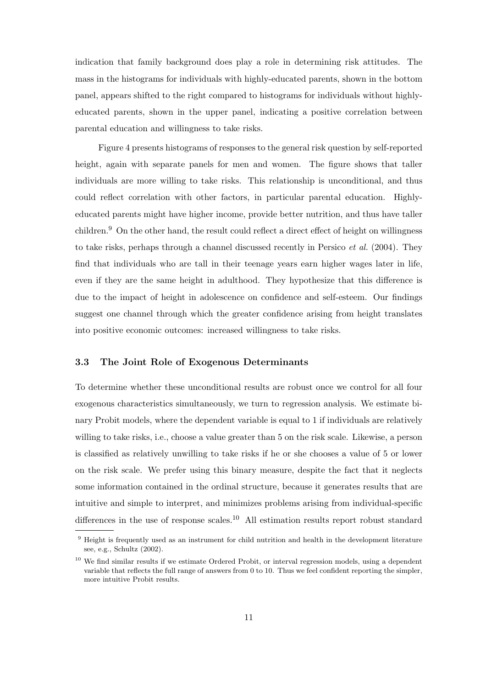indication that family background does play a role in determining risk attitudes. The mass in the histograms for individuals with highly-educated parents, shown in the bottom panel, appears shifted to the right compared to histograms for individuals without highlyeducated parents, shown in the upper panel, indicating a positive correlation between parental education and willingness to take risks.

Figure 4 presents histograms of responses to the general risk question by self-reported height, again with separate panels for men and women. The figure shows that taller individuals are more willing to take risks. This relationship is unconditional, and thus could reflect correlation with other factors, in particular parental education. Highlyeducated parents might have higher income, provide better nutrition, and thus have taller children.<sup>9</sup> On the other hand, the result could reflect a direct effect of height on willingness to take risks, perhaps through a channel discussed recently in Persico *et al.* (2004). They find that individuals who are tall in their teenage years earn higher wages later in life, even if they are the same height in adulthood. They hypothesize that this difference is due to the impact of height in adolescence on confidence and self-esteem. Our findings suggest one channel through which the greater confidence arising from height translates into positive economic outcomes: increased willingness to take risks.

#### **3.3 The Joint Role of Exogenous Determinants**

To determine whether these unconditional results are robust once we control for all four exogenous characteristics simultaneously, we turn to regression analysis. We estimate binary Probit models, where the dependent variable is equal to 1 if individuals are relatively willing to take risks, i.e., choose a value greater than 5 on the risk scale. Likewise, a person is classified as relatively unwilling to take risks if he or she chooses a value of 5 or lower on the risk scale. We prefer using this binary measure, despite the fact that it neglects some information contained in the ordinal structure, because it generates results that are intuitive and simple to interpret, and minimizes problems arising from individual-specific differences in the use of response scales.<sup>10</sup> All estimation results report robust standard

 $9$  Height is frequently used as an instrument for child nutrition and health in the development literature see, e.g., Schultz (2002).

 $10$  We find similar results if we estimate Ordered Probit, or interval regression models, using a dependent variable that reflects the full range of answers from 0 to 10. Thus we feel confident reporting the simpler, more intuitive Probit results.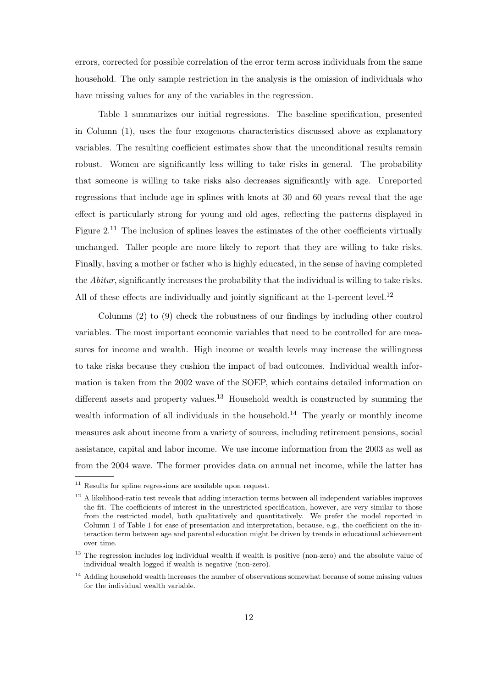errors, corrected for possible correlation of the error term across individuals from the same household. The only sample restriction in the analysis is the omission of individuals who have missing values for any of the variables in the regression.

Table 1 summarizes our initial regressions. The baseline specification, presented in Column (1), uses the four exogenous characteristics discussed above as explanatory variables. The resulting coefficient estimates show that the unconditional results remain robust. Women are significantly less willing to take risks in general. The probability that someone is willing to take risks also decreases significantly with age. Unreported regressions that include age in splines with knots at 30 and 60 years reveal that the age effect is particularly strong for young and old ages, reflecting the patterns displayed in Figure  $2^{11}$ . The inclusion of splines leaves the estimates of the other coefficients virtually unchanged. Taller people are more likely to report that they are willing to take risks. Finally, having a mother or father who is highly educated, in the sense of having completed the *Abitur*, significantly increases the probability that the individual is willing to take risks. All of these effects are individually and jointly significant at the 1-percent level.<sup>12</sup>

Columns (2) to (9) check the robustness of our findings by including other control variables. The most important economic variables that need to be controlled for are measures for income and wealth. High income or wealth levels may increase the willingness to take risks because they cushion the impact of bad outcomes. Individual wealth information is taken from the 2002 wave of the SOEP, which contains detailed information on different assets and property values.<sup>13</sup> Household wealth is constructed by summing the wealth information of all individuals in the household.<sup>14</sup> The yearly or monthly income measures ask about income from a variety of sources, including retirement pensions, social assistance, capital and labor income. We use income information from the 2003 as well as from the 2004 wave. The former provides data on annual net income, while the latter has

<sup>&</sup>lt;sup>11</sup> Results for spline regressions are available upon request.

 $12$  A likelihood-ratio test reveals that adding interaction terms between all independent variables improves the fit. The coefficients of interest in the unrestricted specification, however, are very similar to those from the restricted model, both qualitatively and quantitatively. We prefer the model reported in Column 1 of Table 1 for ease of presentation and interpretation, because, e.g., the coefficient on the interaction term between age and parental education might be driven by trends in educational achievement over time.

<sup>&</sup>lt;sup>13</sup> The regression includes log individual wealth if wealth is positive (non-zero) and the absolute value of individual wealth logged if wealth is negative (non-zero).

<sup>&</sup>lt;sup>14</sup> Adding household wealth increases the number of observations somewhat because of some missing values for the individual wealth variable.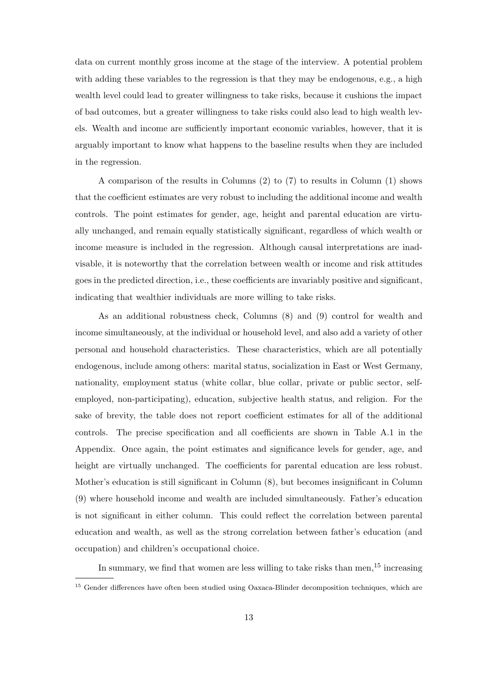data on current monthly gross income at the stage of the interview. A potential problem with adding these variables to the regression is that they may be endogenous, e.g., a high wealth level could lead to greater willingness to take risks, because it cushions the impact of bad outcomes, but a greater willingness to take risks could also lead to high wealth levels. Wealth and income are sufficiently important economic variables, however, that it is arguably important to know what happens to the baseline results when they are included in the regression.

A comparison of the results in Columns (2) to (7) to results in Column (1) shows that the coefficient estimates are very robust to including the additional income and wealth controls. The point estimates for gender, age, height and parental education are virtually unchanged, and remain equally statistically significant, regardless of which wealth or income measure is included in the regression. Although causal interpretations are inadvisable, it is noteworthy that the correlation between wealth or income and risk attitudes goes in the predicted direction, i.e., these coefficients are invariably positive and significant, indicating that wealthier individuals are more willing to take risks.

As an additional robustness check, Columns (8) and (9) control for wealth and income simultaneously, at the individual or household level, and also add a variety of other personal and household characteristics. These characteristics, which are all potentially endogenous, include among others: marital status, socialization in East or West Germany, nationality, employment status (white collar, blue collar, private or public sector, selfemployed, non-participating), education, subjective health status, and religion. For the sake of brevity, the table does not report coefficient estimates for all of the additional controls. The precise specification and all coefficients are shown in Table A.1 in the Appendix. Once again, the point estimates and significance levels for gender, age, and height are virtually unchanged. The coefficients for parental education are less robust. Mother's education is still significant in Column (8), but becomes insignificant in Column (9) where household income and wealth are included simultaneously. Father's education is not significant in either column. This could reflect the correlation between parental education and wealth, as well as the strong correlation between father's education (and occupation) and children's occupational choice.

In summary, we find that women are less willing to take risks than men,  $15$  increasing

<sup>&</sup>lt;sup>15</sup> Gender differences have often been studied using Oaxaca-Blinder decomposition techniques, which are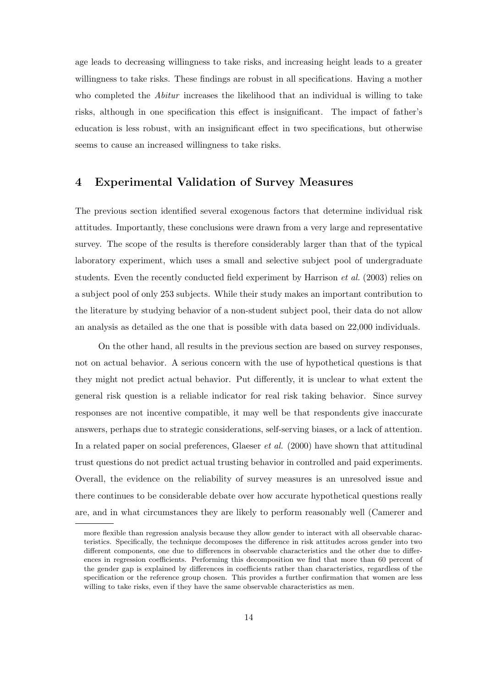age leads to decreasing willingness to take risks, and increasing height leads to a greater willingness to take risks. These findings are robust in all specifications. Having a mother who completed the *Abitur* increases the likelihood that an individual is willing to take risks, although in one specification this effect is insignificant. The impact of father's education is less robust, with an insignificant effect in two specifications, but otherwise seems to cause an increased willingness to take risks.

#### **4 Experimental Validation of Survey Measures**

The previous section identified several exogenous factors that determine individual risk attitudes. Importantly, these conclusions were drawn from a very large and representative survey. The scope of the results is therefore considerably larger than that of the typical laboratory experiment, which uses a small and selective subject pool of undergraduate students. Even the recently conducted field experiment by Harrison *et al.* (2003) relies on a subject pool of only 253 subjects. While their study makes an important contribution to the literature by studying behavior of a non-student subject pool, their data do not allow an analysis as detailed as the one that is possible with data based on 22,000 individuals.

On the other hand, all results in the previous section are based on survey responses, not on actual behavior. A serious concern with the use of hypothetical questions is that they might not predict actual behavior. Put differently, it is unclear to what extent the general risk question is a reliable indicator for real risk taking behavior. Since survey responses are not incentive compatible, it may well be that respondents give inaccurate answers, perhaps due to strategic considerations, self-serving biases, or a lack of attention. In a related paper on social preferences, Glaeser *et al.* (2000) have shown that attitudinal trust questions do not predict actual trusting behavior in controlled and paid experiments. Overall, the evidence on the reliability of survey measures is an unresolved issue and there continues to be considerable debate over how accurate hypothetical questions really are, and in what circumstances they are likely to perform reasonably well (Camerer and

more flexible than regression analysis because they allow gender to interact with all observable characteristics. Specifically, the technique decomposes the difference in risk attitudes across gender into two different components, one due to differences in observable characteristics and the other due to differences in regression coefficients. Performing this decomposition we find that more than 60 percent of the gender gap is explained by differences in coefficients rather than characteristics, regardless of the specification or the reference group chosen. This provides a further confirmation that women are less willing to take risks, even if they have the same observable characteristics as men.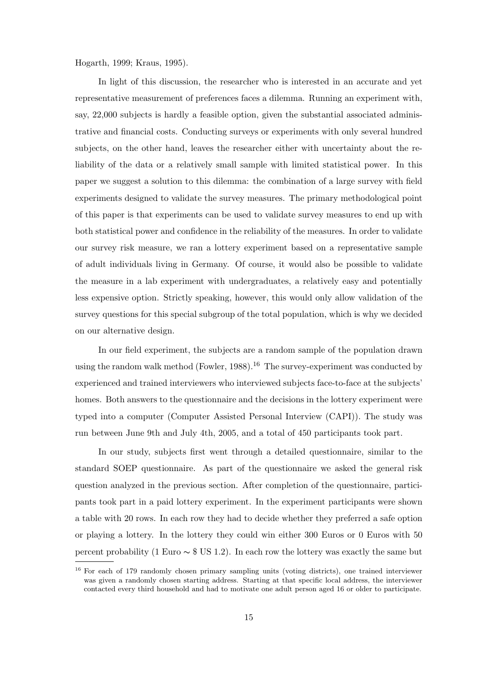Hogarth, 1999; Kraus, 1995).

In light of this discussion, the researcher who is interested in an accurate and yet representative measurement of preferences faces a dilemma. Running an experiment with, say, 22,000 subjects is hardly a feasible option, given the substantial associated administrative and financial costs. Conducting surveys or experiments with only several hundred subjects, on the other hand, leaves the researcher either with uncertainty about the reliability of the data or a relatively small sample with limited statistical power. In this paper we suggest a solution to this dilemma: the combination of a large survey with field experiments designed to validate the survey measures. The primary methodological point of this paper is that experiments can be used to validate survey measures to end up with both statistical power and confidence in the reliability of the measures. In order to validate our survey risk measure, we ran a lottery experiment based on a representative sample of adult individuals living in Germany. Of course, it would also be possible to validate the measure in a lab experiment with undergraduates, a relatively easy and potentially less expensive option. Strictly speaking, however, this would only allow validation of the survey questions for this special subgroup of the total population, which is why we decided on our alternative design.

In our field experiment, the subjects are a random sample of the population drawn using the random walk method (Fowler, 1988).<sup>16</sup> The survey-experiment was conducted by experienced and trained interviewers who interviewed subjects face-to-face at the subjects' homes. Both answers to the questionnaire and the decisions in the lottery experiment were typed into a computer (Computer Assisted Personal Interview (CAPI)). The study was run between June 9th and July 4th, 2005, and a total of 450 participants took part.

In our study, subjects first went through a detailed questionnaire, similar to the standard SOEP questionnaire. As part of the questionnaire we asked the general risk question analyzed in the previous section. After completion of the questionnaire, participants took part in a paid lottery experiment. In the experiment participants were shown a table with 20 rows. In each row they had to decide whether they preferred a safe option or playing a lottery. In the lottery they could win either 300 Euros or 0 Euros with 50 percent probability (1 Euro  $\sim$  \$ US 1.2). In each row the lottery was exactly the same but

<sup>&</sup>lt;sup>16</sup> For each of 179 randomly chosen primary sampling units (voting districts), one trained interviewer was given a randomly chosen starting address. Starting at that specific local address, the interviewer contacted every third household and had to motivate one adult person aged 16 or older to participate.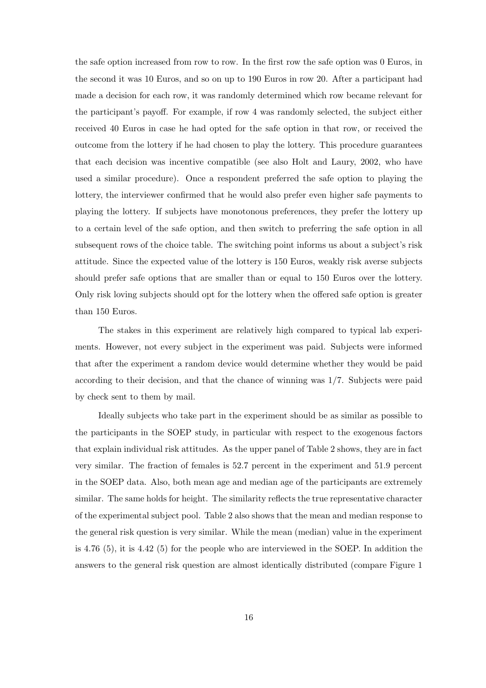the safe option increased from row to row. In the first row the safe option was 0 Euros, in the second it was 10 Euros, and so on up to 190 Euros in row 20. After a participant had made a decision for each row, it was randomly determined which row became relevant for the participant's payoff. For example, if row 4 was randomly selected, the subject either received 40 Euros in case he had opted for the safe option in that row, or received the outcome from the lottery if he had chosen to play the lottery. This procedure guarantees that each decision was incentive compatible (see also Holt and Laury, 2002, who have used a similar procedure). Once a respondent preferred the safe option to playing the lottery, the interviewer confirmed that he would also prefer even higher safe payments to playing the lottery. If subjects have monotonous preferences, they prefer the lottery up to a certain level of the safe option, and then switch to preferring the safe option in all subsequent rows of the choice table. The switching point informs us about a subject's risk attitude. Since the expected value of the lottery is 150 Euros, weakly risk averse subjects should prefer safe options that are smaller than or equal to 150 Euros over the lottery. Only risk loving subjects should opt for the lottery when the offered safe option is greater than 150 Euros.

The stakes in this experiment are relatively high compared to typical lab experiments. However, not every subject in the experiment was paid. Subjects were informed that after the experiment a random device would determine whether they would be paid according to their decision, and that the chance of winning was 1/7. Subjects were paid by check sent to them by mail.

Ideally subjects who take part in the experiment should be as similar as possible to the participants in the SOEP study, in particular with respect to the exogenous factors that explain individual risk attitudes. As the upper panel of Table 2 shows, they are in fact very similar. The fraction of females is 52.7 percent in the experiment and 51.9 percent in the SOEP data. Also, both mean age and median age of the participants are extremely similar. The same holds for height. The similarity reflects the true representative character of the experimental subject pool. Table 2 also shows that the mean and median response to the general risk question is very similar. While the mean (median) value in the experiment is 4.76 (5), it is 4.42 (5) for the people who are interviewed in the SOEP. In addition the answers to the general risk question are almost identically distributed (compare Figure 1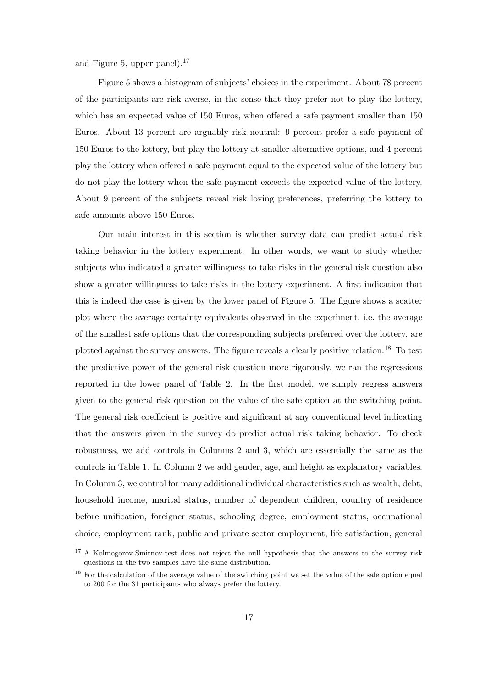and Figure 5, upper panel).<sup>17</sup>

Figure 5 shows a histogram of subjects' choices in the experiment. About 78 percent of the participants are risk averse, in the sense that they prefer not to play the lottery, which has an expected value of 150 Euros, when offered a safe payment smaller than 150 Euros. About 13 percent are arguably risk neutral: 9 percent prefer a safe payment of 150 Euros to the lottery, but play the lottery at smaller alternative options, and 4 percent play the lottery when offered a safe payment equal to the expected value of the lottery but do not play the lottery when the safe payment exceeds the expected value of the lottery. About 9 percent of the subjects reveal risk loving preferences, preferring the lottery to safe amounts above 150 Euros.

Our main interest in this section is whether survey data can predict actual risk taking behavior in the lottery experiment. In other words, we want to study whether subjects who indicated a greater willingness to take risks in the general risk question also show a greater willingness to take risks in the lottery experiment. A first indication that this is indeed the case is given by the lower panel of Figure 5. The figure shows a scatter plot where the average certainty equivalents observed in the experiment, i.e. the average of the smallest safe options that the corresponding subjects preferred over the lottery, are plotted against the survey answers. The figure reveals a clearly positive relation.<sup>18</sup> To test the predictive power of the general risk question more rigorously, we ran the regressions reported in the lower panel of Table 2. In the first model, we simply regress answers given to the general risk question on the value of the safe option at the switching point. The general risk coefficient is positive and significant at any conventional level indicating that the answers given in the survey do predict actual risk taking behavior. To check robustness, we add controls in Columns 2 and 3, which are essentially the same as the controls in Table 1. In Column 2 we add gender, age, and height as explanatory variables. In Column 3, we control for many additional individual characteristics such as wealth, debt, household income, marital status, number of dependent children, country of residence before unification, foreigner status, schooling degree, employment status, occupational choice, employment rank, public and private sector employment, life satisfaction, general

<sup>&</sup>lt;sup>17</sup> A Kolmogorov-Smirnov-test does not reject the null hypothesis that the answers to the survey risk questions in the two samples have the same distribution.

<sup>&</sup>lt;sup>18</sup> For the calculation of the average value of the switching point we set the value of the safe option equal to 200 for the 31 participants who always prefer the lottery.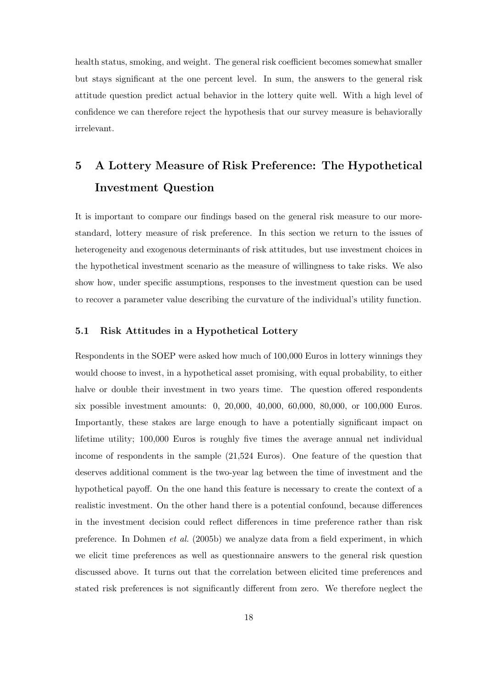health status, smoking, and weight. The general risk coefficient becomes somewhat smaller but stays significant at the one percent level. In sum, the answers to the general risk attitude question predict actual behavior in the lottery quite well. With a high level of confidence we can therefore reject the hypothesis that our survey measure is behaviorally irrelevant.

# **5 A Lottery Measure of Risk Preference: The Hypothetical Investment Question**

It is important to compare our findings based on the general risk measure to our morestandard, lottery measure of risk preference. In this section we return to the issues of heterogeneity and exogenous determinants of risk attitudes, but use investment choices in the hypothetical investment scenario as the measure of willingness to take risks. We also show how, under specific assumptions, responses to the investment question can be used to recover a parameter value describing the curvature of the individual's utility function.

#### **5.1 Risk Attitudes in a Hypothetical Lottery**

Respondents in the SOEP were asked how much of 100,000 Euros in lottery winnings they would choose to invest, in a hypothetical asset promising, with equal probability, to either halve or double their investment in two years time. The question offered respondents six possible investment amounts: 0, 20,000, 40,000, 60,000, 80,000, or 100,000 Euros. Importantly, these stakes are large enough to have a potentially significant impact on lifetime utility; 100,000 Euros is roughly five times the average annual net individual income of respondents in the sample (21,524 Euros). One feature of the question that deserves additional comment is the two-year lag between the time of investment and the hypothetical payoff. On the one hand this feature is necessary to create the context of a realistic investment. On the other hand there is a potential confound, because differences in the investment decision could reflect differences in time preference rather than risk preference. In Dohmen *et al.* (2005b) we analyze data from a field experiment, in which we elicit time preferences as well as questionnaire answers to the general risk question discussed above. It turns out that the correlation between elicited time preferences and stated risk preferences is not significantly different from zero. We therefore neglect the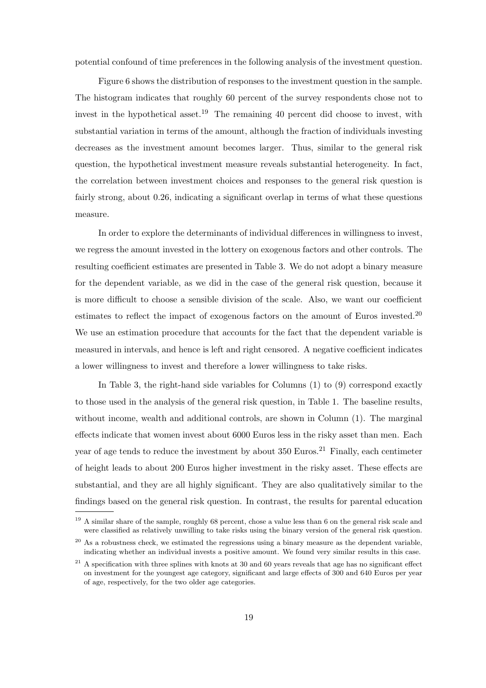potential confound of time preferences in the following analysis of the investment question.

Figure 6 shows the distribution of responses to the investment question in the sample. The histogram indicates that roughly 60 percent of the survey respondents chose not to invest in the hypothetical asset.<sup>19</sup> The remaining 40 percent did choose to invest, with substantial variation in terms of the amount, although the fraction of individuals investing decreases as the investment amount becomes larger. Thus, similar to the general risk question, the hypothetical investment measure reveals substantial heterogeneity. In fact, the correlation between investment choices and responses to the general risk question is fairly strong, about 0.26, indicating a significant overlap in terms of what these questions measure.

In order to explore the determinants of individual differences in willingness to invest, we regress the amount invested in the lottery on exogenous factors and other controls. The resulting coefficient estimates are presented in Table 3. We do not adopt a binary measure for the dependent variable, as we did in the case of the general risk question, because it is more difficult to choose a sensible division of the scale. Also, we want our coefficient estimates to reflect the impact of exogenous factors on the amount of Euros invested.<sup>20</sup> We use an estimation procedure that accounts for the fact that the dependent variable is measured in intervals, and hence is left and right censored. A negative coefficient indicates a lower willingness to invest and therefore a lower willingness to take risks.

In Table 3, the right-hand side variables for Columns (1) to (9) correspond exactly to those used in the analysis of the general risk question, in Table 1. The baseline results, without income, wealth and additional controls, are shown in Column (1). The marginal effects indicate that women invest about 6000 Euros less in the risky asset than men. Each year of age tends to reduce the investment by about  $350$  Euros.<sup>21</sup> Finally, each centimeter of height leads to about 200 Euros higher investment in the risky asset. These effects are substantial, and they are all highly significant. They are also qualitatively similar to the findings based on the general risk question. In contrast, the results for parental education

<sup>&</sup>lt;sup>19</sup> A similar share of the sample, roughly 68 percent, chose a value less than 6 on the general risk scale and were classified as relatively unwilling to take risks using the binary version of the general risk question.

 $^{20}$  As a robustness check, we estimated the regressions using a binary measure as the dependent variable, indicating whether an individual invests a positive amount. We found very similar results in this case.

 $21$  A specification with three splines with knots at 30 and 60 years reveals that age has no significant effect on investment for the youngest age category, significant and large effects of 300 and 640 Euros per year of age, respectively, for the two older age categories.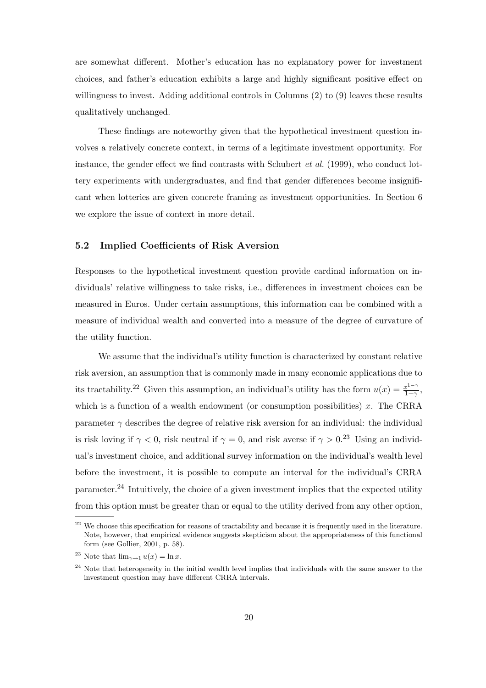are somewhat different. Mother's education has no explanatory power for investment choices, and father's education exhibits a large and highly significant positive effect on willingness to invest. Adding additional controls in Columns (2) to (9) leaves these results qualitatively unchanged.

These findings are noteworthy given that the hypothetical investment question involves a relatively concrete context, in terms of a legitimate investment opportunity. For instance, the gender effect we find contrasts with Schubert *et al.* (1999), who conduct lottery experiments with undergraduates, and find that gender differences become insignificant when lotteries are given concrete framing as investment opportunities. In Section 6 we explore the issue of context in more detail.

#### **5.2 Implied Coefficients of Risk Aversion**

Responses to the hypothetical investment question provide cardinal information on individuals' relative willingness to take risks, i.e., differences in investment choices can be measured in Euros. Under certain assumptions, this information can be combined with a measure of individual wealth and converted into a measure of the degree of curvature of the utility function.

We assume that the individual's utility function is characterized by constant relative risk aversion, an assumption that is commonly made in many economic applications due to its tractability.<sup>22</sup> Given this assumption, an individual's utility has the form  $u(x) = \frac{x^{1-\gamma}}{1-\gamma}$ , which is a function of a wealth endowment (or consumption possibilities)  $x$ . The CRRA parameter  $\gamma$  describes the degree of relative risk aversion for an individual: the individual is risk loving if  $\gamma < 0$ , risk neutral if  $\gamma = 0$ , and risk averse if  $\gamma > 0$ .<sup>23</sup> Using an individual's investment choice, and additional survey information on the individual's wealth level before the investment, it is possible to compute an interval for the individual's CRRA parameter.<sup>24</sup> Intuitively, the choice of a given investment implies that the expected utility from this option must be greater than or equal to the utility derived from any other option,

<sup>&</sup>lt;sup>22</sup> We choose this specification for reasons of tractability and because it is frequently used in the literature. Note, however, that empirical evidence suggests skepticism about the appropriateness of this functional form (see Gollier, 2001, p. 58).

<sup>&</sup>lt;sup>23</sup> Note that  $\lim_{\gamma \to 1} u(x) = \ln x$ .

<sup>&</sup>lt;sup>24</sup> Note that heterogeneity in the initial wealth level implies that individuals with the same answer to the investment question may have different CRRA intervals.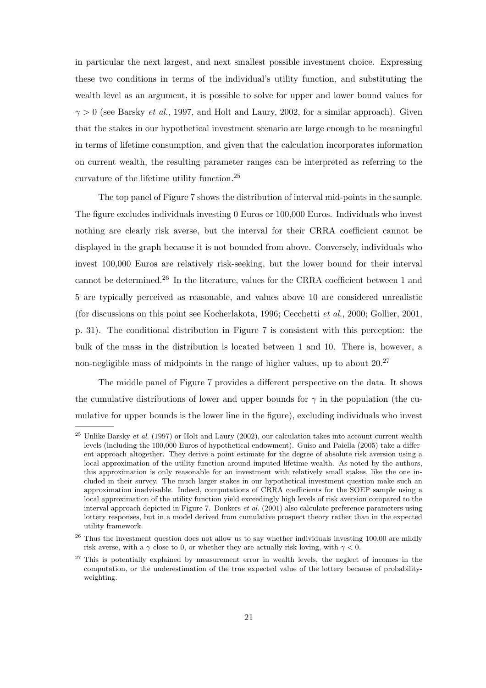in particular the next largest, and next smallest possible investment choice. Expressing these two conditions in terms of the individual's utility function, and substituting the wealth level as an argument, it is possible to solve for upper and lower bound values for  $\gamma > 0$  (see Barsky *et al.*, 1997, and Holt and Laury, 2002, for a similar approach). Given that the stakes in our hypothetical investment scenario are large enough to be meaningful in terms of lifetime consumption, and given that the calculation incorporates information on current wealth, the resulting parameter ranges can be interpreted as referring to the curvature of the lifetime utility function.<sup>25</sup>

The top panel of Figure 7 shows the distribution of interval mid-points in the sample. The figure excludes individuals investing 0 Euros or 100,000 Euros. Individuals who invest nothing are clearly risk averse, but the interval for their CRRA coefficient cannot be displayed in the graph because it is not bounded from above. Conversely, individuals who invest 100,000 Euros are relatively risk-seeking, but the lower bound for their interval cannot be determined.<sup>26</sup> In the literature, values for the CRRA coefficient between 1 and 5 are typically perceived as reasonable, and values above 10 are considered unrealistic (for discussions on this point see Kocherlakota, 1996; Cecchetti *et al.*, 2000; Gollier, 2001, p. 31). The conditional distribution in Figure 7 is consistent with this perception: the bulk of the mass in the distribution is located between 1 and 10. There is, however, a non-negligible mass of midpoints in the range of higher values, up to about  $20^{27}$ 

The middle panel of Figure 7 provides a different perspective on the data. It shows the cumulative distributions of lower and upper bounds for  $\gamma$  in the population (the cumulative for upper bounds is the lower line in the figure), excluding individuals who invest

<sup>&</sup>lt;sup>25</sup> Unlike Barsky *et al.* (1997) or Holt and Laury (2002), our calculation takes into account current wealth levels (including the 100,000 Euros of hypothetical endowment). Guiso and Paiella (2005) take a different approach altogether. They derive a point estimate for the degree of absolute risk aversion using a local approximation of the utility function around imputed lifetime wealth. As noted by the authors, this approximation is only reasonable for an investment with relatively small stakes, like the one included in their survey. The much larger stakes in our hypothetical investment question make such an approximation inadvisable. Indeed, computations of CRRA coefficients for the SOEP sample using a local approximation of the utility function yield exceedingly high levels of risk aversion compared to the interval approach depicted in Figure 7. Donkers *et al.* (2001) also calculate preference parameters using lottery responses, but in a model derived from cumulative prospect theory rather than in the expected utility framework.

 $26$  Thus the investment question does not allow us to say whether individuals investing 100,00 are mildly risk averse, with a  $\gamma$  close to 0, or whether they are actually risk loving, with  $\gamma < 0$ .

 $27$  This is potentially explained by measurement error in wealth levels, the neglect of incomes in the computation, or the underestimation of the true expected value of the lottery because of probabilityweighting.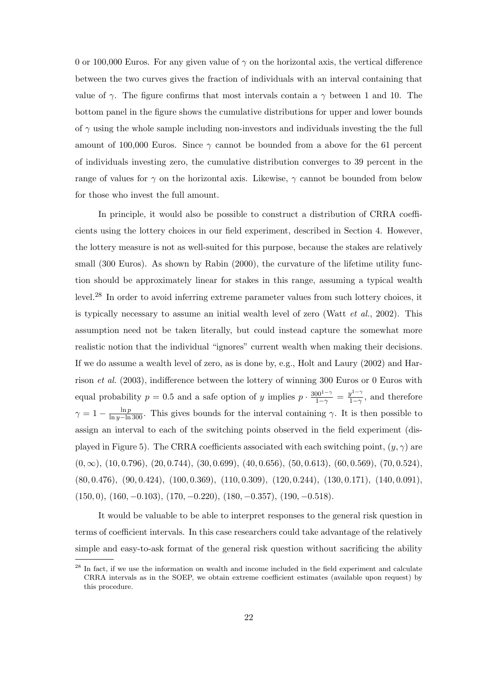0 or 100,000 Euros. For any given value of  $\gamma$  on the horizontal axis, the vertical difference between the two curves gives the fraction of individuals with an interval containing that value of  $\gamma$ . The figure confirms that most intervals contain a  $\gamma$  between 1 and 10. The bottom panel in the figure shows the cumulative distributions for upper and lower bounds of  $\gamma$  using the whole sample including non-investors and individuals investing the the full amount of 100,000 Euros. Since  $\gamma$  cannot be bounded from a above for the 61 percent of individuals investing zero, the cumulative distribution converges to 39 percent in the range of values for  $\gamma$  on the horizontal axis. Likewise,  $\gamma$  cannot be bounded from below for those who invest the full amount.

In principle, it would also be possible to construct a distribution of CRRA coefficients using the lottery choices in our field experiment, described in Section 4. However, the lottery measure is not as well-suited for this purpose, because the stakes are relatively small (300 Euros). As shown by Rabin (2000), the curvature of the lifetime utility function should be approximately linear for stakes in this range, assuming a typical wealth level.<sup>28</sup> In order to avoid inferring extreme parameter values from such lottery choices, it is typically necessary to assume an initial wealth level of zero (Watt *et al.*, 2002). This assumption need not be taken literally, but could instead capture the somewhat more realistic notion that the individual "ignores" current wealth when making their decisions. If we do assume a wealth level of zero, as is done by, e.g., Holt and Laury (2002) and Harrison *et al.* (2003), indifference between the lottery of winning 300 Euros or 0 Euros with equal probability  $p = 0.5$  and a safe option of y implies  $p \cdot \frac{300^{1-\gamma}}{1-\gamma} = \frac{y^{1-\gamma}}{1-\gamma}$ , and therefore  $\gamma = 1 - \frac{\ln p}{\ln y - \ln 300}$ . This gives bounds for the interval containing  $\gamma$ . It is then possible to assign an interval to each of the switching points observed in the field experiment (displayed in Figure 5). The CRRA coefficients associated with each switching point,  $(y, \gamma)$  are  $(0, \infty)$ ,  $(10, 0.796)$ ,  $(20, 0.744)$ ,  $(30, 0.699)$ ,  $(40, 0.656)$ ,  $(50, 0.613)$ ,  $(60, 0.569)$ ,  $(70, 0.524)$ ,  $(80, 0.476), (90, 0.424), (100, 0.369), (110, 0.309), (120, 0.244), (130, 0.171), (140, 0.091),$  $(150, 0), (160, -0.103), (170, -0.220), (180, -0.357), (190, -0.518).$ 

It would be valuable to be able to interpret responses to the general risk question in terms of coefficient intervals. In this case researchers could take advantage of the relatively simple and easy-to-ask format of the general risk question without sacrificing the ability

<sup>&</sup>lt;sup>28</sup> In fact, if we use the information on wealth and income included in the field experiment and calculate CRRA intervals as in the SOEP, we obtain extreme coefficient estimates (available upon request) by this procedure.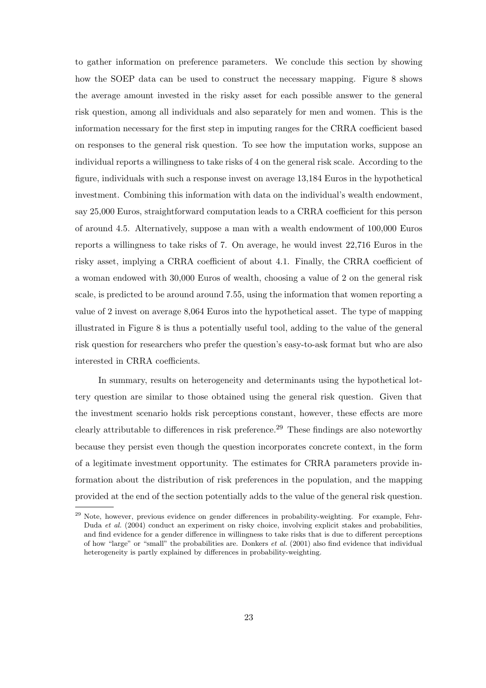to gather information on preference parameters. We conclude this section by showing how the SOEP data can be used to construct the necessary mapping. Figure 8 shows the average amount invested in the risky asset for each possible answer to the general risk question, among all individuals and also separately for men and women. This is the information necessary for the first step in imputing ranges for the CRRA coefficient based on responses to the general risk question. To see how the imputation works, suppose an individual reports a willingness to take risks of 4 on the general risk scale. According to the figure, individuals with such a response invest on average 13,184 Euros in the hypothetical investment. Combining this information with data on the individual's wealth endowment, say 25,000 Euros, straightforward computation leads to a CRRA coefficient for this person of around 4.5. Alternatively, suppose a man with a wealth endowment of 100,000 Euros reports a willingness to take risks of 7. On average, he would invest 22,716 Euros in the risky asset, implying a CRRA coefficient of about 4.1. Finally, the CRRA coefficient of a woman endowed with 30,000 Euros of wealth, choosing a value of 2 on the general risk scale, is predicted to be around around 7.55, using the information that women reporting a value of 2 invest on average 8,064 Euros into the hypothetical asset. The type of mapping illustrated in Figure 8 is thus a potentially useful tool, adding to the value of the general risk question for researchers who prefer the question's easy-to-ask format but who are also interested in CRRA coefficients.

In summary, results on heterogeneity and determinants using the hypothetical lottery question are similar to those obtained using the general risk question. Given that the investment scenario holds risk perceptions constant, however, these effects are more clearly attributable to differences in risk preference.<sup>29</sup> These findings are also noteworthy because they persist even though the question incorporates concrete context, in the form of a legitimate investment opportunity. The estimates for CRRA parameters provide information about the distribution of risk preferences in the population, and the mapping provided at the end of the section potentially adds to the value of the general risk question.

 $^{29}$  Note, however, previous evidence on gender differences in probability-weighting. For example, Fehr-Duda *et al.* (2004) conduct an experiment on risky choice, involving explicit stakes and probabilities, and find evidence for a gender difference in willingness to take risks that is due to different perceptions of how "large" or "small" the probabilities are. Donkers *et al.* (2001) also find evidence that individual heterogeneity is partly explained by differences in probability-weighting.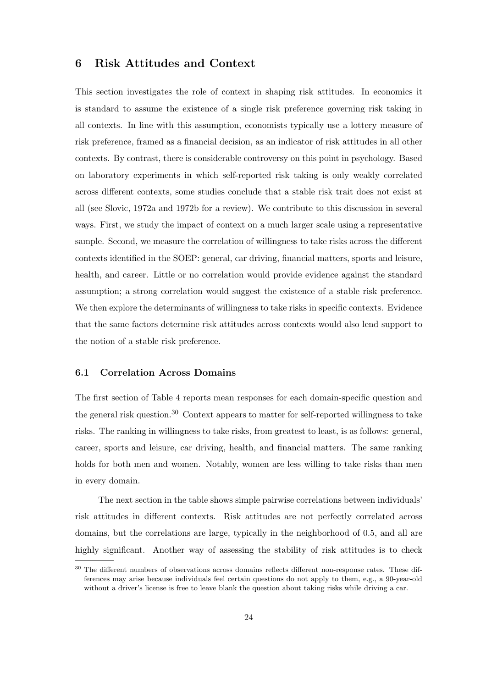#### **6 Risk Attitudes and Context**

This section investigates the role of context in shaping risk attitudes. In economics it is standard to assume the existence of a single risk preference governing risk taking in all contexts. In line with this assumption, economists typically use a lottery measure of risk preference, framed as a financial decision, as an indicator of risk attitudes in all other contexts. By contrast, there is considerable controversy on this point in psychology. Based on laboratory experiments in which self-reported risk taking is only weakly correlated across different contexts, some studies conclude that a stable risk trait does not exist at all (see Slovic, 1972a and 1972b for a review). We contribute to this discussion in several ways. First, we study the impact of context on a much larger scale using a representative sample. Second, we measure the correlation of willingness to take risks across the different contexts identified in the SOEP: general, car driving, financial matters, sports and leisure, health, and career. Little or no correlation would provide evidence against the standard assumption; a strong correlation would suggest the existence of a stable risk preference. We then explore the determinants of willingness to take risks in specific contexts. Evidence that the same factors determine risk attitudes across contexts would also lend support to the notion of a stable risk preference.

#### **6.1 Correlation Across Domains**

The first section of Table 4 reports mean responses for each domain-specific question and the general risk question.<sup>30</sup> Context appears to matter for self-reported willingness to take risks. The ranking in willingness to take risks, from greatest to least, is as follows: general, career, sports and leisure, car driving, health, and financial matters. The same ranking holds for both men and women. Notably, women are less willing to take risks than men in every domain.

The next section in the table shows simple pairwise correlations between individuals' risk attitudes in different contexts. Risk attitudes are not perfectly correlated across domains, but the correlations are large, typically in the neighborhood of 0.5, and all are highly significant. Another way of assessing the stability of risk attitudes is to check

<sup>&</sup>lt;sup>30</sup> The different numbers of observations across domains reflects different non-response rates. These differences may arise because individuals feel certain questions do not apply to them, e.g., a 90-year-old without a driver's license is free to leave blank the question about taking risks while driving a car.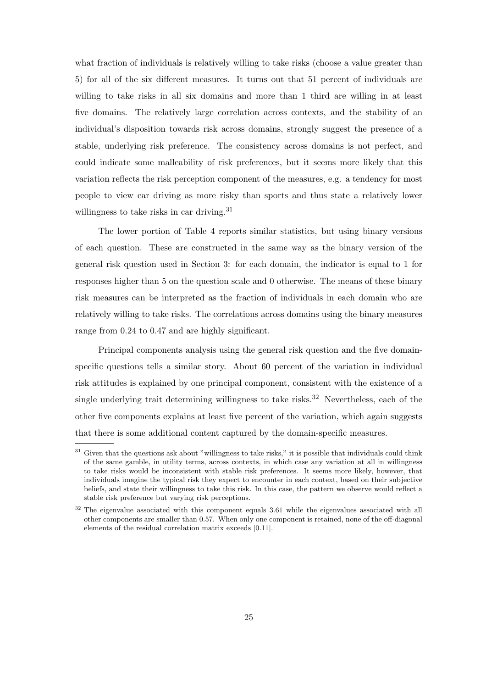what fraction of individuals is relatively willing to take risks (choose a value greater than 5) for all of the six different measures. It turns out that 51 percent of individuals are willing to take risks in all six domains and more than 1 third are willing in at least five domains. The relatively large correlation across contexts, and the stability of an individual's disposition towards risk across domains, strongly suggest the presence of a stable, underlying risk preference. The consistency across domains is not perfect, and could indicate some malleability of risk preferences, but it seems more likely that this variation reflects the risk perception component of the measures, e.g. a tendency for most people to view car driving as more risky than sports and thus state a relatively lower willingness to take risks in car driving.<sup>31</sup>

The lower portion of Table 4 reports similar statistics, but using binary versions of each question. These are constructed in the same way as the binary version of the general risk question used in Section 3: for each domain, the indicator is equal to 1 for responses higher than 5 on the question scale and 0 otherwise. The means of these binary risk measures can be interpreted as the fraction of individuals in each domain who are relatively willing to take risks. The correlations across domains using the binary measures range from 0.24 to 0.47 and are highly significant.

Principal components analysis using the general risk question and the five domainspecific questions tells a similar story. About 60 percent of the variation in individual risk attitudes is explained by one principal component, consistent with the existence of a single underlying trait determining willingness to take risks.<sup>32</sup> Nevertheless, each of the other five components explains at least five percent of the variation, which again suggests that there is some additional content captured by the domain-specific measures.

<sup>&</sup>lt;sup>31</sup> Given that the questions ask about "willingness to take risks," it is possible that individuals could think of the same gamble, in utility terms, across contexts, in which case any variation at all in willingness to take risks would be inconsistent with stable risk preferences. It seems more likely, however, that individuals imagine the typical risk they expect to encounter in each context, based on their subjective beliefs, and state their willingness to take this risk. In this case, the pattern we observe would reflect a stable risk preference but varying risk perceptions.

<sup>&</sup>lt;sup>32</sup> The eigenvalue associated with this component equals 3.61 while the eigenvalues associated with all other components are smaller than 0.57. When only one component is retained, none of the off-diagonal elements of the residual correlation matrix exceeds *|*0.11*|*.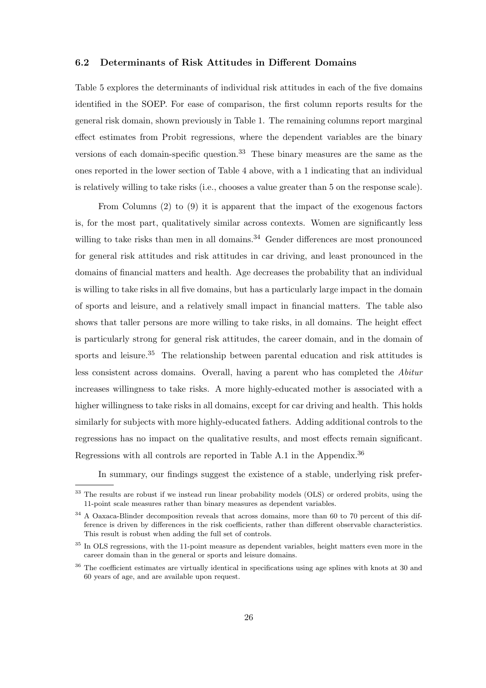#### **6.2 Determinants of Risk Attitudes in Different Domains**

Table 5 explores the determinants of individual risk attitudes in each of the five domains identified in the SOEP. For ease of comparison, the first column reports results for the general risk domain, shown previously in Table 1. The remaining columns report marginal effect estimates from Probit regressions, where the dependent variables are the binary versions of each domain-specific question.<sup>33</sup> These binary measures are the same as the ones reported in the lower section of Table 4 above, with a 1 indicating that an individual is relatively willing to take risks (i.e., chooses a value greater than 5 on the response scale).

From Columns (2) to (9) it is apparent that the impact of the exogenous factors is, for the most part, qualitatively similar across contexts. Women are significantly less willing to take risks than men in all domains.<sup>34</sup> Gender differences are most pronounced for general risk attitudes and risk attitudes in car driving, and least pronounced in the domains of financial matters and health. Age decreases the probability that an individual is willing to take risks in all five domains, but has a particularly large impact in the domain of sports and leisure, and a relatively small impact in financial matters. The table also shows that taller persons are more willing to take risks, in all domains. The height effect is particularly strong for general risk attitudes, the career domain, and in the domain of sports and leisure.<sup>35</sup> The relationship between parental education and risk attitudes is less consistent across domains. Overall, having a parent who has completed the *Abitur* increases willingness to take risks. A more highly-educated mother is associated with a higher willingness to take risks in all domains, except for car driving and health. This holds similarly for subjects with more highly-educated fathers. Adding additional controls to the regressions has no impact on the qualitative results, and most effects remain significant. Regressions with all controls are reported in Table A.1 in the Appendix.<sup>36</sup>

In summary, our findings suggest the existence of a stable, underlying risk prefer-

<sup>&</sup>lt;sup>33</sup> The results are robust if we instead run linear probability models (OLS) or ordered probits, using the 11-point scale measures rather than binary measures as dependent variables.

<sup>&</sup>lt;sup>34</sup> A Oaxaca-Blinder decomposition reveals that across domains, more than 60 to 70 percent of this difference is driven by differences in the risk coefficients, rather than different observable characteristics. This result is robust when adding the full set of controls.

<sup>&</sup>lt;sup>35</sup> In OLS regressions, with the 11-point measure as dependent variables, height matters even more in the career domain than in the general or sports and leisure domains.

<sup>&</sup>lt;sup>36</sup> The coefficient estimates are virtually identical in specifications using age splines with knots at 30 and 60 years of age, and are available upon request.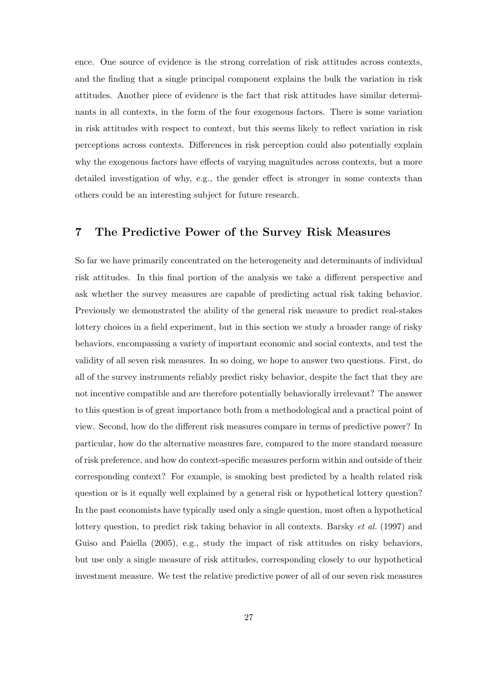ence. One source of evidence is the strong correlation of risk attitudes across contexts, and the finding that a single principal component explains the bulk the variation in risk attitudes. Another piece of evidence is the fact that risk attitudes have similar determinants in all contexts, in the form of the four exogenous factors. There is some variation in risk attitudes with respect to context, but this seems likely to reflect variation in risk perceptions across contexts. Differences in risk perception could also potentially explain why the exogenous factors have effects of varying magnitudes across contexts, but a more detailed investigation of why, e.g., the gender effect is stronger in some contexts than others could be an interesting subject for future research.

#### **7 The Predictive Power of the Survey Risk Measures**

So far we have primarily concentrated on the heterogeneity and determinants of individual risk attitudes. In this final portion of the analysis we take a different perspective and ask whether the survey measures are capable of predicting actual risk taking behavior. Previously we demonstrated the ability of the general risk measure to predict real-stakes lottery choices in a field experiment, but in this section we study a broader range of risky behaviors, encompassing a variety of important economic and social contexts, and test the validity of all seven risk measures. In so doing, we hope to answer two questions. First, do all of the survey instruments reliably predict risky behavior, despite the fact that they are not incentive compatible and are therefore potentially behaviorally irrelevant? The answer to this question is of great importance both from a methodological and a practical point of view. Second, how do the different risk measures compare in terms of predictive power? In particular, how do the alternative measures fare, compared to the more standard measure of risk preference, and how do context-specific measures perform within and outside of their corresponding context? For example, is smoking best predicted by a health related risk question or is it equally well explained by a general risk or hypothetical lottery question? In the past economists have typically used only a single question, most often a hypothetical lottery question, to predict risk taking behavior in all contexts. Barsky *et al.* (1997) and Guiso and Paiella (2005), e.g., study the impact of risk attitudes on risky behaviors, but use only a single measure of risk attitudes, corresponding closely to our hypothetical investment measure. We test the relative predictive power of all of our seven risk measures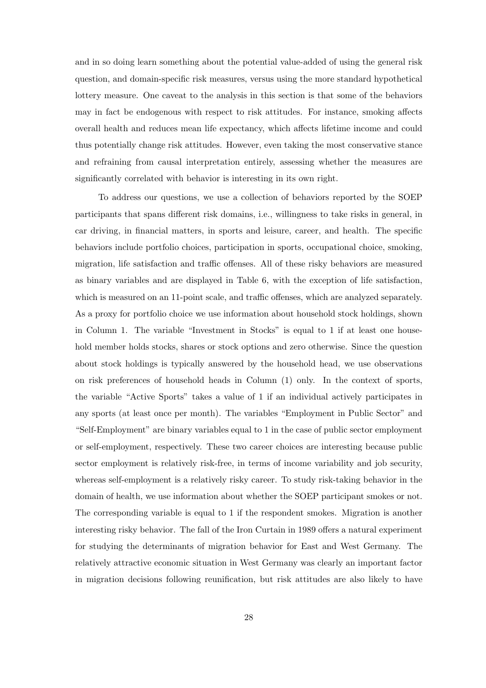and in so doing learn something about the potential value-added of using the general risk question, and domain-specific risk measures, versus using the more standard hypothetical lottery measure. One caveat to the analysis in this section is that some of the behaviors may in fact be endogenous with respect to risk attitudes. For instance, smoking affects overall health and reduces mean life expectancy, which affects lifetime income and could thus potentially change risk attitudes. However, even taking the most conservative stance and refraining from causal interpretation entirely, assessing whether the measures are significantly correlated with behavior is interesting in its own right.

To address our questions, we use a collection of behaviors reported by the SOEP participants that spans different risk domains, i.e., willingness to take risks in general, in car driving, in financial matters, in sports and leisure, career, and health. The specific behaviors include portfolio choices, participation in sports, occupational choice, smoking, migration, life satisfaction and traffic offenses. All of these risky behaviors are measured as binary variables and are displayed in Table 6, with the exception of life satisfaction, which is measured on an 11-point scale, and traffic offenses, which are analyzed separately. As a proxy for portfolio choice we use information about household stock holdings, shown in Column 1. The variable "Investment in Stocks" is equal to 1 if at least one household member holds stocks, shares or stock options and zero otherwise. Since the question about stock holdings is typically answered by the household head, we use observations on risk preferences of household heads in Column (1) only. In the context of sports, the variable "Active Sports" takes a value of 1 if an individual actively participates in any sports (at least once per month). The variables "Employment in Public Sector" and "Self-Employment" are binary variables equal to 1 in the case of public sector employment or self-employment, respectively. These two career choices are interesting because public sector employment is relatively risk-free, in terms of income variability and job security, whereas self-employment is a relatively risky career. To study risk-taking behavior in the domain of health, we use information about whether the SOEP participant smokes or not. The corresponding variable is equal to 1 if the respondent smokes. Migration is another interesting risky behavior. The fall of the Iron Curtain in 1989 offers a natural experiment for studying the determinants of migration behavior for East and West Germany. The relatively attractive economic situation in West Germany was clearly an important factor in migration decisions following reunification, but risk attitudes are also likely to have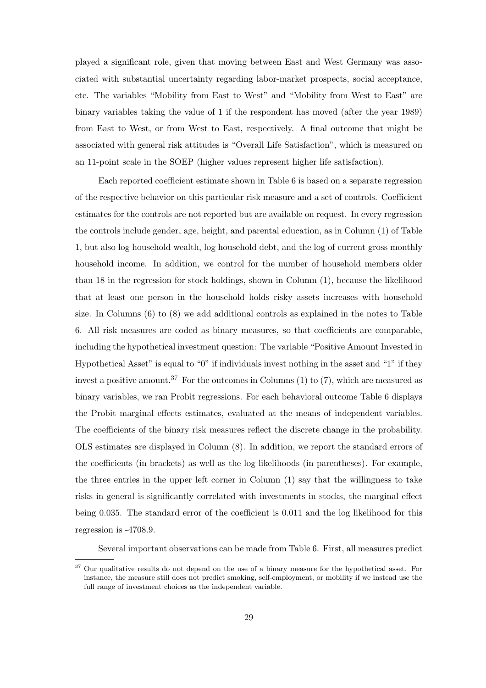played a significant role, given that moving between East and West Germany was associated with substantial uncertainty regarding labor-market prospects, social acceptance, etc. The variables "Mobility from East to West" and "Mobility from West to East" are binary variables taking the value of 1 if the respondent has moved (after the year 1989) from East to West, or from West to East, respectively. A final outcome that might be associated with general risk attitudes is "Overall Life Satisfaction", which is measured on an 11-point scale in the SOEP (higher values represent higher life satisfaction).

Each reported coefficient estimate shown in Table 6 is based on a separate regression of the respective behavior on this particular risk measure and a set of controls. Coefficient estimates for the controls are not reported but are available on request. In every regression the controls include gender, age, height, and parental education, as in Column (1) of Table 1, but also log household wealth, log household debt, and the log of current gross monthly household income. In addition, we control for the number of household members older than 18 in the regression for stock holdings, shown in Column (1), because the likelihood that at least one person in the household holds risky assets increases with household size. In Columns (6) to (8) we add additional controls as explained in the notes to Table 6. All risk measures are coded as binary measures, so that coefficients are comparable, including the hypothetical investment question: The variable "Positive Amount Invested in Hypothetical Asset" is equal to "0" if individuals invest nothing in the asset and "1" if they invest a positive amount.<sup>37</sup> For the outcomes in Columns  $(1)$  to  $(7)$ , which are measured as binary variables, we ran Probit regressions. For each behavioral outcome Table 6 displays the Probit marginal effects estimates, evaluated at the means of independent variables. The coefficients of the binary risk measures reflect the discrete change in the probability. OLS estimates are displayed in Column (8). In addition, we report the standard errors of the coefficients (in brackets) as well as the log likelihoods (in parentheses). For example, the three entries in the upper left corner in Column (1) say that the willingness to take risks in general is significantly correlated with investments in stocks, the marginal effect being 0.035. The standard error of the coefficient is 0.011 and the log likelihood for this regression is -4708.9.

Several important observations can be made from Table 6. First, all measures predict

<sup>37</sup> Our qualitative results do not depend on the use of a binary measure for the hypothetical asset. For instance, the measure still does not predict smoking, self-employment, or mobility if we instead use the full range of investment choices as the independent variable.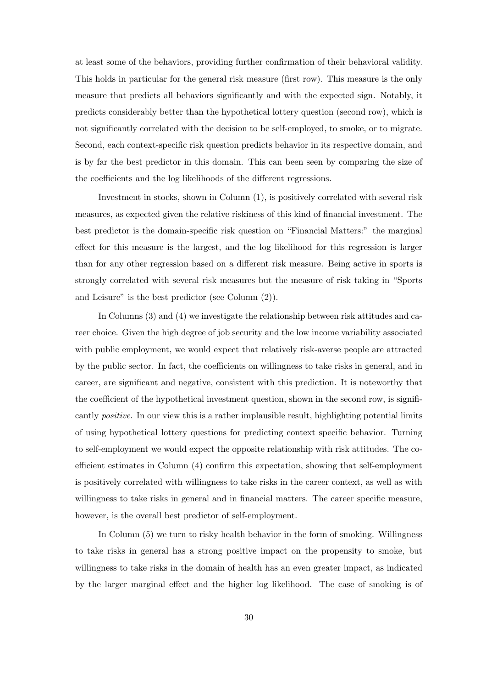at least some of the behaviors, providing further confirmation of their behavioral validity. This holds in particular for the general risk measure (first row). This measure is the only measure that predicts all behaviors significantly and with the expected sign. Notably, it predicts considerably better than the hypothetical lottery question (second row), which is not significantly correlated with the decision to be self-employed, to smoke, or to migrate. Second, each context-specific risk question predicts behavior in its respective domain, and is by far the best predictor in this domain. This can been seen by comparing the size of the coefficients and the log likelihoods of the different regressions.

Investment in stocks, shown in Column (1), is positively correlated with several risk measures, as expected given the relative riskiness of this kind of financial investment. The best predictor is the domain-specific risk question on "Financial Matters:" the marginal effect for this measure is the largest, and the log likelihood for this regression is larger than for any other regression based on a different risk measure. Being active in sports is strongly correlated with several risk measures but the measure of risk taking in "Sports and Leisure" is the best predictor (see Column (2)).

In Columns (3) and (4) we investigate the relationship between risk attitudes and career choice. Given the high degree of job security and the low income variability associated with public employment, we would expect that relatively risk-averse people are attracted by the public sector. In fact, the coefficients on willingness to take risks in general, and in career, are significant and negative, consistent with this prediction. It is noteworthy that the coefficient of the hypothetical investment question, shown in the second row, is significantly *positive*. In our view this is a rather implausible result, highlighting potential limits of using hypothetical lottery questions for predicting context specific behavior. Turning to self-employment we would expect the opposite relationship with risk attitudes. The coefficient estimates in Column (4) confirm this expectation, showing that self-employment is positively correlated with willingness to take risks in the career context, as well as with willingness to take risks in general and in financial matters. The career specific measure, however, is the overall best predictor of self-employment.

In Column (5) we turn to risky health behavior in the form of smoking. Willingness to take risks in general has a strong positive impact on the propensity to smoke, but willingness to take risks in the domain of health has an even greater impact, as indicated by the larger marginal effect and the higher log likelihood. The case of smoking is of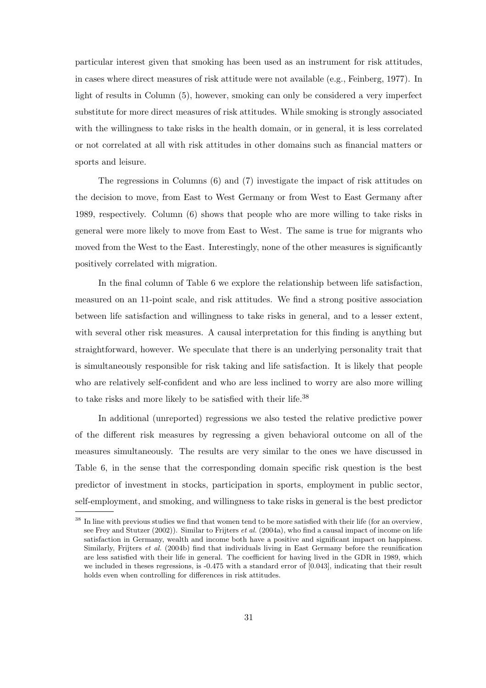particular interest given that smoking has been used as an instrument for risk attitudes, in cases where direct measures of risk attitude were not available (e.g., Feinberg, 1977). In light of results in Column (5), however, smoking can only be considered a very imperfect substitute for more direct measures of risk attitudes. While smoking is strongly associated with the willingness to take risks in the health domain, or in general, it is less correlated or not correlated at all with risk attitudes in other domains such as financial matters or sports and leisure.

The regressions in Columns (6) and (7) investigate the impact of risk attitudes on the decision to move, from East to West Germany or from West to East Germany after 1989, respectively. Column (6) shows that people who are more willing to take risks in general were more likely to move from East to West. The same is true for migrants who moved from the West to the East. Interestingly, none of the other measures is significantly positively correlated with migration.

In the final column of Table 6 we explore the relationship between life satisfaction, measured on an 11-point scale, and risk attitudes. We find a strong positive association between life satisfaction and willingness to take risks in general, and to a lesser extent, with several other risk measures. A causal interpretation for this finding is anything but straightforward, however. We speculate that there is an underlying personality trait that is simultaneously responsible for risk taking and life satisfaction. It is likely that people who are relatively self-confident and who are less inclined to worry are also more willing to take risks and more likely to be satisfied with their life.<sup>38</sup>

In additional (unreported) regressions we also tested the relative predictive power of the different risk measures by regressing a given behavioral outcome on all of the measures simultaneously. The results are very similar to the ones we have discussed in Table 6, in the sense that the corresponding domain specific risk question is the best predictor of investment in stocks, participation in sports, employment in public sector, self-employment, and smoking, and willingness to take risks in general is the best predictor

<sup>&</sup>lt;sup>38</sup> In line with previous studies we find that women tend to be more satisfied with their life (for an overview, see Frey and Stutzer (2002)). Similar to Frijters *et al.* (2004a), who find a causal impact of income on life satisfaction in Germany, wealth and income both have a positive and significant impact on happiness. Similarly, Frijters *et al.* (2004b) find that individuals living in East Germany before the reunification are less satisfied with their life in general. The coefficient for having lived in the GDR in 1989, which we included in theses regressions, is -0.475 with a standard error of [0.043], indicating that their result holds even when controlling for differences in risk attitudes.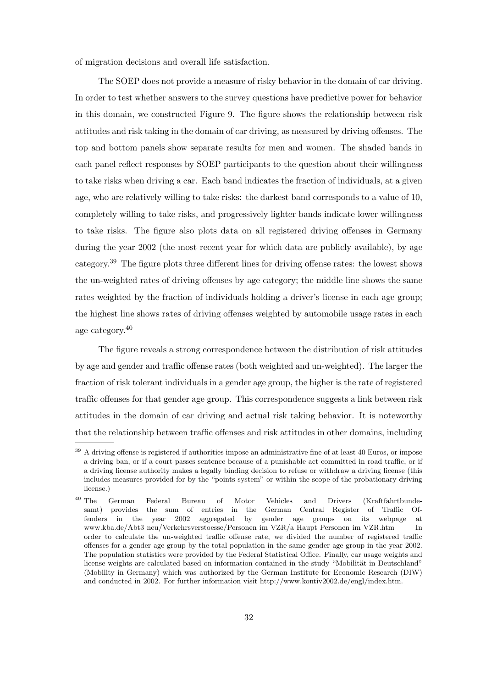of migration decisions and overall life satisfaction.

The SOEP does not provide a measure of risky behavior in the domain of car driving. In order to test whether answers to the survey questions have predictive power for behavior in this domain, we constructed Figure 9. The figure shows the relationship between risk attitudes and risk taking in the domain of car driving, as measured by driving offenses. The top and bottom panels show separate results for men and women. The shaded bands in each panel reflect responses by SOEP participants to the question about their willingness to take risks when driving a car. Each band indicates the fraction of individuals, at a given age, who are relatively willing to take risks: the darkest band corresponds to a value of 10, completely willing to take risks, and progressively lighter bands indicate lower willingness to take risks. The figure also plots data on all registered driving offenses in Germany during the year 2002 (the most recent year for which data are publicly available), by age category.<sup>39</sup> The figure plots three different lines for driving offense rates: the lowest shows the un-weighted rates of driving offenses by age category; the middle line shows the same rates weighted by the fraction of individuals holding a driver's license in each age group; the highest line shows rates of driving offenses weighted by automobile usage rates in each age category.<sup>40</sup>

The figure reveals a strong correspondence between the distribution of risk attitudes by age and gender and traffic offense rates (both weighted and un-weighted). The larger the fraction of risk tolerant individuals in a gender age group, the higher is the rate of registered traffic offenses for that gender age group. This correspondence suggests a link between risk attitudes in the domain of car driving and actual risk taking behavior. It is noteworthy that the relationship between traffic offenses and risk attitudes in other domains, including

<sup>&</sup>lt;sup>39</sup> A driving offense is registered if authorities impose an administrative fine of at least 40 Euros, or impose a driving ban, or if a court passes sentence because of a punishable act committed in road traffic, or if a driving license authority makes a legally binding decision to refuse or withdraw a driving license (this includes measures provided for by the "points system" or within the scope of the probationary driving license.)

<sup>40</sup> The German Federal Bureau of Motor Vehicles and Drivers (Kraftfahrtbundesamt) provides the sum of entries in the German Central Register of Traffic Offenders in the year 2002 aggregated by gender age groups on its webpage at www.kba.de/Abt3 neu/Verkehrsverstoesse/Personen im VZR/a Haupt Personen im VZR.htm In order to calculate the un-weighted traffic offense rate, we divided the number of registered traffic offenses for a gender age group by the total population in the same gender age group in the year 2002. The population statistics were provided by the Federal Statistical Office. Finally, car usage weights and license weights are calculated based on information contained in the study "Mobilität in Deutschland" (Mobility in Germany) which was authorized by the German Institute for Economic Research (DIW) and conducted in 2002. For further information visit http://www.kontiv2002.de/engl/index.htm.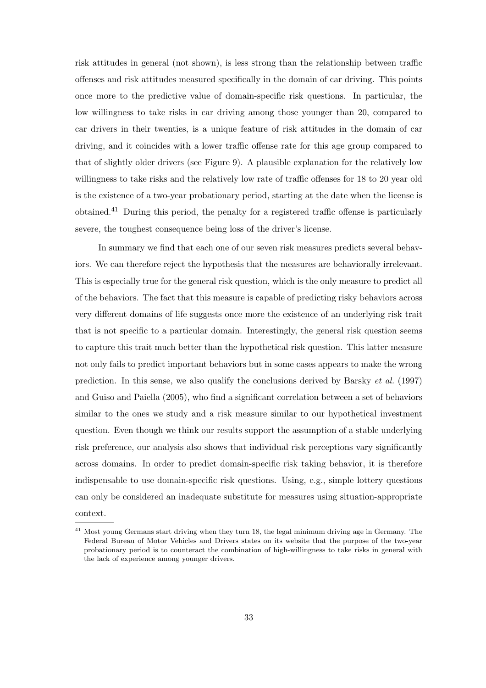risk attitudes in general (not shown), is less strong than the relationship between traffic offenses and risk attitudes measured specifically in the domain of car driving. This points once more to the predictive value of domain-specific risk questions. In particular, the low willingness to take risks in car driving among those younger than 20, compared to car drivers in their twenties, is a unique feature of risk attitudes in the domain of car driving, and it coincides with a lower traffic offense rate for this age group compared to that of slightly older drivers (see Figure 9). A plausible explanation for the relatively low willingness to take risks and the relatively low rate of traffic offenses for 18 to 20 year old is the existence of a two-year probationary period, starting at the date when the license is obtained.<sup>41</sup> During this period, the penalty for a registered traffic offense is particularly severe, the toughest consequence being loss of the driver's license.

In summary we find that each one of our seven risk measures predicts several behaviors. We can therefore reject the hypothesis that the measures are behaviorally irrelevant. This is especially true for the general risk question, which is the only measure to predict all of the behaviors. The fact that this measure is capable of predicting risky behaviors across very different domains of life suggests once more the existence of an underlying risk trait that is not specific to a particular domain. Interestingly, the general risk question seems to capture this trait much better than the hypothetical risk question. This latter measure not only fails to predict important behaviors but in some cases appears to make the wrong prediction. In this sense, we also qualify the conclusions derived by Barsky *et al.* (1997) and Guiso and Paiella (2005), who find a significant correlation between a set of behaviors similar to the ones we study and a risk measure similar to our hypothetical investment question. Even though we think our results support the assumption of a stable underlying risk preference, our analysis also shows that individual risk perceptions vary significantly across domains. In order to predict domain-specific risk taking behavior, it is therefore indispensable to use domain-specific risk questions. Using, e.g., simple lottery questions can only be considered an inadequate substitute for measures using situation-appropriate context.

<sup>&</sup>lt;sup>41</sup> Most young Germans start driving when they turn 18, the legal minimum driving age in Germany. The Federal Bureau of Motor Vehicles and Drivers states on its website that the purpose of the two-year probationary period is to counteract the combination of high-willingness to take risks in general with the lack of experience among younger drivers.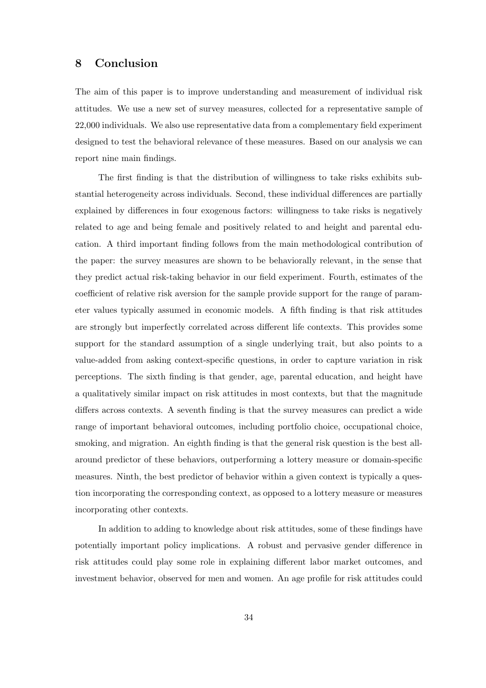### **8 Conclusion**

The aim of this paper is to improve understanding and measurement of individual risk attitudes. We use a new set of survey measures, collected for a representative sample of 22,000 individuals. We also use representative data from a complementary field experiment designed to test the behavioral relevance of these measures. Based on our analysis we can report nine main findings.

The first finding is that the distribution of willingness to take risks exhibits substantial heterogeneity across individuals. Second, these individual differences are partially explained by differences in four exogenous factors: willingness to take risks is negatively related to age and being female and positively related to and height and parental education. A third important finding follows from the main methodological contribution of the paper: the survey measures are shown to be behaviorally relevant, in the sense that they predict actual risk-taking behavior in our field experiment. Fourth, estimates of the coefficient of relative risk aversion for the sample provide support for the range of parameter values typically assumed in economic models. A fifth finding is that risk attitudes are strongly but imperfectly correlated across different life contexts. This provides some support for the standard assumption of a single underlying trait, but also points to a value-added from asking context-specific questions, in order to capture variation in risk perceptions. The sixth finding is that gender, age, parental education, and height have a qualitatively similar impact on risk attitudes in most contexts, but that the magnitude differs across contexts. A seventh finding is that the survey measures can predict a wide range of important behavioral outcomes, including portfolio choice, occupational choice, smoking, and migration. An eighth finding is that the general risk question is the best allaround predictor of these behaviors, outperforming a lottery measure or domain-specific measures. Ninth, the best predictor of behavior within a given context is typically a question incorporating the corresponding context, as opposed to a lottery measure or measures incorporating other contexts.

In addition to adding to knowledge about risk attitudes, some of these findings have potentially important policy implications. A robust and pervasive gender difference in risk attitudes could play some role in explaining different labor market outcomes, and investment behavior, observed for men and women. An age profile for risk attitudes could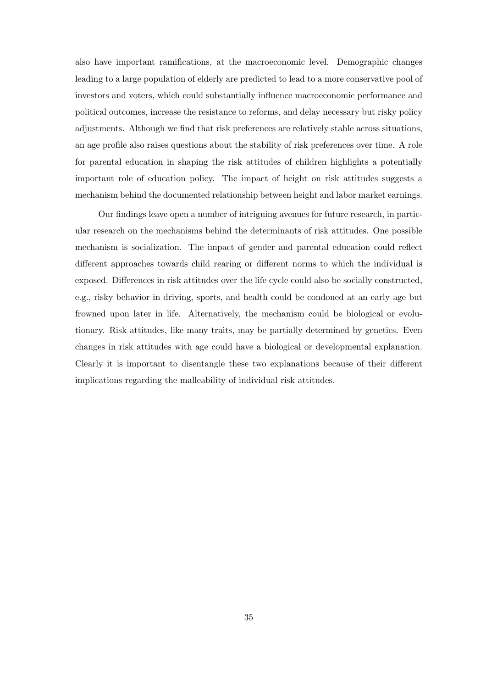also have important ramifications, at the macroeconomic level. Demographic changes leading to a large population of elderly are predicted to lead to a more conservative pool of investors and voters, which could substantially influence macroeconomic performance and political outcomes, increase the resistance to reforms, and delay necessary but risky policy adjustments. Although we find that risk preferences are relatively stable across situations, an age profile also raises questions about the stability of risk preferences over time. A role for parental education in shaping the risk attitudes of children highlights a potentially important role of education policy. The impact of height on risk attitudes suggests a mechanism behind the documented relationship between height and labor market earnings.

Our findings leave open a number of intriguing avenues for future research, in particular research on the mechanisms behind the determinants of risk attitudes. One possible mechanism is socialization. The impact of gender and parental education could reflect different approaches towards child rearing or different norms to which the individual is exposed. Differences in risk attitudes over the life cycle could also be socially constructed, e.g., risky behavior in driving, sports, and health could be condoned at an early age but frowned upon later in life. Alternatively, the mechanism could be biological or evolutionary. Risk attitudes, like many traits, may be partially determined by genetics. Even changes in risk attitudes with age could have a biological or developmental explanation. Clearly it is important to disentangle these two explanations because of their different implications regarding the malleability of individual risk attitudes.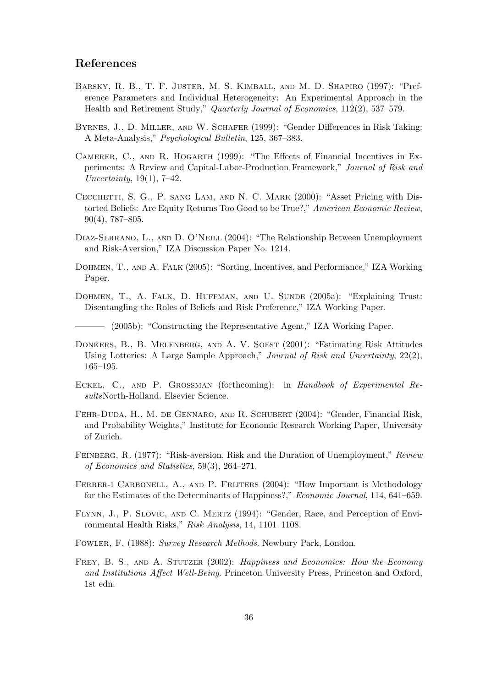#### **References**

- Barsky, R. B., T. F. Juster, M. S. Kimball, and M. D. Shapiro (1997): "Preference Parameters and Individual Heterogeneity: An Experimental Approach in the Health and Retirement Study," *Quarterly Journal of Economics*, 112(2), 537–579.
- Byrnes, J., D. Miller, and W. Schafer (1999): "Gender Differences in Risk Taking: A Meta-Analysis," *Psychological Bulletin*, 125, 367–383.
- CAMERER, C., AND R. HOGARTH (1999): "The Effects of Financial Incentives in Experiments: A Review and Capital-Labor-Production Framework," *Journal of Risk and Uncertainty*, 19(1), 7–42.
- CECCHETTI, S. G., P. SANG LAM, AND N. C. MARK (2000): "Asset Pricing with Distorted Beliefs: Are Equity Returns Too Good to be True?," *American Economic Review*, 90(4), 787–805.
- DIAZ-SERRANO, L., AND D. O'NEILL (2004): "The Relationship Between Unemployment and Risk-Aversion," IZA Discussion Paper No. 1214.
- Dohmen, T., and A. Falk (2005): "Sorting, Incentives, and Performance," IZA Working Paper.
- DOHMEN, T., A. FALK, D. HUFFMAN, AND U. SUNDE (2005a): "Explaining Trust: Disentangling the Roles of Beliefs and Risk Preference," IZA Working Paper.

(2005b): "Constructing the Representative Agent," IZA Working Paper.

- DONKERS, B., B. MELENBERG, AND A. V. SOEST (2001): "Estimating Risk Attitudes Using Lotteries: A Large Sample Approach," *Journal of Risk and Uncertainty*, 22(2), 165–195.
- Eckel, C., and P. Grossman (forthcoming): in *Handbook of Experimental Results*North-Holland. Elsevier Science.
- Fehr-Duda, H., M. de Gennaro, and R. Schubert (2004): "Gender, Financial Risk, and Probability Weights," Institute for Economic Research Working Paper, University of Zurich.
- Feinberg, R. (1977): "Risk-aversion, Risk and the Duration of Unemployment," *Review of Economics and Statistics*, 59(3), 264–271.
- FERRER-I CARBONELL, A., AND P. FRIJTERS (2004): "How Important is Methodology for the Estimates of the Determinants of Happiness?," *Economic Journal*, 114, 641–659.
- FLYNN, J., P. SLOVIC, AND C. MERTZ (1994): "Gender, Race, and Perception of Environmental Health Risks," *Risk Analysis*, 14, 1101–1108.
- Fowler, F. (1988): *Survey Research Methods*. Newbury Park, London.
- Frey, B. S., and A. Stutzer (2002): *Happiness and Economics: How the Economy and Institutions Affect Well-Being*. Princeton University Press, Princeton and Oxford, 1st edn.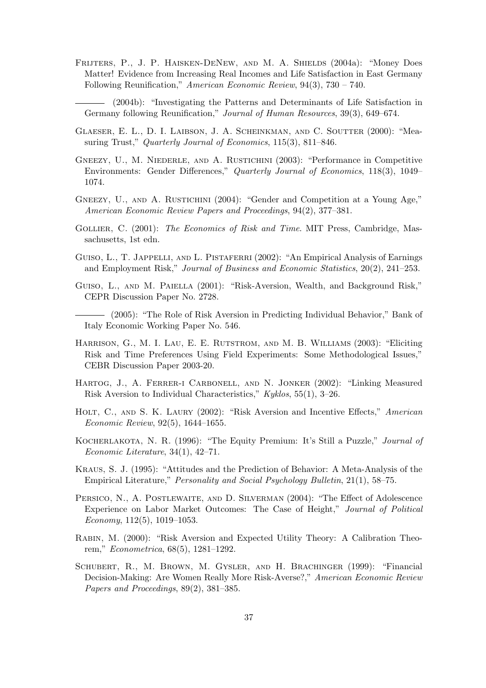Frijters, P., J. P. Haisken-DeNew, and M. A. Shields (2004a): "Money Does Matter! Evidence from Increasing Real Incomes and Life Satisfaction in East Germany Following Reunification," *American Economic Review*, 94(3), 730 – 740.

(2004b): "Investigating the Patterns and Determinants of Life Satisfaction in Germany following Reunification," *Journal of Human Resources*, 39(3), 649–674.

- Glaeser, E. L., D. I. Laibson, J. A. Scheinkman, and C. Soutter (2000): "Measuring Trust," *Quarterly Journal of Economics*, 115(3), 811–846.
- GNEEZY, U., M. NIEDERLE, AND A. RUSTICHINI (2003): "Performance in Competitive Environments: Gender Differences," *Quarterly Journal of Economics*, 118(3), 1049– 1074.
- GNEEZY, U., AND A. RUSTICHINI (2004): "Gender and Competition at a Young Age," *American Economic Review Papers and Proceedings*, 94(2), 377–381.
- Gollier, C. (2001): *The Economics of Risk and Time*. MIT Press, Cambridge, Massachusetts, 1st edn.
- GUISO, L., T. JAPPELLI, AND L. PISTAFERRI (2002): "An Empirical Analysis of Earnings and Employment Risk," *Journal of Business and Economic Statistics*, 20(2), 241–253.
- GUISO, L., AND M. PAIELLA (2001): "Risk-Aversion, Wealth, and Background Risk," CEPR Discussion Paper No. 2728.
- (2005): "The Role of Risk Aversion in Predicting Individual Behavior," Bank of Italy Economic Working Paper No. 546.
- Harrison, G., M. I. Lau, E. E. Rutstrom, and M. B. Williams (2003): "Eliciting Risk and Time Preferences Using Field Experiments: Some Methodological Issues," CEBR Discussion Paper 2003-20.
- Hartog, J., A. Ferrer-i Carbonell, and N. Jonker (2002): "Linking Measured Risk Aversion to Individual Characteristics," *Kyklos*, 55(1), 3–26.
- Holt, C., and S. K. Laury (2002): "Risk Aversion and Incentive Effects," *American Economic Review*, 92(5), 1644–1655.
- Kocherlakota, N. R. (1996): "The Equity Premium: It's Still a Puzzle," *Journal of Economic Literature*, 34(1), 42–71.
- Kraus, S. J. (1995): "Attitudes and the Prediction of Behavior: A Meta-Analysis of the Empirical Literature," *Personality and Social Psychology Bulletin*, 21(1), 58–75.
- PERSICO, N., A. POSTLEWAITE, AND D. SILVERMAN (2004): "The Effect of Adolescence Experience on Labor Market Outcomes: The Case of Height," *Journal of Political Economy*, 112(5), 1019–1053.
- Rabin, M. (2000): "Risk Aversion and Expected Utility Theory: A Calibration Theorem," *Econometrica*, 68(5), 1281–1292.
- Schubert, R., M. Brown, M. Gysler, and H. Brachinger (1999): "Financial Decision-Making: Are Women Really More Risk-Averse?," *American Economic Review Papers and Proceedings*, 89(2), 381–385.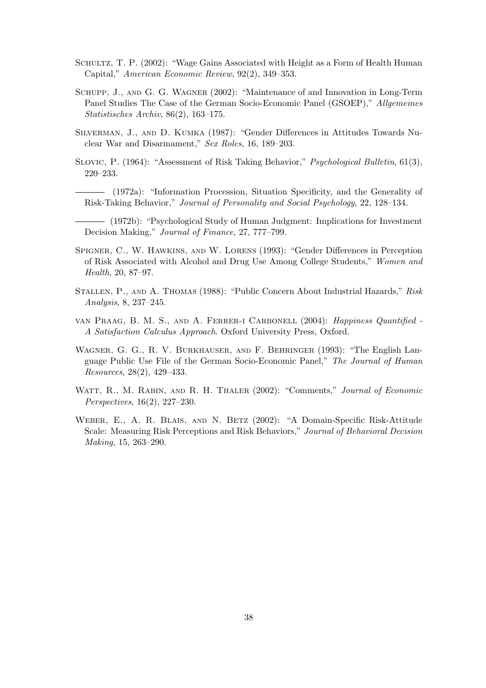- SCHULTZ, T. P. (2002): "Wage Gains Associated with Height as a Form of Health Human Capital," *American Economic Review*, 92(2), 349–353.
- Schupp, J., and G. G. Wagner (2002): "Maintenance of and Innovation in Long-Term Panel Studies The Case of the German Socio-Economic Panel (GSOEP)," *Allgemeines Statistisches Archiv*, 86(2), 163–175.
- Silverman, J., and D. Kumka (1987): "Gender Differences in Attitudes Towards Nuclear War and Disarmament," *Sex Roles*, 16, 189–203.
- Slovic, P. (1964): "Assessment of Risk Taking Behavior," *Psychological Bulletin*, 61(3), 220–233.

(1972a): "Information Procession, Situation Specificity, and the Generality of Risk-Taking Behavior," *Journal of Personality and Social Psychology*, 22, 128–134.

(1972b): "Psychological Study of Human Judgment: Implications for Investment Decision Making," *Journal of Finance*, 27, 777–799.

- Spigner, C., W. Hawkins, and W. Lorens (1993): "Gender Differences in Perception of Risk Associated with Alcohol and Drug Use Among College Students," *Women and Health*, 20, 87–97.
- Stallen, P., and A. Thomas (1988): "Public Concern About Industrial Hazards," *Risk Analysis*, 8, 237–245.
- van Praag, B. M. S., and A. Ferrer-i Carbonell (2004): *Happiness Quantified - A Satisfaction Calculus Approach*. Oxford University Press, Oxford.
- Wagner, G. G., R. V. Burkhauser, and F. Behringer (1993): "The English Language Public Use File of the German Socio-Economic Panel," *The Journal of Human Resources*, 28(2), 429–433.
- Watt, R., M. Rabin, and R. H. Thaler (2002): "Comments," *Journal of Economic Perspectives*, 16(2), 227–230.
- Weber, E., A. R. Blais, and N. Betz (2002): "A Domain-Specific Risk-Attitude Scale: Measuring Risk Perceptions and Risk Behaviors," *Journal of Behavioral Decision Making*, 15, 263–290.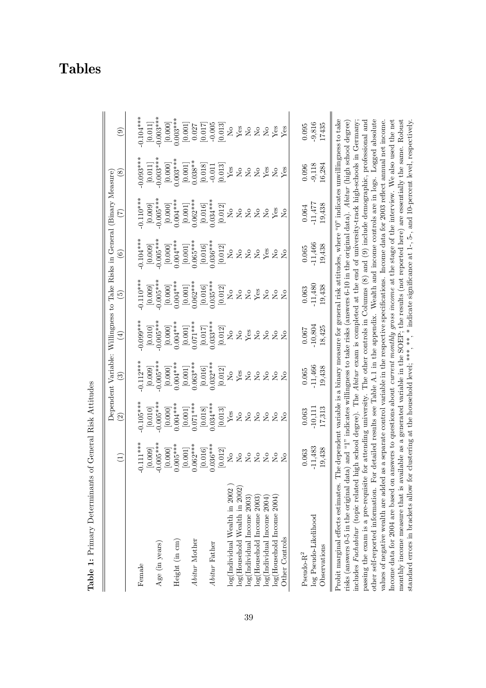|                                                                                                                                                         | $\widehat{\Xi}$                                                        | $\widetilde{\Xi}$    | Dependent Variable: Willingness to Take Risks in General (Binary Measure)<br>$\widetilde{\mathbb{C}}$ | $\widehat{\Xi}$                                                                                        | $\widehat{\mathfrak{S}}$  | $\widehat{\circ}$                                                           |                                                                  | $\circledast$           | ම                                              |
|---------------------------------------------------------------------------------------------------------------------------------------------------------|------------------------------------------------------------------------|----------------------|-------------------------------------------------------------------------------------------------------|--------------------------------------------------------------------------------------------------------|---------------------------|-----------------------------------------------------------------------------|------------------------------------------------------------------|-------------------------|------------------------------------------------|
|                                                                                                                                                         |                                                                        |                      |                                                                                                       |                                                                                                        |                           |                                                                             |                                                                  |                         |                                                |
| Female                                                                                                                                                  | $-0.111***$                                                            | $-0.105***$          | $0.112***$                                                                                            | $-0.099***$                                                                                            | $-0.110***$               | $-0.104***$                                                                 | $0.10***$                                                        | $0.093***$              | $0.104***$                                     |
|                                                                                                                                                         | [0.009]                                                                | [0.010]              | [0.009]                                                                                               | $\left[0.010\right]$                                                                                   | [0.009]                   | [0.009]                                                                     | [0.009]                                                          | $[0.011]$               | $\left[ 0.011\right]$                          |
| Age (in years)                                                                                                                                          | $-0.005***$                                                            | $-0.005***$          | $0.005***$                                                                                            | $0.005***$                                                                                             | $-0.005***$               | $-0.005***$                                                                 | $-0.005***$                                                      | $0.003***$              | $-0.003***$                                    |
|                                                                                                                                                         |                                                                        | [0.000]              | [0.000]                                                                                               |                                                                                                        | [0.000]                   |                                                                             |                                                                  |                         | [0.000]                                        |
| Height (in $\rm cm)$                                                                                                                                    | $[0.000]$<br>$0.005***$                                                | $0.004***$           | $0.004***$                                                                                            | $[0.000]$<br>$0.004***$                                                                                | $0.004***$                | $[0.000]$<br>$0.004***$                                                     | $[0.000]$<br>$0.004***$                                          | $[0.000]$<br>$0.003***$ | $0.003***$                                     |
|                                                                                                                                                         | $[0.001]$<br>$0.062***$                                                | [0.001]              | $[0.001]$                                                                                             | $[0.001]$<br>$0.071***$                                                                                |                           |                                                                             |                                                                  |                         | [0.001]                                        |
| $\label{d1} A \, bitur \ \text{Mother}$                                                                                                                 |                                                                        | $0.071***$           | $0.063***$                                                                                            |                                                                                                        | $[0.001]$<br>0.062***     | $[0.001]$<br>$0.065***$                                                     | $[0.001]$<br>$0.062***$                                          | $[0.001]$<br>$0.038**$  | 0.027                                          |
|                                                                                                                                                         | $\left[0.016\right]$                                                   | $\left[0.018\right]$ | $\left[0.016\right]$                                                                                  |                                                                                                        | [0.016]                   | $\left[0.016\right]$                                                        |                                                                  | $[0.018]$               | $\begin{bmatrix} 0.017 \\ 710.0 \end{bmatrix}$ |
| Abitur Father                                                                                                                                           | $0.036***$                                                             | $0.034***$           | $0.032***$                                                                                            | $[0.017]$<br>0.033***                                                                                  | $0.035***$                | $0.036***$                                                                  | $[0.016]$<br>$0.034***$                                          | $-0.011$                |                                                |
|                                                                                                                                                         | [0.012]                                                                | [0.013]              | [0.012]                                                                                               | [0.012]                                                                                                | [0.012]                   | [0.012]                                                                     | [0.012]                                                          | [0.013]                 | [0.013]                                        |
| log(Individual Wealth in 2002                                                                                                                           | $\overline{S}$                                                         | ${\rm Yes}$          | $\rm \stackrel{\circ}{X}$                                                                             | $\overline{S}$                                                                                         | $\mathsf{S}^{\mathsf{o}}$ | $\mathcal{L}^{\circ}$                                                       | $\rm _{XO}$                                                      | ${\rm Yes}$             |                                                |
| $log(Household$ Wealth in 2002)                                                                                                                         | $\rm \stackrel{\circ}{\rm \stackrel{\circ}{\rm \scriptscriptstyle M}}$ |                      | Yes                                                                                                   |                                                                                                        | $\rm \stackrel{\circ}{X}$ |                                                                             | $\mathop{\mathsf{S}}\nolimits$                                   |                         |                                                |
| log(Indivialual Income 2003)                                                                                                                            | $\rm _{N}^{\circ}$                                                     | 2222                 | $\rm _{N}^{\circ}$                                                                                    | $\overset{\circ}{\text{2}}\overset{\circ}{\text{2}}\overset{\circ}{\text{2}}\overset{\circ}{\text{2}}$ | $2 \frac{8}{2} 8$         | $\stackrel{\circ}{\phantom{}_{\sim}}$ $\stackrel{\circ}{\phantom{}_{\sim}}$ | $\rm \stackrel{\circ}{\rm \stackrel{\circ}{\rm \scriptstyle X}}$ | 2228                    | 2882228                                        |
| log(Household Income 2003)                                                                                                                              | $\sim$                                                                 |                      | $\rm _{N}^{\circ}$                                                                                    |                                                                                                        |                           | $\rm _{X}^{\circ}$                                                          | $\rm _{X}^{\circ}$                                               |                         |                                                |
| log(Individual Income 2004)                                                                                                                             | $\rm _{No}$                                                            |                      | $\rm _{No}$                                                                                           |                                                                                                        |                           | Yes                                                                         | $\mathop{\mathsf{S}}\nolimits$                                   |                         |                                                |
| $log(Household$ Income $2004)$                                                                                                                          | $_{\rm N_o}^{\circ}$                                                   | $\rm _{N}^{\circ}$   | $\overline{\mathsf{S}}$                                                                               | $\rm _{N}^{\circ}$                                                                                     | $\rm _{N}^{\circ}$        | $\rm _{X}^{\circ}$                                                          | Yes                                                              |                         |                                                |
| Other Controls                                                                                                                                          | $\overline{N}$                                                         | $\overline{N}$       | $\overline{N}$                                                                                        | $\tilde{Z}$                                                                                            | $\overline{\Sigma}$       | $\overline{S}$                                                              | $\overline{S}$                                                   | $X_{es}$                | Yes                                            |
|                                                                                                                                                         |                                                                        |                      |                                                                                                       |                                                                                                        |                           |                                                                             |                                                                  |                         |                                                |
| $\mbox{Pseudo-R}^2$                                                                                                                                     | 0.063                                                                  | 0.063                | 0.065                                                                                                 | 0.067                                                                                                  | 0.063                     | 0.065                                                                       | 0.064                                                            | 0.096                   | 0.095                                          |
| log Pseudo-Likelihood                                                                                                                                   | $-11,483$                                                              | $-10,111$            | $-11,466$                                                                                             | $-10,804$                                                                                              | $-11,480$                 | $-11,466$                                                                   | $-11,477$                                                        | $-9,118$                | $-9,816$                                       |
| Observations                                                                                                                                            | 19,438                                                                 | 17,313               | 19,438                                                                                                | 18,425                                                                                                 | 19,438                    | 19,438                                                                      | 19,438                                                           | 16,284                  | 17435                                          |
| Probit marginal effects estimates. The dependent variable is a binary measure for general risk attitudes, where "0" indicates unwillingness to take     |                                                                        |                      |                                                                                                       |                                                                                                        |                           |                                                                             |                                                                  |                         |                                                |
| risks (answers 0-5 in the original data) and "1" indicates willingness to take risks (answers 6-10 in the original data). Abitur (high school degree)   |                                                                        |                      |                                                                                                       |                                                                                                        |                           |                                                                             |                                                                  |                         |                                                |
| includes Fachabitur (topic related high school degree). The Abitur exam is completed at the end of university-track high-schools in Germany             |                                                                        |                      |                                                                                                       |                                                                                                        |                           |                                                                             |                                                                  |                         |                                                |
| passing the exam is a pre-requisite for attending university. The other controls in Columns $(8)$ and $(9)$ include demographic, professional and       |                                                                        |                      |                                                                                                       |                                                                                                        |                           |                                                                             |                                                                  |                         |                                                |
| other self-reported information. For detailed results see Table A.1 in the appendix. Wealth and income controls are in logs. Logged absolute            |                                                                        |                      |                                                                                                       |                                                                                                        |                           |                                                                             |                                                                  |                         |                                                |
| values of negative wealth are added as a separate control variable in the respective specifications. Income data for 2003 reflect annual net income.    |                                                                        |                      |                                                                                                       |                                                                                                        |                           |                                                                             |                                                                  |                         |                                                |
| Income data for 2004 are based on answers to questions about <i>current monthly gross income</i> at the stage of the interview. We also used the net    |                                                                        |                      |                                                                                                       |                                                                                                        |                           |                                                                             |                                                                  |                         |                                                |
| monthly income measure that is available as a generated variable in the SOEP; the results (not reported here) are essentially the same. Robust          |                                                                        |                      |                                                                                                       |                                                                                                        |                           |                                                                             |                                                                  |                         |                                                |
| standard errors in brackets allow for clustering at the household level; ***, *, * indicate significance at 1-, 5-, and 10-percent level, respectively. |                                                                        |                      |                                                                                                       |                                                                                                        |                           |                                                                             |                                                                  |                         |                                                |

Table 1: Primary Determinants of General Risk Attitudes **Table 1:** Primary Determinants of General Risk Attitudes

# Tables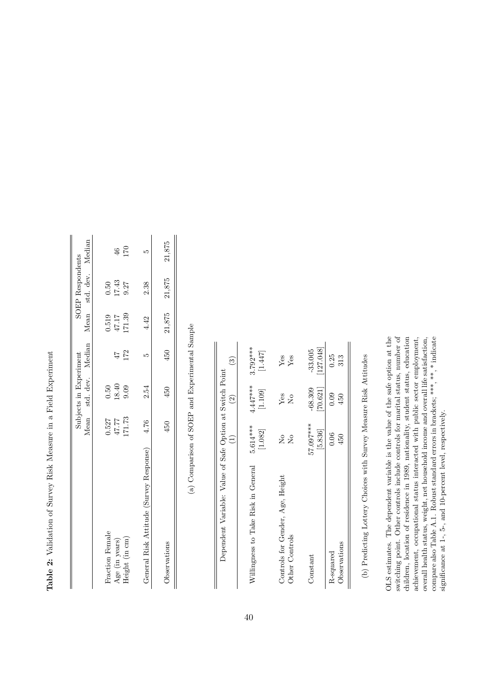| 0.527<br>Fraction Female                     | Mean std. dev. Median Mean std. dev. Median | Subjects in Experiment |                   | SOEP Respondents |               |
|----------------------------------------------|---------------------------------------------|------------------------|-------------------|------------------|---------------|
|                                              |                                             |                        |                   |                  |               |
|                                              |                                             |                        |                   |                  |               |
|                                              | 0.50                                        |                        | 0.519             | 0.50             |               |
| $77.77$<br>Age (in years)                    | 18.40<br>9.09                               | 47                     |                   | $17.43$<br>9.27  | $\frac{6}{5}$ |
| 171.73<br>Height (in cm)                     |                                             | 172                    | $47.17$<br>171.39 |                  | 170           |
|                                              |                                             |                        |                   |                  |               |
| General Risk Attitude (Survey Response) 4.76 | 2.54                                        | 'n,                    | 4.42              | 2.38             | ī.            |
|                                              |                                             |                        |                   |                  |               |
| 450<br>Observations                          | 450                                         | 450                    | 21,875            | 21,875           | 21,875        |

Table 2: Validation of Survey Risk Measure in a Field Experiment **Table 2:** Validation of Survey Risk Measure in a Field Experiment

(a) Comparison of SOEP and Experimental Sample (a) Comparison of SOEP and Experimental Sample

| Dependent Variable: Value of Safe Option at Switch Point | Ξ                         | $\widehat{2}$  | ි                    |
|----------------------------------------------------------|---------------------------|----------------|----------------------|
| Willingness to Take Risk in General                      | $5.614***$                | $4.447***$     | $3.792***$           |
|                                                          | [1.082]                   | [1.109]        | $\left[1.447\right]$ |
| Controls for Gender, Age, Height                         | $\mathsf{S}^{\mathsf{O}}$ | Yes            | ${\rm Yes}$          |
| Other Controls                                           | $\overline{N}$            | $\overline{N}$ | $Y$ es               |
| Constant                                                 | 57.097***                 | [70.621]       | [127.048]            |
|                                                          | [5.836]                   | $-68.309$      | $-33.005$            |
| Observations                                             | 0.06                      | 0.09           | 0.25                 |
| R-squared                                                | 450                       | 450            | 313                  |
|                                                          |                           |                |                      |

(b) Predicting Lottery Choices with Survey Measure Risk Attitudes (b) Predicting Lottery Choices with Survey Measure Risk Attitudes

overall health status, weight, net household income and overall life satisfaction, compare also Table A.1. Robust standard errors in brackets;  $***$ ,  $**$ ,  $*$  indicate OLS estimates. The dependent variable is the value of the safe option at the switching point. Other controls include controls for marital status, number of children, location of residence in 1989, nationality, student status, education switching point. Other controls include controls for marital status, number of achievement, occupational status interacted with public sector employment, OLS estimates. The dependent variable is the value of the safe option at the children, location of residence in 1989, nationality, student status, education achievement, occupational status interacted with public sector employment, overall health status, weight, net household income and overall life satisfaction, compare also Table A.1. Robust standard errors in brackets; \*\*\*, \*\*, \* indicate significance at 1-, 5-, and 10-percent level, respectively. significance at 1-, 5-, and 10-percent level, respectively.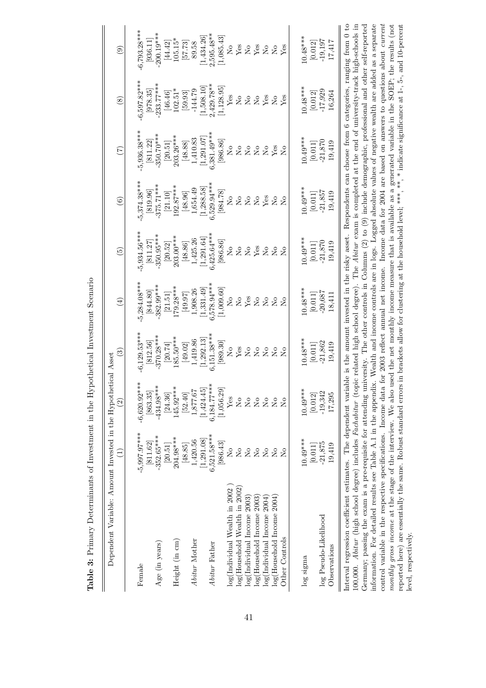| Dependent Variable: Amount Invested in the Hypothetical Asset                                                                                                                                                                                                                                                                                        | Ξ                              | $\widehat{c}$                                                          | ල                                                  | $\bigoplus$               | $\widetilde{5}$ | $\odot$                                                                     | $\widehat{(\mathcal{I})}$ | $\circledS$                                                                                                     | $\widehat{\mathbf{e}}$         |
|------------------------------------------------------------------------------------------------------------------------------------------------------------------------------------------------------------------------------------------------------------------------------------------------------------------------------------------------------|--------------------------------|------------------------------------------------------------------------|----------------------------------------------------|---------------------------|-----------------|-----------------------------------------------------------------------------|---------------------------|-----------------------------------------------------------------------------------------------------------------|--------------------------------|
|                                                                                                                                                                                                                                                                                                                                                      |                                |                                                                        |                                                    |                           |                 |                                                                             |                           |                                                                                                                 |                                |
| Female                                                                                                                                                                                                                                                                                                                                               | $-5,997.97***$                 | $-6,620.92***$                                                         | $-6,129.53***$                                     | $-5,284.08***$            | $-5,934.56***$  | $-5,374.38***$                                                              | $-5,936.38***$            | $-6,597.82***$                                                                                                  | $-6,793.28***$                 |
|                                                                                                                                                                                                                                                                                                                                                      | 811.62                         | [863.35]                                                               | [812.56]                                           | [844.80]                  | [811.27]        | [819.96]                                                                    | [811.22]                  | [978.35]                                                                                                        | [936.11]                       |
| Age (in years)                                                                                                                                                                                                                                                                                                                                       | $-352.65***$                   | $-434.98***$                                                           | $-370.28***$                                       | $-382.99***$              | $-350.95***$    | $-375.71***$                                                                | $-350.70***$              | $-233.77***$                                                                                                    | $-200.19***$                   |
|                                                                                                                                                                                                                                                                                                                                                      | [20.51]                        | [24.36]                                                                | [20.74]                                            | $[21.51]$                 | [20.52]         | [21.10]                                                                     | $\left[20.51\right]$      | [46.46]                                                                                                         | [44.42]                        |
| Height (in cm)                                                                                                                                                                                                                                                                                                                                       | 204.98****                     | 145.92***                                                              | 185.50***                                          | $179.28***$               | 203.00***       | 192.87****                                                                  | 203.26****                | $102.51*$                                                                                                       | $105.15*$                      |
|                                                                                                                                                                                                                                                                                                                                                      | $\left[48.85\right]$           | $\left[52.40\right]$                                                   | $[49.02]$                                          | $\left[79.97\right]$      | $[48.86]$       | $\left[48.96\right]$                                                        | $[48.88]$                 | $\left[ 59.93\right]$                                                                                           | [57.73]                        |
| Abitur Mother                                                                                                                                                                                                                                                                                                                                        | 1,420.56                       | 1,877.67                                                               | 1,419.86                                           | 1,908.26                  | $1,\!425.26$    | 1,654.49                                                                    | $1,\!410.83$              | $-144.79$                                                                                                       | 89.58                          |
|                                                                                                                                                                                                                                                                                                                                                      | [1, 291.08]                    | [1,424.45]                                                             | [1,292.13]                                         | [1, 331.49]               | [1, 291.64]     | [1,288.58]                                                                  | [1, 291.07]               | [1,508.10]                                                                                                      | 1,434.26                       |
| Abitur Father                                                                                                                                                                                                                                                                                                                                        | $6,521.58***$                  | $6,184.77***$                                                          | $6,151.38***$                                      | 6,578.94***               | $6,425.64***$   | 6,529.94***                                                                 | $6,381.49***$             | $2,429.78***$                                                                                                   | $2,595.48**$                   |
|                                                                                                                                                                                                                                                                                                                                                      | [986.43]                       | [1,056.29]                                                             | [989.30]                                           | [1,009.60]                | [986.86]        | [984.78]                                                                    | [986.86]                  | [1, 128.95]                                                                                                     | 1,085.43                       |
| log(Individual Wealth in 2002                                                                                                                                                                                                                                                                                                                        | ż                              | $Y$ es                                                                 | $\overline{\mathsf{S}}$                            | $\overline{S}$            | $\frac{1}{2}$   | ż                                                                           | $\overline{M}$            | ${\rm Yes}$                                                                                                     | $\mathcal{L}_{\mathsf{O}}$     |
| $log(Household$ Wealth in 2002                                                                                                                                                                                                                                                                                                                       | $\overline{\mathsf{X}}$        | $_{\rm N_o}$                                                           | Yes                                                | $\rm \stackrel{\circ}{X}$ | $_{\rm N_o}$    | $\rm \stackrel{\circ}{\rm \stackrel{\circ}{\rm \scriptscriptstyle M}}$      | $\rm _{X}^{\circ}$        | $\rm _{No}$                                                                                                     | ${\rm Yes}$                    |
| $log($ Individual Income $2003$                                                                                                                                                                                                                                                                                                                      | $\overline{\mathsf{S}}$        | $_{\rm N_o}$                                                           | $\rm \stackrel{\circ}{\rm \stackrel{>}{\rm \sim}}$ |                           | $\rm _{No}$     |                                                                             | $\rm _{No}$               | $\rm \stackrel{\circ}{\rm \stackrel{\circ}{\rm \scriptscriptstyle M}}$                                          |                                |
| log(Household Income 2003)                                                                                                                                                                                                                                                                                                                           | $\mathop{\mathsf{S}}\nolimits$ | $\rm \stackrel{\circ}{\rm \stackrel{\circ}{\rm \scriptscriptstyle M}}$ | $\rm _{N}^{\circ}$                                 | $\rm \frac{V_{CS}}{N_O}$  | ${\rm Yes}$     | $\stackrel{\circ}{\phantom{}_{\sim}}$ $\stackrel{\circ}{\phantom{}_{\sim}}$ | $\rm _{No}$               | $\rm _{N}^{\circ}$                                                                                              | $X_{es}$                       |
| log(Individual Income 2004                                                                                                                                                                                                                                                                                                                           | $\mathop{\mathsf{S}}\nolimits$ | $\rm _{No}$                                                            | $\rm _{X}^{\circ}$                                 | $\rm _{X}^{\circ}$        | $\rm _{No}$     | ${\rm Yes}$                                                                 | $\rm \stackrel{\circ}{Z}$ | ${\rm Yes}$                                                                                                     | $\mathop{\mathsf{S}}\nolimits$ |
| log(Household Income 2004)                                                                                                                                                                                                                                                                                                                           | $\overline{\mathsf{S}}$        | $\overline{\mathbf{N}}$                                                | $\overline{S}$                                     | $\overline{N}$            | $\overline{N}$  | $\tilde{z}$                                                                 | Yes                       | $\rm \stackrel{o}{\simeq}$                                                                                      | $\mathsf{S}^{\mathsf{O}}$      |
| Other Controls                                                                                                                                                                                                                                                                                                                                       | Σò                             | $\overline{\Sigma}$                                                    | $\overline{R}$                                     | $\overline{S}$            | $\overline{N}$  | $\overline{R}$                                                              | $\overline{N}$            | $Y$ es                                                                                                          | Yes                            |
|                                                                                                                                                                                                                                                                                                                                                      | $10.49***$                     | $10.49***$                                                             | $10.48***$                                         | $10.48***$                | $10.49***$      | $10.49***$                                                                  | $10.49***$                | $10.48***$                                                                                                      | $10.48***$                     |
| log sigma                                                                                                                                                                                                                                                                                                                                            |                                |                                                                        |                                                    |                           |                 |                                                                             |                           |                                                                                                                 |                                |
|                                                                                                                                                                                                                                                                                                                                                      | $\left[ 0.011\right]$          | [0.012]                                                                | $\left[ 0.011\right]$                              | [0.011]                   | $[0.011]$       | [0.011]                                                                     | $[0.011]$                 | [0.012]                                                                                                         | [0.012]                        |
| log Pseudo-Likelihood                                                                                                                                                                                                                                                                                                                                | $-21,875$                      | $-19,342$                                                              | $-21,862$                                          | $-20,687$                 | $-21,870$       | $-21,857$                                                                   | $-21,870$                 | $-17,929$                                                                                                       | $-19,197$                      |
| Observations                                                                                                                                                                                                                                                                                                                                         | 19,419                         | 17,295                                                                 | 19,419                                             | 18,411                    | 19,419          | 19,419                                                                      | 19,419                    | 16,264                                                                                                          | 17,417                         |
|                                                                                                                                                                                                                                                                                                                                                      |                                |                                                                        |                                                    |                           |                 |                                                                             |                           |                                                                                                                 |                                |
| Interval regression coefficient estimates. The dependent variable is the amount invested in the risky asset. Respondents can choose from 6 categories, ranging from 0 to<br>100,000. Abitur (high school degree) includes Fachabitur (topic related high school degree). The Abitur exam is completed at the end of university-track high-schools in |                                |                                                                        |                                                    |                           |                 |                                                                             |                           |                                                                                                                 |                                |
| Germany; passing the exam is a pre-requisite for attending university. The other controls in Columns $(2)$ to $(9)$ include demographic, professional and other self-reported                                                                                                                                                                        |                                |                                                                        |                                                    |                           |                 |                                                                             |                           |                                                                                                                 |                                |
| information. For detailed results see Table A.1 in the appendix. Wealth and income controls are in logs. Logged absolute values of negative wealth are added as a separate                                                                                                                                                                           |                                |                                                                        |                                                    |                           |                 |                                                                             |                           |                                                                                                                 |                                |
| control variable in the respective specifications. Income data                                                                                                                                                                                                                                                                                       |                                |                                                                        |                                                    |                           |                 |                                                                             |                           | for 2003 reflect annual net income. Income data for 2004 are based on answers to questions about <i>current</i> |                                |
| monthly gross income at the stage of the interview. We also i                                                                                                                                                                                                                                                                                        |                                |                                                                        |                                                    |                           |                 |                                                                             |                           | used the net monthly income measure that is available as a generated variable in the SOEP; the results (not     |                                |
| reported here) are essentially the same. Robust standard errors in brackets allow for clustering at the household level; ***, **, indicate significance at 1-, 5-, and 10-percent                                                                                                                                                                    |                                |                                                                        |                                                    |                           |                 |                                                                             |                           |                                                                                                                 |                                |
| level, respectively.                                                                                                                                                                                                                                                                                                                                 |                                |                                                                        |                                                    |                           |                 |                                                                             |                           |                                                                                                                 |                                |

Table 3: Primary Determinants of Investment in the Hypothetical Investment Scenario **Table 3:** Primary Determinants of Investment in the Hypothetical Investment Scenario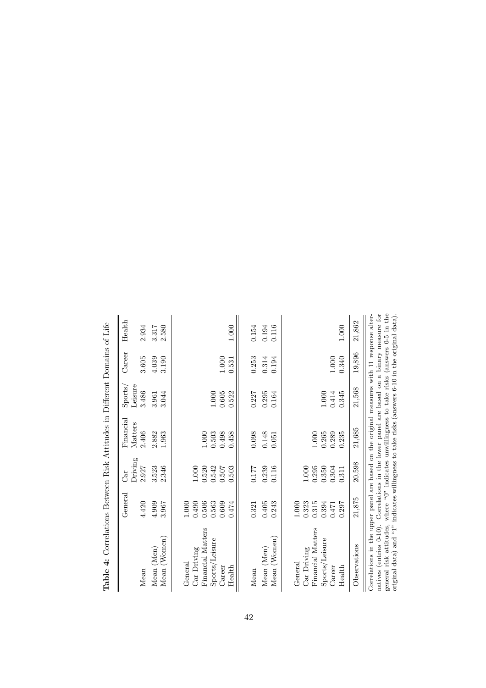| Correlations in the upper panel are based on the original measures with 11 response alter-<br>19,896<br>0.340<br>3.190<br>3.605<br>4.039<br>$1.000\,$<br>0.253<br>0.194<br>$1.000\,$<br>0.314<br>0.531<br>21,568<br>3.486<br>$1.000\,$<br>0.605<br>0.522<br>3.044<br>0.227<br>0.295<br>0.164<br>$1.000\,$<br>0.414<br>0.345<br>3.961<br>21,685<br>2.406<br>2.882<br>1.963<br>0.503<br>0.498<br>1.000<br>0.458<br>0.098<br>0.148<br>0.265<br>0.289<br>0.235<br>1.000<br>0.051<br>20,598<br>2.346<br>2.927<br>3.523<br>0.542<br>0.304<br>$1.000\,$<br>0.520<br>0.507<br>0.503<br>0.177<br>0.239<br>0.116<br>$1.000\,$<br>0.295<br>0.350<br>0.311<br>21,875<br>4.909<br>0.506<br>0.563<br>0.609<br>0.323<br>0.394<br>4.420<br>3.967<br>0.490<br>0.243<br>$1.000\,$<br>0.315<br>1.000<br>0.474<br>0.405<br>0.297<br>0.471<br>0.321<br>Financial Matters<br>Financial Matters<br>(Women)<br>(Women)<br>Sports/Leisure<br>Sports/Leisure<br>Observations<br>Mean (Men)<br>Car Driving<br>Car Driving<br>(Men)<br>General<br>General<br>Health<br>Health<br>Career<br>Career<br>Mean<br>Mean<br>Mean<br>Mean<br>Mean | $\operatorname{General}$ | Car     | Financial | Sports/ | Career | Health         |
|---------------------------------------------------------------------------------------------------------------------------------------------------------------------------------------------------------------------------------------------------------------------------------------------------------------------------------------------------------------------------------------------------------------------------------------------------------------------------------------------------------------------------------------------------------------------------------------------------------------------------------------------------------------------------------------------------------------------------------------------------------------------------------------------------------------------------------------------------------------------------------------------------------------------------------------------------------------------------------------------------------------------------------------------------------------------------------------------------------------|--------------------------|---------|-----------|---------|--------|----------------|
|                                                                                                                                                                                                                                                                                                                                                                                                                                                                                                                                                                                                                                                                                                                                                                                                                                                                                                                                                                                                                                                                                                               |                          | Driving | Matters   | Leisure |        | 2.934          |
|                                                                                                                                                                                                                                                                                                                                                                                                                                                                                                                                                                                                                                                                                                                                                                                                                                                                                                                                                                                                                                                                                                               |                          |         |           |         |        | 2.580<br>3.317 |
|                                                                                                                                                                                                                                                                                                                                                                                                                                                                                                                                                                                                                                                                                                                                                                                                                                                                                                                                                                                                                                                                                                               |                          |         |           |         |        |                |
|                                                                                                                                                                                                                                                                                                                                                                                                                                                                                                                                                                                                                                                                                                                                                                                                                                                                                                                                                                                                                                                                                                               |                          |         |           |         |        |                |
|                                                                                                                                                                                                                                                                                                                                                                                                                                                                                                                                                                                                                                                                                                                                                                                                                                                                                                                                                                                                                                                                                                               |                          |         |           |         |        |                |
|                                                                                                                                                                                                                                                                                                                                                                                                                                                                                                                                                                                                                                                                                                                                                                                                                                                                                                                                                                                                                                                                                                               |                          |         |           |         |        |                |
|                                                                                                                                                                                                                                                                                                                                                                                                                                                                                                                                                                                                                                                                                                                                                                                                                                                                                                                                                                                                                                                                                                               |                          |         |           |         |        |                |
|                                                                                                                                                                                                                                                                                                                                                                                                                                                                                                                                                                                                                                                                                                                                                                                                                                                                                                                                                                                                                                                                                                               |                          |         |           |         |        |                |
|                                                                                                                                                                                                                                                                                                                                                                                                                                                                                                                                                                                                                                                                                                                                                                                                                                                                                                                                                                                                                                                                                                               |                          |         |           |         |        | 1.000          |
|                                                                                                                                                                                                                                                                                                                                                                                                                                                                                                                                                                                                                                                                                                                                                                                                                                                                                                                                                                                                                                                                                                               |                          |         |           |         |        | 0.154          |
|                                                                                                                                                                                                                                                                                                                                                                                                                                                                                                                                                                                                                                                                                                                                                                                                                                                                                                                                                                                                                                                                                                               |                          |         |           |         |        | 0.194          |
|                                                                                                                                                                                                                                                                                                                                                                                                                                                                                                                                                                                                                                                                                                                                                                                                                                                                                                                                                                                                                                                                                                               |                          |         |           |         |        | 0.116          |
|                                                                                                                                                                                                                                                                                                                                                                                                                                                                                                                                                                                                                                                                                                                                                                                                                                                                                                                                                                                                                                                                                                               |                          |         |           |         |        |                |
|                                                                                                                                                                                                                                                                                                                                                                                                                                                                                                                                                                                                                                                                                                                                                                                                                                                                                                                                                                                                                                                                                                               |                          |         |           |         |        |                |
|                                                                                                                                                                                                                                                                                                                                                                                                                                                                                                                                                                                                                                                                                                                                                                                                                                                                                                                                                                                                                                                                                                               |                          |         |           |         |        |                |
|                                                                                                                                                                                                                                                                                                                                                                                                                                                                                                                                                                                                                                                                                                                                                                                                                                                                                                                                                                                                                                                                                                               |                          |         |           |         |        |                |
|                                                                                                                                                                                                                                                                                                                                                                                                                                                                                                                                                                                                                                                                                                                                                                                                                                                                                                                                                                                                                                                                                                               |                          |         |           |         |        |                |
|                                                                                                                                                                                                                                                                                                                                                                                                                                                                                                                                                                                                                                                                                                                                                                                                                                                                                                                                                                                                                                                                                                               |                          |         |           |         |        |                |
|                                                                                                                                                                                                                                                                                                                                                                                                                                                                                                                                                                                                                                                                                                                                                                                                                                                                                                                                                                                                                                                                                                               |                          |         |           |         |        | 1.000          |
|                                                                                                                                                                                                                                                                                                                                                                                                                                                                                                                                                                                                                                                                                                                                                                                                                                                                                                                                                                                                                                                                                                               |                          |         |           |         |        | 21,862         |
| general risk attitudes, where "0" indicates unwillingness to take risks (answers 0-5 in the<br>natives (entries 0-10). Correlations in the lower panel are based on a binary measure for                                                                                                                                                                                                                                                                                                                                                                                                                                                                                                                                                                                                                                                                                                                                                                                                                                                                                                                      |                          |         |           |         |        |                |

| ו<br>י<br>$\frac{1}{\zeta}$                          |
|------------------------------------------------------|
|                                                      |
| ζ<br>i<br>San San<br>י<br>ו<br>j<br>ļ                |
|                                                      |
| j<br>l<br>i<br>ĺ<br>؟<br>أ                           |
|                                                      |
|                                                      |
| ı                                                    |
| ۔<br>م<br>$\ddot{\phantom{0}}$<br>ì                  |
| :<br>(<br>$\begin{array}{c} \hline \end{array}$<br>I |
| į<br>i.                                              |
|                                                      |
| l<br>J                                               |
| $\vdots$                                             |
|                                                      |
| l<br>l<br>ì                                          |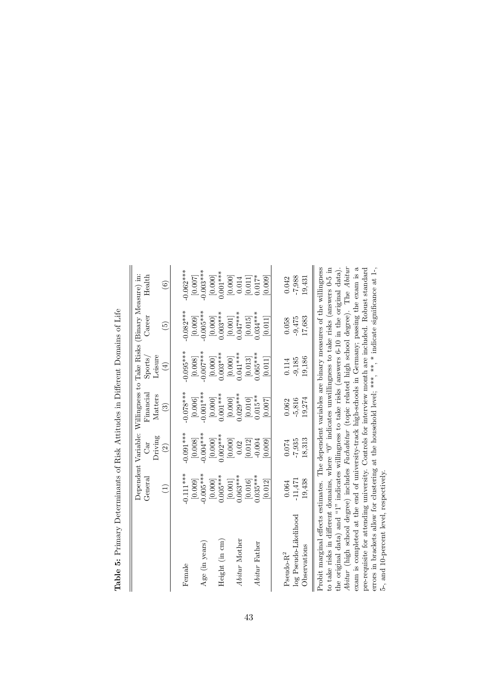|                            |               |             | Dependent Variable: Willingness to Take Risks (Binary Measure) in: |                 |                                                                                                                                                                                                                                                                                                                                                                                                                                                                                                                                                                          |             |
|----------------------------|---------------|-------------|--------------------------------------------------------------------|-----------------|--------------------------------------------------------------------------------------------------------------------------------------------------------------------------------------------------------------------------------------------------------------------------------------------------------------------------------------------------------------------------------------------------------------------------------------------------------------------------------------------------------------------------------------------------------------------------|-------------|
|                            | General       | Car         | Financial                                                          | ${\rm Sports}/$ | Career                                                                                                                                                                                                                                                                                                                                                                                                                                                                                                                                                                   | Health      |
|                            |               | Driving     | Matters                                                            | Leisure         |                                                                                                                                                                                                                                                                                                                                                                                                                                                                                                                                                                          |             |
|                            | $\widehat{E}$ | $\odot$     | $\odot$                                                            | $(\pm)$         | $\widetilde{5}$                                                                                                                                                                                                                                                                                                                                                                                                                                                                                                                                                          | $\odot$     |
|                            |               |             |                                                                    |                 |                                                                                                                                                                                                                                                                                                                                                                                                                                                                                                                                                                          |             |
| Female                     | $-0.111***$   | $-0.091***$ | $-0.078***$                                                        | $-0.095***$     | $-0.082***$                                                                                                                                                                                                                                                                                                                                                                                                                                                                                                                                                              | $-0.062***$ |
|                            | [0.009]       | [0.008]     | [0.006]                                                            | [0.008]         | [0.009]                                                                                                                                                                                                                                                                                                                                                                                                                                                                                                                                                                  | [0.007]     |
| Age (in years)             | $-0.005$ ***  | $-0.004***$ | $-0.001$ ***                                                       | $-0.007$ ***    | $-0.005***$                                                                                                                                                                                                                                                                                                                                                                                                                                                                                                                                                              | $-0.003***$ |
|                            | [0.000]       | [0.000]     | [0.000]                                                            | [0.000]         | $[0.000]$                                                                                                                                                                                                                                                                                                                                                                                                                                                                                                                                                                | [0.000]     |
| Height (in cm)             | $0.005***$    | $0.002***$  | $0.001***$                                                         | $0.003***$      | $0.003***$                                                                                                                                                                                                                                                                                                                                                                                                                                                                                                                                                               | $0.001***$  |
|                            | $[0.001]$     | [0.000]     | [0.000]                                                            | [0.000]         | $[0.001]$                                                                                                                                                                                                                                                                                                                                                                                                                                                                                                                                                                | [0.000]     |
| Abitur Mother              | $0.063***$    | 0.02        | $0.029***$                                                         | $0.041***$      | $0.047***$                                                                                                                                                                                                                                                                                                                                                                                                                                                                                                                                                               | 0.014       |
|                            | [0.016]       | [0.012]     | [0.010]                                                            | [0.013]         | $[0.015] \centering% \includegraphics[width=1.0\textwidth]{Figures/PN1000.pdf} \includegraphics[width=1.0\textwidth]{Figures/PN1000.pdf} \includegraphics[width=1.0\textwidth]{Figures/PN1000.pdf} \includegraphics[width=1.0\textwidth]{Figures/PN1000.pdf} \includegraphics[width=1.0\textwidth]{Figures/PN1000.pdf} \includegraphics[width=1.0\textwidth]{Figures/PN1000.pdf} \includegraphics[width=1.0\textwidth]{Figures/PN1000.pdf} \includegraphics[width=1.0\textwidth]{Figures/PN1000.pdf} \includegraphics[width=1.0\textwidth]{Figures/PN1000.pdf} \include$ | [0.011]     |
| Abitur Father              | $0.035***$    | $-0.004$    | $0.015**$                                                          | $0.065***$      | $0.034***$                                                                                                                                                                                                                                                                                                                                                                                                                                                                                                                                                               | $0.017*$    |
|                            | [0.012]       | [0.009]     | 0.007                                                              | 0.011           | 0.011                                                                                                                                                                                                                                                                                                                                                                                                                                                                                                                                                                    | [0.009]     |
|                            |               |             |                                                                    |                 |                                                                                                                                                                                                                                                                                                                                                                                                                                                                                                                                                                          |             |
| $\mbox{Pseudo-}\mbox{R}^2$ | 0.064         | 0.074       | 0.062                                                              | 0.114           | 0.058                                                                                                                                                                                                                                                                                                                                                                                                                                                                                                                                                                    | 0.042       |
| log Pseudo-Likelihood      | $-11,471$     | $-7,935$    | $-5,816$                                                           | $-9,185$        | $-9,475$                                                                                                                                                                                                                                                                                                                                                                                                                                                                                                                                                                 | $-7,988$    |
| Observations               | 19,438        | 18,313      | 19,274                                                             | 19,186          | 17,683                                                                                                                                                                                                                                                                                                                                                                                                                                                                                                                                                                   | 19,431      |

**Table 5:** Primary Determinants of Risk Attitudes in Different Domains of Life -1: I ع.  $\overline{\phantom{a}}$  $\overline{P}$  $\colon \mathsf{D} \colon \mathsf{f}$  $x$  Diale  $\Lambda$   $\mu$ itaalaa  $\frac{1}{4}$  $\ddot{\phantom{0}}$  $\Gamma$  $T - L$ ]  $\approx$   $E$ .  $D$ 

 $\frac{1}{2}$ the original data) and "1" indicates willingness to take risks (answers 6-10 in the original data).<br>Abitur (high school degree) includes *Fachabitur* (topic related high school degree). The Abitur exam is completed at the end of university-track high-schools in Germany; passing the exam is a<br>pre-requisite for attending university. Controls for interview month are included. Robust standard<br>errors in brackets allow f *Abitur* (high school degree) includes *Fachabitur* (topic related high school degree). The *Abitur* Probit marginal effects estimates. The dependent variables are binary measures of the willingness to take risks in different domains, where "0" indicates unwillingness to take risks (answers 0-5 in the original data) and "1" indicates willingness to take risks (answers 6-10 in the original data). exam is completed at the end of university-track high-schools in Germany; passing the exam is a pre-requisite for attending university. Controls for interview month are included. Robust standard errors in brackets allow for clustering at the household level; \*\*\*, \*\*, \* indicate significance at 1-, 5-, and 10-percent level, respectively.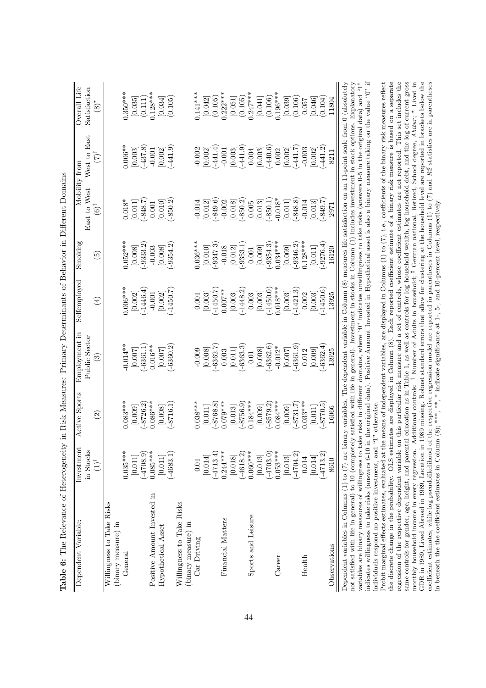| Dependent Variable:                                                                                                                                                                                                                                                                                                                            | Investment<br>in Stocks | Active Sports            | Employment in<br>Public Sector | Selfemployed           | Smokin                     | East to West     | West to East<br>Mobility from | Overall Life<br>Satisfaction |
|------------------------------------------------------------------------------------------------------------------------------------------------------------------------------------------------------------------------------------------------------------------------------------------------------------------------------------------------|-------------------------|--------------------------|--------------------------------|------------------------|----------------------------|------------------|-------------------------------|------------------------------|
|                                                                                                                                                                                                                                                                                                                                                | $(1)$ <sup>†</sup>      | $\widehat{\mathfrak{S}}$ | ව                              | $\bigoplus$            | $\widetilde{\mathfrak{G}}$ | $(6)^{\ddagger}$ | $(7)^{\ddagger}$              | $\circledS$                  |
| Willingness to Take Risks                                                                                                                                                                                                                                                                                                                      |                         |                          |                                |                        |                            |                  |                               |                              |
| (binary measure) in                                                                                                                                                                                                                                                                                                                            |                         |                          |                                |                        |                            |                  |                               |                              |
| General                                                                                                                                                                                                                                                                                                                                        | $0.035***$              | $0.083***$               | $0.014**$                      | $0.006***$             | $0.052***$                 | $0.018*$         | $0.006**$                     | $0.350***$                   |
|                                                                                                                                                                                                                                                                                                                                                | [0.011]                 | [0.009]                  | [0.007]                        | [0.002]                | [0.008]                    | [0.011]          | $[0.003]$<br>(-437.8)         | [0.035]                      |
|                                                                                                                                                                                                                                                                                                                                                | (0.8024)                | $-8726.2$                | $-6361.1$                      | $-1446.4$              | $-9333.2$                  | $(-848.7)$       |                               | (0.111)                      |
| Positive Amount Invested in                                                                                                                                                                                                                                                                                                                    | $0.085***$              | $0.086***$               | $0.016**$                      | $-0.001$               | $-0.003$                   | $0.001\,$        | $-0.001$                      | $0.128***$                   |
| Hypothetical Asset                                                                                                                                                                                                                                                                                                                             | $\left[ 0.011\right]$   | [0.008]                  | [0.007]                        | $[0.002]$<br>(-1450.7) | [0.008]                    | [0.010]          | [0.002]                       | [0.034]                      |
|                                                                                                                                                                                                                                                                                                                                                | $(-4683.1)$             | $-8716.1$                | $-6360.2$                      |                        | $-9354.2$                  | $(-850.2)$       | $(-441.9)$                    | (0.105)                      |
| Willingness to Take Risks                                                                                                                                                                                                                                                                                                                      |                         |                          |                                |                        |                            |                  |                               |                              |
| (binary measure) in                                                                                                                                                                                                                                                                                                                            |                         |                          |                                |                        |                            |                  |                               |                              |
| Car Driving                                                                                                                                                                                                                                                                                                                                    | 0.01                    | $0.038***$               | $-0.009$                       | 0.001                  | $036***$                   | $-0.014$         | $-0.002$                      | $0.141***$                   |
|                                                                                                                                                                                                                                                                                                                                                | [0.014]                 | [0.011]                  | [0.008]                        | [0.003]                | [0.010]                    | [0.012]          | [0.002]                       | [0.042]                      |
|                                                                                                                                                                                                                                                                                                                                                | $(-4713.4)$             | $-8768.8$                | $-6362.7$                      | $-1450.7$              | $-9347.3$                  | $(-849.6)$       | $(-441.4)$                    | (0.105)                      |
| Financial Matters                                                                                                                                                                                                                                                                                                                              | $0.244***$              | $0.079***$               | 0.003                          | $0.007**$              | $-0.018$                   | $-0.002$         | $-0.001$                      | $0.222***$                   |
|                                                                                                                                                                                                                                                                                                                                                | [0.018]                 | [0.013]                  | [0.011]                        | $\left[0.003\right]$   | [0.012]                    | [0.018]          | [0.003]                       | [0.051]                      |
|                                                                                                                                                                                                                                                                                                                                                | $(-4618.2)$             | $(-8756.9)$              | $-6363.3$                      | $-1448.2$              | $(-9353.1$                 | $(-850.2)$       | $(-441.9)$                    | (0.105)                      |
| Sports and Leisure                                                                                                                                                                                                                                                                                                                             | $0.060***$              | $0.184***$               | 0.01                           | 0.003                  | 0.001                      | 0.005            | 0.004                         | $0.247***$                   |
|                                                                                                                                                                                                                                                                                                                                                | $[0.013]$               | [0.009]                  | [0.008]                        | [0.003]                | [0.009]                    | [0.013]          | [0.003]                       | [0.041]                      |
|                                                                                                                                                                                                                                                                                                                                                | $(-4703.0)$             | $-8579.2$                | $-6362.6$                      | $(-1450.0)$            | $-9354.3$                  | $(-850.1)$       | $-440.6$                      | (0.106)                      |
| Career                                                                                                                                                                                                                                                                                                                                         | $0.053***$              | $0.084***$               | $-0.012*$                      | $0.018***$             | $0.034***$                 | $-0.018*$        | 0.002                         | $0.196***$                   |
|                                                                                                                                                                                                                                                                                                                                                | [0.013]                 | [0.009]                  | [0.007]                        | [0.003]                | [0.009]                    | $[0.011]$        | [0.002]                       | [0.039]                      |
|                                                                                                                                                                                                                                                                                                                                                | $(-4704.2)$             | $-8731.7$                | $-6361.9$                      | $-1421.3$              | $-9346.2$                  | $(-848.8)$       | $-441.7$                      | (0.106)                      |
| Health                                                                                                                                                                                                                                                                                                                                         | 0.014                   | $0.033***$               | 0.012                          | 0.002                  | $0.128***$                 | $-0.014$         | $-0.003$                      | 0.057                        |
|                                                                                                                                                                                                                                                                                                                                                | [0.014]                 | [0.011]                  | [0.009]                        | [0.003]                | 0.011                      | [0.013]          | [0.002]                       | [0.046]                      |
|                                                                                                                                                                                                                                                                                                                                                | $(-4713.2)$             | $-8770.5$                | $-6362.4$                      | $-1450.6$              | $-9276.4$ )                | $-849.7$         | $(-441.2)$                    | (0.104)                      |
| Observations                                                                                                                                                                                                                                                                                                                                   | 8610                    | 16066                    | 13925                          | 13925                  | 16120                      | 2971             | 8211                          | 11804                        |
| Dependent variables in Columns (1) to (7) are binary variables. The dependent variable in Column (8) measures life satisfaction on an 11-point scale from 0 (absolutely                                                                                                                                                                        |                         |                          |                                |                        |                            |                  |                               |                              |
| variables are binary measures of willingness to take risks in different domains, where "0" indicates unwillingness to take risks (answers 0-5 in the original data) and "1"<br>not satisfied with life in general) to 10 (completely satisfied with life in general). Investment in stocks in Column (1) includes investment in stock options. |                         |                          |                                |                        |                            |                  |                               | Explanatory                  |
| indicates willingness to take risks (answers 6-10 in the original data). Positive Amount Invested in Hypothetical asset is also a binary measure taking on the value "0" if                                                                                                                                                                    |                         |                          |                                |                        |                            |                  |                               |                              |
| Probit marginal effects estimates, evaluated at the means of independent variables, are displayed in Columns $(1)$ to $(7)$ , i.e., coefficients of the binary risk measures reflect<br>individuals respond no positive investment, and                                                                                                        |                         | "1" otherwise            |                                |                        |                            |                  |                               |                              |

the discrete change in the probability. OLS estimates are displayed in Column (8). Each reported coefficient estimate of a binary risk measure is based on a separate monthly household income in every regression. Additional controls: <sup>†</sup> Number of Adults in household; <sup>†</sup> German national, Retired, School degree, Abitur; \* Lived in GDR in 1989, Lived of Adults in 1989, Location in 1989 coefficient estimates, while log pseudolikelihood of the respective regression model are reported in parentheses in Columns (1) to (7) and  $R\hat{g}$  statistics are in parentheses in beneath the the coefficient stimates in regression of the respective dependent variable on this particular risk measure and a set of controls, whose coefficient estimates are not reported. This set includes the same controls for gender, age, height, and parental education as in Table 1, as well as controls for log household wealth, log household debt, and the log of current gross the discrete change in the probability. OLS estimates are displayed in Column (8). Each reported coefficient estimate of a binary risk measure is based on a separate regression of the respective dependent variable on this particular risk measure and a set of controls, whose coefficient estimates are not reported. This set includes the same controls for gender, age, height, and parental education as in Table 1, as well as controls for log household wealth, log household debt, and the log of current gross Lived in GDR in 1989, Lived Abroad in 1989, Location in 1989 missing. Robust standard errors that allow for clustering at the household level are reported in brackets below the coefficient estimates, while log pseudolikelihood of the respective regression model are reported in parentheses in Columns (1) to (7) and  $R\hat{z}$  statistics are in parentheses monthly household income in every regression. Additional controls: † Number of Adults in household; ‡ German national, Retired, School degree, *Abitur*; in beneath the the coefficient estimates in Column (8); \*\*\*, \*\*, \* indicate significance at 1-, 5-, and 10-percent level, respectively.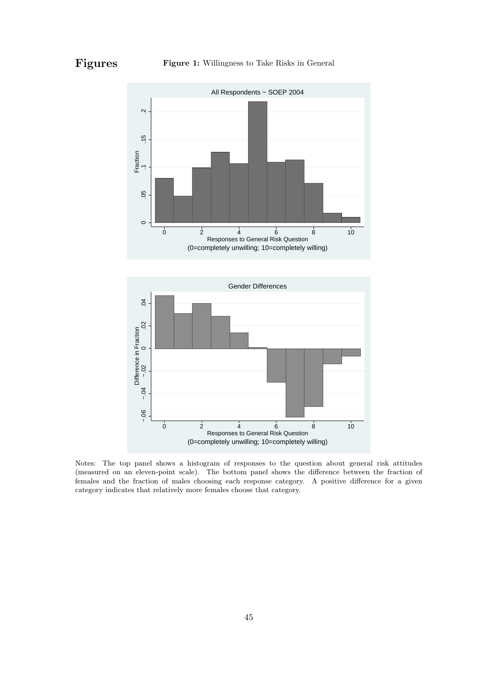**Figures Figure 1:** Willingness to Take Risks in General



Notes: The top panel shows a histogram of responses to the question about general risk attitudes (measured on an eleven-point scale). The bottom panel shows the difference between the fraction of females and the fraction of males choosing each response category. A positive difference for a given category indicates that relatively more females choose that category.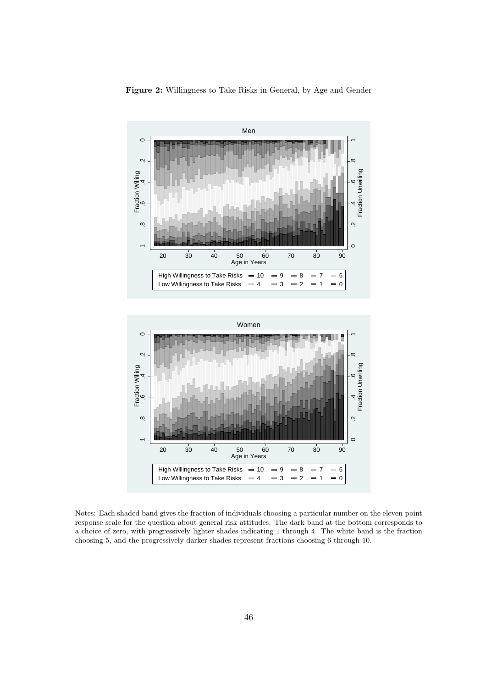

**Figure 2:** Willingness to Take Risks in General, by Age and Gender



Notes: Each shaded band gives the fraction of individuals choosing a particular number on the eleven-point response scale for the question about general risk attitudes. The dark band at the bottom corresponds to a choice of zero, with progressively lighter shades indicating 1 through 4. The white band is the fraction choosing 5, and the progressively darker shades represent fractions choosing 6 through 10.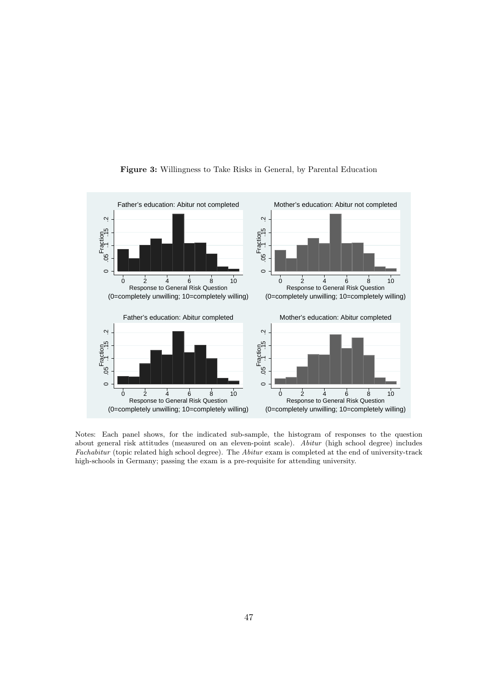

#### **Figure 3:** Willingness to Take Risks in General, by Parental Education

Notes: Each panel shows, for the indicated sub-sample, the histogram of responses to the question about general risk attitudes (measured on an eleven-point scale). *Abitur* (high school degree) includes *Fachabitur* (topic related high school degree). The *Abitur* exam is completed at the end of university-track high-schools in Germany; passing the exam is a pre-requisite for attending university.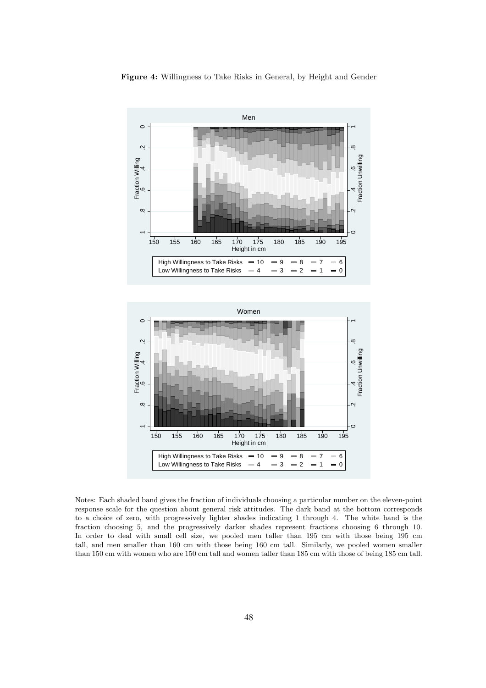





Notes: Each shaded band gives the fraction of individuals choosing a particular number on the eleven-point response scale for the question about general risk attitudes. The dark band at the bottom corresponds to a choice of zero, with progressively lighter shades indicating 1 through 4. The white band is the fraction choosing 5, and the progressively darker shades represent fractions choosing 6 through 10. In order to deal with small cell size, we pooled men taller than 195 cm with those being 195 cm tall, and men smaller than 160 cm with those being 160 cm tall. Similarly, we pooled women smaller than 150 cm with women who are 150 cm tall and women taller than 185 cm with those of being 185 cm tall.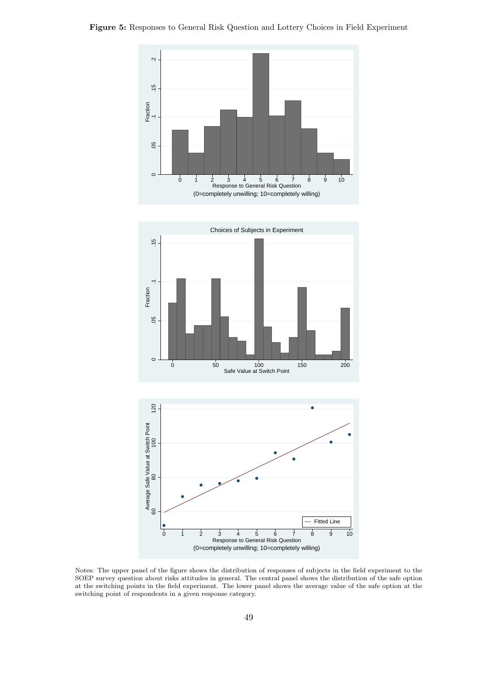![](_page_51_Figure_1.jpeg)

Notes: The upper panel of the figure shows the distribution of responses of subjects in the field experiment to the SOEP survey question about risks attitudes in general. The central panel shows the distribution of the safe option at the switching points in the field experiment. The lower panel shows the average value of the safe option at the switching point of respondents in a given response category.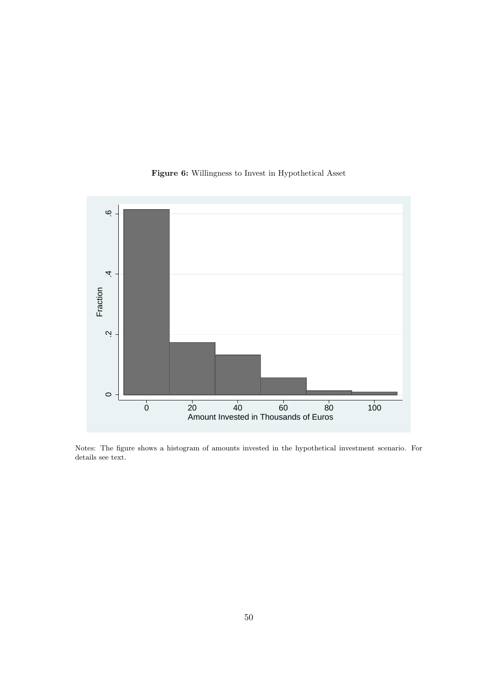#### **Figure 6:** Willingness to Invest in Hypothetical Asset

![](_page_52_Figure_1.jpeg)

Notes: The figure shows a histogram of amounts invested in the hypothetical investment scenario. For details see text.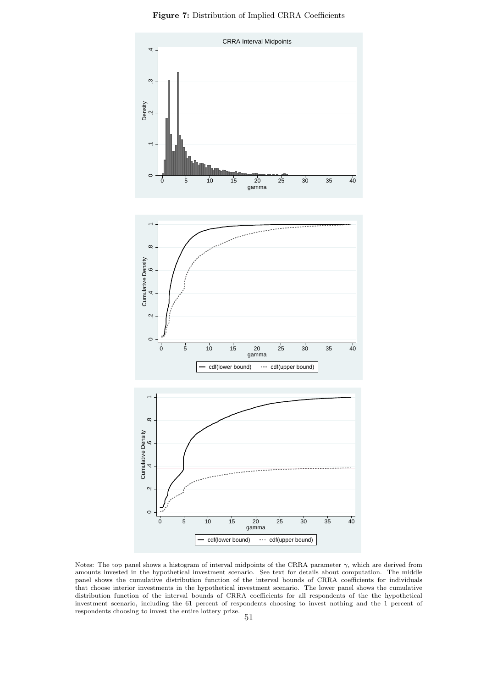![](_page_53_Figure_0.jpeg)

**Figure 7:** Distribution of Implied CRRA Coefficients

Notes: The top panel shows a histogram of interval midpoints of the CRRA parameter  $\gamma$ , which are derived from amounts invested in the hypothetical investment scenario. See text for details about computation. The middle panel shows the cumulative distribution function of the interval bounds of CRRA coefficients for individuals that choose interior investments in the hypothetical investment scenario. The lower panel shows the cumulative distribution function of the interval bounds of CRRA coefficients for all respondents of the the hypothetical investment scenario, including the 61 percent of respondents choosing to invest nothing and the 1 percent of respondents choosing to invest the entire lottery prize.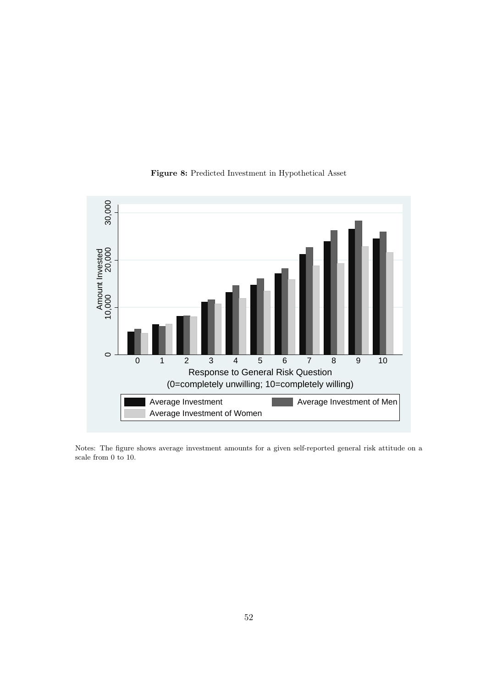![](_page_54_Figure_0.jpeg)

#### **Figure 8:** Predicted Investment in Hypothetical Asset

Notes: The figure shows average investment amounts for a given self-reported general risk attitude on a scale from 0 to 10.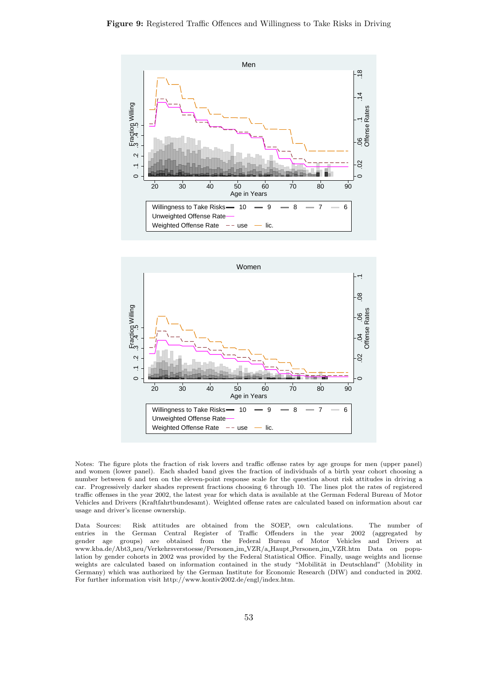![](_page_55_Figure_1.jpeg)

![](_page_55_Figure_2.jpeg)

Notes: The figure plots the fraction of risk lovers and traffic offense rates by age groups for men (upper panel) and women (lower panel). Each shaded band gives the fraction of individuals of a birth year cohort choosing a number between 6 and ten on the eleven-point response scale for the question about risk attitudes in driving a car. Progressively darker shades represent fractions choosing 6 through 10. The lines plot the rates of registered traffic offenses in the year 2002, the latest year for which data is available at the German Federal Bureau of Motor Vehicles and Drivers (Kraftfahrtbundesamt). Weighted offense rates are calculated based on information about car usage and driver's license ownership.

Data Sources: Risk attitudes are obtained from the SOEP, own calculations. The number of entries in the German Central Register of Traffic Offenders in the year 2002 (aggregated by gender age groups) are obtained from the Federal Bureau of Motor Vehicles and Drivers at www.kba.de/Abt3 neu/Verkehrsverstoesse/Personen im VZR/a Haupt Personen im VZR.htm Data on population by gender cohorts in 2002 was provided by the Federal Statistical Office. Finally, usage weights and license weights are calculated based on information contained in the study "Mobilität in Deutschland" (Mobility in Germany) which was authorized by the German Institute for Economic Research (DIW) and conducted in 2002. For further information visit http://www.kontiv2002.de/engl/index.htm.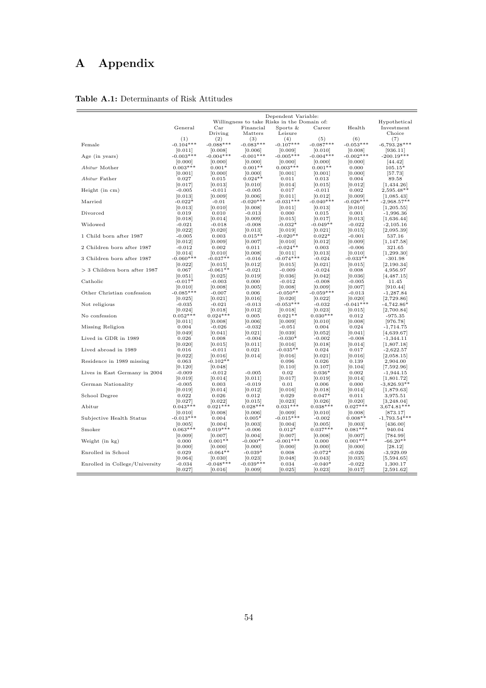# **A Appendix**

|                                |                  |                  |                      | Dependent Variable:                         |                  |                  |                     |
|--------------------------------|------------------|------------------|----------------------|---------------------------------------------|------------------|------------------|---------------------|
|                                |                  |                  |                      | Willingness to take Risks in the Domain of: |                  |                  | Hypothetical        |
|                                | General          | $_{\rm Car}$     | Financial            | Sports $&$                                  | Career           | Health           | Investment          |
|                                |                  | Driving          | Matters              | Leisure                                     |                  |                  | Choice              |
|                                | (1)              | (2)              | (3)                  | (4)                                         | (5)              | (6)              | (7)                 |
| Female                         | $-0.104***$      | $-0.088***$      | $-0.083***$          | $-0.107***$                                 | $-0.087***$      | $-0.053***$      | $-6,793.28***$      |
|                                | [0.011]          | [0.008]          | [0.006]              | [0.009]                                     | [0.010]          | [0.008]          | [936.11]            |
| Age (in years)                 | $-0.003***$      | $-0.004***$      | $-0.001***$          | $-0.005***$                                 | $-0.004***$      | $-0.002***$      | $-200.19***$        |
|                                | [0.000]          | [0.000]          | [0.000]              | [0.000]                                     | [0.000]          | [0.000]          | [44.42]             |
| Abitur Mother                  | $0.003***$       | $0.001*$         | $0.001**$            | $0.003***$                                  | $0.001**$        | 0.000            | $105.15*$           |
| Abitur Father                  | [0.001]          | [0.000]          | [0.000]<br>$0.024**$ | [0.001]                                     | [0.001]<br>0.013 | [0.000]          | [57.73]             |
|                                | 0.027<br>[0.017] | 0.015<br>[0.013] | [0.010]              | 0.011<br>[0.014]                            | [0.015]          | 0.004<br>[0.012] | 89.58<br>[1,434.26] |
| Height (in cm)                 | $-0.005$         | $-0.011$         | $-0.005$             | 0.017                                       | $-0.011$         | 0.002            | $2,595.48**$        |
|                                | [0.013]          | [0.009]          | [0.006]              | [0.011]                                     | [0.012]          | [0.009]          | [1,085.43]          |
| Married                        | $-0.022*$        | $-0.01$          | $-0.020***$          | $-0.031***$                                 | $-0.040**$       | $-0.026***$      | $-2,968.57**$       |
|                                | [0.013]          | [0.010]          | [0.008]              | [0.011]                                     | [0.013]          | [0.010]          | [1, 205.55]         |
| Divorced                       | 0.019            | 0.010            | $-0.013$             | 0.000                                       | 0.015            | 0.001            | $-1,996.36$         |
|                                | [0.018]          | [0.014]          | [0.009]              | [0.015]                                     | [0.017]          | [0.013]          | [1,636.44]          |
| Widowed                        | $-0.021$         | $-0.018$         | $-0.008$             | $-0.032*$                                   | $-0.049**$       | $-0.022$         | $-2,105.16$         |
|                                | [0.022]          | [0.020]          | [0.013]              | [0.019]                                     | [0.021]          | [0.015]          | [2,095.39]          |
| 1 Child born after 1987        | $-0.005$         | 0.003            | $0.015**$            | $-0.020**$                                  | $0.022*$         | $-0.001$         | 537.16              |
|                                | [0.012]          | [0.009]          | [0.007]              | [0.010]                                     | [0.012]          | [0.009]          | [1, 147.58]         |
| 2 Children born after 1987     | $-0.012$         | 0.002            | 0.011                | $-0.024**$                                  | 0.003            | $-0.006$         | 321.65              |
|                                | [0.014]          | [0.010]          | [0.008]              | [0.011]                                     | [0.013]          | [0.010]          | [1, 299.30]         |
| 3 Children born after 1987     | $-0.060***$      | $-0.037**$       | $-0.016$             | $-0.074***$                                 | $-0.024$         | $-0.033**$       | $-301.98$           |
|                                | [0.022]          | [0.015]          | [0.012]              | [0.015]                                     | [0.021]          | [0.015]          | [2,190.34]          |
| $>$ 3 Children born after 1987 | 0.067            | $-0.061**$       | $-0.021$             | $-0.009$                                    | $-0.024$         | 0.008            | 4,956.97            |
|                                | [0.051]          | [0.025]          | [0.019]              | [0.036]                                     | [0.042]          | [0.036]          | [4, 487.15]         |
| Catholic                       | $-0.017*$        | $-0.003$         | 0.000                | $-0.012$                                    | $-0.008$         | $-0.005$         | 11.45               |
|                                | [0.010]          | [0.008]          | [0.005]              | [0.008]                                     | [0.009]          | [0.007]          | [910.44]            |
| Other Christian confession     | $-0.085***$      | $-0.007$         | 0.006                | $-0.050**$                                  | $-0.059***$      | $-0.013$         | $-1,287.84$         |
|                                | [0.025]          | [0.021]          | [0.016]              | [0.020]                                     | [0.022]          | [0.020]          | [2,729.86]          |
| Not religious                  | $-0.035$         | $-0.021$         | $-0.013$             | $-0.053***$                                 | $-0.032$         | $-0.041***$      | $-4,742.86*$        |
|                                | [0.024]          | [0.018]          | [0.012]              | [0.018]                                     | [0.023]          | [0.015]          | [2,700.84]          |
| No confession                  | $0.052***$       | $0.024***$       | 0.005                | $0.021**$                                   | $0.030***$       | 0.012            | $-975.35$           |
|                                | [0.011]          | [0.008]          | [0.006]              | [0.009]                                     | [0.010]          | [0.008]          | [976.78]            |
| Missing Religion               | 0.004            | $-0.026$         | $-0.032$             | $-0.051$                                    | 0.004            | 0.024            | $-1,714.75$         |
|                                | [0.049]          | [0.041]          | [0.021]              | [0.039]                                     | [0.052]          | [0.041]          | [4,639.67]          |
| Lived in GDR in 1989           | 0.026            | 0.008            | $-0.004$             | $-0.030*$                                   | $-0.002$         | $-0.008$         | $-1,344.11$         |
|                                | [0.020]          | [0.015]          | [0.011]              | [0.016]                                     | [0.018]          | [0.014]          | [1,807.18]          |
| Lived abroad in 1989           | 0.016            | $-0.011$         | 0.021                | $-0.035**$                                  | 0.024            | 0.017            | $-2,622.57$         |
|                                | [0.022]          | [0.016]          | [0.014]              | [0.016]                                     | [0.021]          | [0.016]          | [2,058.15]          |
| Residence in 1989 missing      | 0.063            | $-0.102**$       |                      | 0.096                                       | 0.026            | 0.139            | 2,904.00            |
|                                | [0.120]          | [0.048]          |                      | [0.110]                                     | [0.107]          | [0.104]          | [7,592.96]          |
| Lives in East Germany in 2004  | $-0.009$         | $-0.012$         | $-0.005$             | 0.02                                        | $0.036*$         | 0.002            | $-1,944.15$         |
|                                | [0.019]          | [0.014]          | [0.011]              | [0.017]                                     | [0.019]          | [0.014]          | [1,801.72]          |
| German Nationality             | $-0.005$         | 0.003            | $-0.019$             | 0.01                                        | 0.006            | 0.000            | $-3,826.93**$       |
|                                | [0.019]          | [0.014]          | [0.012]              | [0.016]                                     | [0.018]          | [0.014]          | [1,879.63]          |
| School Degree                  | 0.022            | 0.026            | 0.012                | 0.029                                       | $0.047*$         | 0.011            | 3,975.51            |
|                                | [0.027]          | [0.022]          | [0.015]              | [0.023]                                     | [0.026]          | [0.020]          | [3, 248.04]         |
| Abitur                         | $0.043***$       | $0.021***$       | $0.028***$           | $0.031***$                                  | $0.038***$       | $0.027***$       | $3,674.81***$       |
|                                | [0.010]          | [0.008]          | [0.006]              | [0.009]                                     | [0.010]          | [0.008]          | [873.17]            |
| Subjective Health Status       | $-0.013***$      | 0.004            | $0.005*$             | $-0.015***$                                 | $-0.002$         | $0.008**$        | $-1,793.54***$      |
|                                | [0.005]          | [0.004]          | [0.003]              | [0.004]                                     | [0.005]          | [0.003]          | [436.00]            |
| Smoker                         | $0.063***$       | $0.019***$       | $-0.006$             | $0.012*$                                    | $0.037***$       | $0.081***$       | 940.04              |
|                                | [0.009]          | [0.007]          | [0.004]              | [0.007]                                     | [0.008]          | [0.007]          | [784.99]            |
| Weight (in kg)                 | 0.000            | $0.001**$        | $-0.000**$           | $-0.001***$                                 | 0.000            | $0.001***$       | $-66.20**$          |
|                                | [0.000]          | [0.000]          | [0.000]              | [0.000]                                     | [0.000]          | [0.000]          | [28.12]             |
| Enrolled in School             | 0.029            | $-0.064**$       | $-0.039*$            | 0.008                                       | $-0.072*$        | $-0.026$         | $-3,929.09$         |
|                                | [0.064]          | [0.030]          | [0.023]              | [0.048]                                     | [0.043]          | [0.035]          | [5,594.65]          |
| Enrolled in College/University | $-0.034$         | $-0.048***$      | $-0.039***$          | 0.034                                       | $-0.040*$        | $-0.022$         | 1,300.17            |
|                                | [0.027]          | [0.016]          | [0.009]              | [0.025]                                     | [0.023]          | [0.017]          | [2,591.62]          |

# Table A.1: Determinants of Risk Attitudes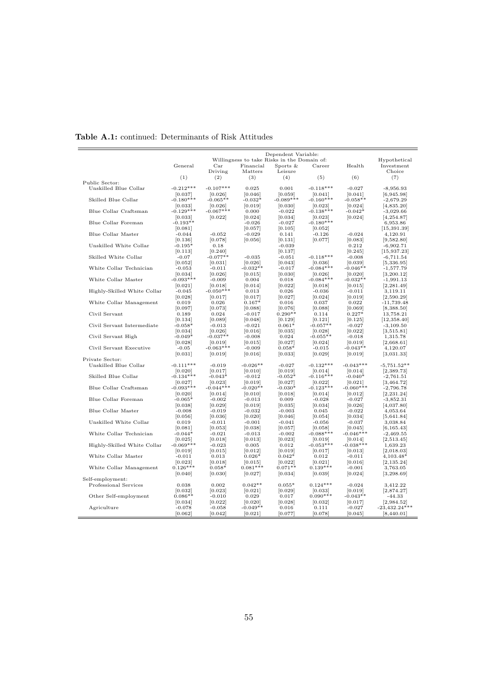| Willingness to take Risks in the Domain of:<br>Hypothetical<br>General<br>Financial<br>Sports $&$<br>Career<br>Health<br>Investment<br>$_{\rm Car}$<br>Leisure<br>Driving<br>Matters<br>Choice<br>(1)<br>(2)<br>(3)<br>(4)<br>(5)<br>(6)<br>(7)<br>Public Sector:<br>$-0.212***$<br>$-0.107***$<br>$-0.118***$<br>Unskilled Blue Collar<br>0.025<br>0.001<br>$-0.027$<br>$-8,956.93$<br>[0.037]<br>[0.026]<br>[0.046]<br>[0.059]<br>[0.041]<br>[0.041]<br>[6,945.98]<br>$-0.180***$<br>$-0.089***$<br>Skilled Blue Collar<br>$-0.065**$<br>$-0.032*$<br>$-0.160***$<br>$-0.058**$<br>$-2,679.29$<br>[0.019]<br>[0.033]<br>[0.026]<br>[0.030]<br>[0.023]<br>[0.024]<br>[4,835.20]<br>Blue Collar Craftsman<br>$-0.129***$<br>$-0.067***$<br>0.000<br>$-0.022$<br>$-0.138***$<br>$-0.042*$<br>$-3,029.66$<br>[0.033]<br>[0.022]<br>[0.024]<br>[0.034]<br>[0.023]<br>[0.024]<br>[4, 254.87]<br>Blue Collar Foreman<br>$-0.180***$<br>$-0.193**$<br>$-0.026$<br>$-0.027$<br>6,953.86<br>[0.081]<br>[0.057]<br>[0.105]<br>[0.052]<br>[15, 391.39]<br>Blue Collar Master<br>$-0.044$<br>$-0.052$<br>$-0.029$<br>0.141<br>$-0.126$<br>$-0.024$<br>4,120.91<br>[0.136]<br>[0.078]<br>[0.056]<br>[0.131]<br>[0.077]<br>[0.083]<br>[9,582.80]<br>Unskilled White Collar<br>$-0.195*$<br>0.18<br>$-0.039$<br>0.212<br>$-6,902.71$<br>[0.113]<br>[0.240]<br>[0.137]<br>[0.245]<br>[15, 937.23]<br>Skilled White Collar<br>$-0.077**$<br>$-0.035$<br>$-0.051$<br>$-0.118***$<br>$-0.008$<br>$-0.07$<br>$-6,711.54$<br>[0.052]<br>[0.031]<br>[0.026]<br>[0.043]<br>[0.036]<br>[0.039]<br>[5,336.95]<br>$-0.032**$<br>$-0.084***$<br>White Collar Technician<br>$-0.053$<br>$-0.011$<br>$-0.017$<br>$-0.046**$<br>$-1,577.79$<br>[0.034]<br>[0.026]<br>[0.015]<br>[0.030]<br>[0.026]<br>[0.020]<br>[3,200.12]<br>White Collar Master<br>$-0.093***$<br>$-0.084***$<br>$-0.009$<br>0.004<br>0.018<br>$-0.032**$<br>$-1,991.13$<br>[0.021]<br>[0.018]<br>[0.014]<br>[0.022]<br>[0.018]<br>[0.015]<br>[2, 281.49]<br>$-0.050***$<br>Highly-Skilled White Collar<br>$-0.036$<br>$-0.045$<br>0.013<br>0.026<br>$-0.011$<br>3,119.11<br>[0.028]<br>[0.017]<br>[0.017]<br>[0.027]<br>[0.024]<br>[0.019]<br>[2,590.29]<br>White Collar Management<br>0.019<br>0.026<br>$0.167*$<br>0.016<br>0.037<br>0.022<br>$-11,739.48$<br>[0.097]<br>[0.073]<br>[0.088]<br>[0.088]<br>[0.069]<br>[8,388.50]<br>[0.076]<br>Civil Servant<br>0.024<br>$-0.017$<br>$0.290**$<br>$0.227*$<br>13,758.21<br>0.189<br>0.114<br>[0.134]<br>[0.089]<br>[0.048]<br>[0.129]<br>[0.121]<br>[0.125]<br>[12, 358.40]<br>$-0.057**$<br>Civil Servant Intermediate<br>$-0.058*$<br>$-0.013$<br>$-0.021$<br>$0.061*$<br>$-3,109.50$<br>$-0.027$<br>[0.016]<br>[0.034]<br>[0.026]<br>[0.035]<br>[0.028]<br>[0.022]<br>[3,515.81]<br>Civil Servant High<br>$-0.049*$<br>$-0.037**$<br>$-0.008$<br>0.024<br>$-0.055**$<br>$-0.018$<br>1,315.78<br>[0.028]<br>[0.015]<br>[0.027]<br>[0.024]<br>[0.019]<br>[2,668.61]<br>[0.019]<br>$-0.063***$<br>Civil Servant Executive<br>$-0.043**$<br>$-0.05$<br>$-0.009$<br>$0.058*$<br>$-0.015$<br>4,120.07<br>[0.019]<br>[0.029]<br>[3,031.33]<br>[0.031]<br>[0.016]<br>[0.033]<br>[0.019]<br>Private Sector:<br>$-0.132***$<br>$-0.043***$<br>Unskilled Blue Collar<br>$-0.111***$<br>$-0.026**$<br>$-0.019$<br>$-0.027$<br>$-5,751.52**$<br>[0.010]<br>[0.019]<br>[0.020]<br>[0.017]<br>[0.014]<br>[0.014]<br>[2,389.73]<br>$-0.134***$<br>$-0.116***$<br>Skilled Blue Collar<br>$-0.043*$<br>$-0.012$<br>$-0.052*$<br>$-0.040*$<br>$-2,761.51$<br>[0.019]<br>[0.027]<br>[3, 464.72]<br>[0.027]<br>[0.023]<br>[0.022]<br>[0.021]<br>Blue Collar Craftsman<br>$-0.093***$<br>$-0.044***$<br>$-0.020**$<br>$-0.123***$<br>$-0.060***$<br>$-0.030*$<br>$-2,796.78$<br>[0.020]<br>[0.014]<br>[0.010]<br>[0.018]<br>[0.014]<br>[0.012]<br>[2, 231.24]<br>Blue Collar Foreman<br>$-0.065*$<br>$-0.002$<br>$-0.013$<br>0.009<br>$-0.028$<br>$-0.027$<br>$-3,852.31$<br>[0.038]<br>[0.029]<br>[0.019]<br>[0.035]<br>[0.034]<br>[0.026]<br>[4,037.80]<br>Blue Collar Master<br>$-0.008$<br>$-0.019$<br>$-0.032$<br>$-0.003$<br>0.045<br>$-0.022$<br>4,053.64<br>[0.056]<br>[0.036]<br>[0.020]<br>[0.046]<br>[0.054]<br>[0.034]<br>[5,641.84]<br>Unskilled White Collar<br>$-0.011$<br>$-0.001$<br>$-0.041$<br>$-0.056$<br>$-0.037$<br>3,038.84<br>0.019<br>[0.038]<br>[6, 165.43]<br>[0.081]<br>[0.053]<br>[0.057]<br>[0.058]<br>[0.045]<br>White Collar Technician<br>$-0.088***$<br>$-0.046***$<br>$-0.044*$<br>$-0.021$<br>$-0.013$<br>$-0.002$<br>$-2,469.55$<br>[0.018]<br>[0.013]<br>[0.023]<br>[2,513.45]<br>[0.025]<br>[0.019]<br>[0.014]<br>$-0.069***$<br>$-0.053***$<br>$-0.038***$<br>Highly-Skilled White Collar<br>0.005<br>$-0.023$<br>0.012<br>1,639.23<br>[0.019]<br>[0.015]<br>[0.012]<br>[0.019]<br>[0.017]<br>[0.013]<br>[2,018.03]<br>White Collar Master<br>$-0.011$<br>0.013<br>$0.026*$<br>$0.042*$<br>0.012<br>$-0.011$<br>$4.103.48*$<br>[0.018]<br>[0.015]<br>[0.022]<br>[0.016]<br>[2, 135.24]<br>[0.023]<br>[0.021]<br>White Collar Management<br>$0.126***$<br>$0.058*$<br>$0.081***$<br>$0.071**$<br>$0.139***$<br>$-0.001$<br>3,763.05<br>[0.040]<br>[0.030]<br>[0.027]<br>[0.034]<br>[0.039]<br>[0.024]<br>[3, 298.69]<br>Self-employment:<br>Professional Services<br>0.038<br>0.002<br>$0.042**$<br>$0.055*$<br>$0.124***$<br>$-0.024$<br>3,412.22<br>[0.023]<br>[0.029]<br>[0.032]<br>[0.021]<br>[0.033]<br>[0.019]<br>[2,874.27]<br>$0.090***$<br>Other Self-employment<br>$0.086**$<br>$-0.010$<br>0.029<br>0.017<br>$-0.043**$<br>$-44.33$<br>[0.034]<br>[0.022]<br>[0.020]<br>[0.028]<br>[0.032]<br>[0.017]<br>[2,984.52]<br>$-23,432.24***$<br>$-0.049**$<br>Agriculture<br>$-0.078$<br>$-0.058$<br>0.016<br>0.111<br>$-0.027$<br>[0.077]<br>[0.078]<br>[0.062]<br>[0.042]<br>[0.021]<br>[0.045]<br>[8, 440.01] |  |  | Dependent Variable: |  |  |
|-----------------------------------------------------------------------------------------------------------------------------------------------------------------------------------------------------------------------------------------------------------------------------------------------------------------------------------------------------------------------------------------------------------------------------------------------------------------------------------------------------------------------------------------------------------------------------------------------------------------------------------------------------------------------------------------------------------------------------------------------------------------------------------------------------------------------------------------------------------------------------------------------------------------------------------------------------------------------------------------------------------------------------------------------------------------------------------------------------------------------------------------------------------------------------------------------------------------------------------------------------------------------------------------------------------------------------------------------------------------------------------------------------------------------------------------------------------------------------------------------------------------------------------------------------------------------------------------------------------------------------------------------------------------------------------------------------------------------------------------------------------------------------------------------------------------------------------------------------------------------------------------------------------------------------------------------------------------------------------------------------------------------------------------------------------------------------------------------------------------------------------------------------------------------------------------------------------------------------------------------------------------------------------------------------------------------------------------------------------------------------------------------------------------------------------------------------------------------------------------------------------------------------------------------------------------------------------------------------------------------------------------------------------------------------------------------------------------------------------------------------------------------------------------------------------------------------------------------------------------------------------------------------------------------------------------------------------------------------------------------------------------------------------------------------------------------------------------------------------------------------------------------------------------------------------------------------------------------------------------------------------------------------------------------------------------------------------------------------------------------------------------------------------------------------------------------------------------------------------------------------------------------------------------------------------------------------------------------------------------------------------------------------------------------------------------------------------------------------------------------------------------------------------------------------------------------------------------------------------------------------------------------------------------------------------------------------------------------------------------------------------------------------------------------------------------------------------------------------------------------------------------------------------------------------------------------------------------------------------------------------------------------------------------------------------------------------------------------------------------------------------------------------------------------------------------------------------------------------------------------------------------------------------------------------------------------------------------------------------------------------------------------------------------------------------------------------------------------------------------------------------------------------------------------------------------------------------------------------------------------------------------------------------------------------------------------------------------------------------------------------------------------------------------------------------------------------------------------------------------------------------------------------------------------------------------------------------------------------------------------------------------------------------------------------------------------------------------------------------------------------------------------------------------------------------------------------------------------------------------------------------------------------------------------------------------------------------------------------------------------------------------------------------------------------------------------------------------------------------------------------------------------------------------------------------------------------------|--|--|---------------------|--|--|
|                                                                                                                                                                                                                                                                                                                                                                                                                                                                                                                                                                                                                                                                                                                                                                                                                                                                                                                                                                                                                                                                                                                                                                                                                                                                                                                                                                                                                                                                                                                                                                                                                                                                                                                                                                                                                                                                                                                                                                                                                                                                                                                                                                                                                                                                                                                                                                                                                                                                                                                                                                                                                                                                                                                                                                                                                                                                                                                                                                                                                                                                                                                                                                                                                                                                                                                                                                                                                                                                                                                                                                                                                                                                                                                                                                                                                                                                                                                                                                                                                                                                                                                                                                                                                                                                                                                                                                                                                                                                                                                                                                                                                                                                                                                                                                                                                                                                                                                                                                                                                                                                                                                                                                                                                                                                                                                                                                                                                                                                                                                                                                                                                                                                                                                                                                                                                                   |  |  |                     |  |  |
|                                                                                                                                                                                                                                                                                                                                                                                                                                                                                                                                                                                                                                                                                                                                                                                                                                                                                                                                                                                                                                                                                                                                                                                                                                                                                                                                                                                                                                                                                                                                                                                                                                                                                                                                                                                                                                                                                                                                                                                                                                                                                                                                                                                                                                                                                                                                                                                                                                                                                                                                                                                                                                                                                                                                                                                                                                                                                                                                                                                                                                                                                                                                                                                                                                                                                                                                                                                                                                                                                                                                                                                                                                                                                                                                                                                                                                                                                                                                                                                                                                                                                                                                                                                                                                                                                                                                                                                                                                                                                                                                                                                                                                                                                                                                                                                                                                                                                                                                                                                                                                                                                                                                                                                                                                                                                                                                                                                                                                                                                                                                                                                                                                                                                                                                                                                                                                   |  |  |                     |  |  |
|                                                                                                                                                                                                                                                                                                                                                                                                                                                                                                                                                                                                                                                                                                                                                                                                                                                                                                                                                                                                                                                                                                                                                                                                                                                                                                                                                                                                                                                                                                                                                                                                                                                                                                                                                                                                                                                                                                                                                                                                                                                                                                                                                                                                                                                                                                                                                                                                                                                                                                                                                                                                                                                                                                                                                                                                                                                                                                                                                                                                                                                                                                                                                                                                                                                                                                                                                                                                                                                                                                                                                                                                                                                                                                                                                                                                                                                                                                                                                                                                                                                                                                                                                                                                                                                                                                                                                                                                                                                                                                                                                                                                                                                                                                                                                                                                                                                                                                                                                                                                                                                                                                                                                                                                                                                                                                                                                                                                                                                                                                                                                                                                                                                                                                                                                                                                                                   |  |  |                     |  |  |
|                                                                                                                                                                                                                                                                                                                                                                                                                                                                                                                                                                                                                                                                                                                                                                                                                                                                                                                                                                                                                                                                                                                                                                                                                                                                                                                                                                                                                                                                                                                                                                                                                                                                                                                                                                                                                                                                                                                                                                                                                                                                                                                                                                                                                                                                                                                                                                                                                                                                                                                                                                                                                                                                                                                                                                                                                                                                                                                                                                                                                                                                                                                                                                                                                                                                                                                                                                                                                                                                                                                                                                                                                                                                                                                                                                                                                                                                                                                                                                                                                                                                                                                                                                                                                                                                                                                                                                                                                                                                                                                                                                                                                                                                                                                                                                                                                                                                                                                                                                                                                                                                                                                                                                                                                                                                                                                                                                                                                                                                                                                                                                                                                                                                                                                                                                                                                                   |  |  |                     |  |  |
|                                                                                                                                                                                                                                                                                                                                                                                                                                                                                                                                                                                                                                                                                                                                                                                                                                                                                                                                                                                                                                                                                                                                                                                                                                                                                                                                                                                                                                                                                                                                                                                                                                                                                                                                                                                                                                                                                                                                                                                                                                                                                                                                                                                                                                                                                                                                                                                                                                                                                                                                                                                                                                                                                                                                                                                                                                                                                                                                                                                                                                                                                                                                                                                                                                                                                                                                                                                                                                                                                                                                                                                                                                                                                                                                                                                                                                                                                                                                                                                                                                                                                                                                                                                                                                                                                                                                                                                                                                                                                                                                                                                                                                                                                                                                                                                                                                                                                                                                                                                                                                                                                                                                                                                                                                                                                                                                                                                                                                                                                                                                                                                                                                                                                                                                                                                                                                   |  |  |                     |  |  |
|                                                                                                                                                                                                                                                                                                                                                                                                                                                                                                                                                                                                                                                                                                                                                                                                                                                                                                                                                                                                                                                                                                                                                                                                                                                                                                                                                                                                                                                                                                                                                                                                                                                                                                                                                                                                                                                                                                                                                                                                                                                                                                                                                                                                                                                                                                                                                                                                                                                                                                                                                                                                                                                                                                                                                                                                                                                                                                                                                                                                                                                                                                                                                                                                                                                                                                                                                                                                                                                                                                                                                                                                                                                                                                                                                                                                                                                                                                                                                                                                                                                                                                                                                                                                                                                                                                                                                                                                                                                                                                                                                                                                                                                                                                                                                                                                                                                                                                                                                                                                                                                                                                                                                                                                                                                                                                                                                                                                                                                                                                                                                                                                                                                                                                                                                                                                                                   |  |  |                     |  |  |
|                                                                                                                                                                                                                                                                                                                                                                                                                                                                                                                                                                                                                                                                                                                                                                                                                                                                                                                                                                                                                                                                                                                                                                                                                                                                                                                                                                                                                                                                                                                                                                                                                                                                                                                                                                                                                                                                                                                                                                                                                                                                                                                                                                                                                                                                                                                                                                                                                                                                                                                                                                                                                                                                                                                                                                                                                                                                                                                                                                                                                                                                                                                                                                                                                                                                                                                                                                                                                                                                                                                                                                                                                                                                                                                                                                                                                                                                                                                                                                                                                                                                                                                                                                                                                                                                                                                                                                                                                                                                                                                                                                                                                                                                                                                                                                                                                                                                                                                                                                                                                                                                                                                                                                                                                                                                                                                                                                                                                                                                                                                                                                                                                                                                                                                                                                                                                                   |  |  |                     |  |  |
|                                                                                                                                                                                                                                                                                                                                                                                                                                                                                                                                                                                                                                                                                                                                                                                                                                                                                                                                                                                                                                                                                                                                                                                                                                                                                                                                                                                                                                                                                                                                                                                                                                                                                                                                                                                                                                                                                                                                                                                                                                                                                                                                                                                                                                                                                                                                                                                                                                                                                                                                                                                                                                                                                                                                                                                                                                                                                                                                                                                                                                                                                                                                                                                                                                                                                                                                                                                                                                                                                                                                                                                                                                                                                                                                                                                                                                                                                                                                                                                                                                                                                                                                                                                                                                                                                                                                                                                                                                                                                                                                                                                                                                                                                                                                                                                                                                                                                                                                                                                                                                                                                                                                                                                                                                                                                                                                                                                                                                                                                                                                                                                                                                                                                                                                                                                                                                   |  |  |                     |  |  |
|                                                                                                                                                                                                                                                                                                                                                                                                                                                                                                                                                                                                                                                                                                                                                                                                                                                                                                                                                                                                                                                                                                                                                                                                                                                                                                                                                                                                                                                                                                                                                                                                                                                                                                                                                                                                                                                                                                                                                                                                                                                                                                                                                                                                                                                                                                                                                                                                                                                                                                                                                                                                                                                                                                                                                                                                                                                                                                                                                                                                                                                                                                                                                                                                                                                                                                                                                                                                                                                                                                                                                                                                                                                                                                                                                                                                                                                                                                                                                                                                                                                                                                                                                                                                                                                                                                                                                                                                                                                                                                                                                                                                                                                                                                                                                                                                                                                                                                                                                                                                                                                                                                                                                                                                                                                                                                                                                                                                                                                                                                                                                                                                                                                                                                                                                                                                                                   |  |  |                     |  |  |
|                                                                                                                                                                                                                                                                                                                                                                                                                                                                                                                                                                                                                                                                                                                                                                                                                                                                                                                                                                                                                                                                                                                                                                                                                                                                                                                                                                                                                                                                                                                                                                                                                                                                                                                                                                                                                                                                                                                                                                                                                                                                                                                                                                                                                                                                                                                                                                                                                                                                                                                                                                                                                                                                                                                                                                                                                                                                                                                                                                                                                                                                                                                                                                                                                                                                                                                                                                                                                                                                                                                                                                                                                                                                                                                                                                                                                                                                                                                                                                                                                                                                                                                                                                                                                                                                                                                                                                                                                                                                                                                                                                                                                                                                                                                                                                                                                                                                                                                                                                                                                                                                                                                                                                                                                                                                                                                                                                                                                                                                                                                                                                                                                                                                                                                                                                                                                                   |  |  |                     |  |  |
|                                                                                                                                                                                                                                                                                                                                                                                                                                                                                                                                                                                                                                                                                                                                                                                                                                                                                                                                                                                                                                                                                                                                                                                                                                                                                                                                                                                                                                                                                                                                                                                                                                                                                                                                                                                                                                                                                                                                                                                                                                                                                                                                                                                                                                                                                                                                                                                                                                                                                                                                                                                                                                                                                                                                                                                                                                                                                                                                                                                                                                                                                                                                                                                                                                                                                                                                                                                                                                                                                                                                                                                                                                                                                                                                                                                                                                                                                                                                                                                                                                                                                                                                                                                                                                                                                                                                                                                                                                                                                                                                                                                                                                                                                                                                                                                                                                                                                                                                                                                                                                                                                                                                                                                                                                                                                                                                                                                                                                                                                                                                                                                                                                                                                                                                                                                                                                   |  |  |                     |  |  |
|                                                                                                                                                                                                                                                                                                                                                                                                                                                                                                                                                                                                                                                                                                                                                                                                                                                                                                                                                                                                                                                                                                                                                                                                                                                                                                                                                                                                                                                                                                                                                                                                                                                                                                                                                                                                                                                                                                                                                                                                                                                                                                                                                                                                                                                                                                                                                                                                                                                                                                                                                                                                                                                                                                                                                                                                                                                                                                                                                                                                                                                                                                                                                                                                                                                                                                                                                                                                                                                                                                                                                                                                                                                                                                                                                                                                                                                                                                                                                                                                                                                                                                                                                                                                                                                                                                                                                                                                                                                                                                                                                                                                                                                                                                                                                                                                                                                                                                                                                                                                                                                                                                                                                                                                                                                                                                                                                                                                                                                                                                                                                                                                                                                                                                                                                                                                                                   |  |  |                     |  |  |
|                                                                                                                                                                                                                                                                                                                                                                                                                                                                                                                                                                                                                                                                                                                                                                                                                                                                                                                                                                                                                                                                                                                                                                                                                                                                                                                                                                                                                                                                                                                                                                                                                                                                                                                                                                                                                                                                                                                                                                                                                                                                                                                                                                                                                                                                                                                                                                                                                                                                                                                                                                                                                                                                                                                                                                                                                                                                                                                                                                                                                                                                                                                                                                                                                                                                                                                                                                                                                                                                                                                                                                                                                                                                                                                                                                                                                                                                                                                                                                                                                                                                                                                                                                                                                                                                                                                                                                                                                                                                                                                                                                                                                                                                                                                                                                                                                                                                                                                                                                                                                                                                                                                                                                                                                                                                                                                                                                                                                                                                                                                                                                                                                                                                                                                                                                                                                                   |  |  |                     |  |  |
|                                                                                                                                                                                                                                                                                                                                                                                                                                                                                                                                                                                                                                                                                                                                                                                                                                                                                                                                                                                                                                                                                                                                                                                                                                                                                                                                                                                                                                                                                                                                                                                                                                                                                                                                                                                                                                                                                                                                                                                                                                                                                                                                                                                                                                                                                                                                                                                                                                                                                                                                                                                                                                                                                                                                                                                                                                                                                                                                                                                                                                                                                                                                                                                                                                                                                                                                                                                                                                                                                                                                                                                                                                                                                                                                                                                                                                                                                                                                                                                                                                                                                                                                                                                                                                                                                                                                                                                                                                                                                                                                                                                                                                                                                                                                                                                                                                                                                                                                                                                                                                                                                                                                                                                                                                                                                                                                                                                                                                                                                                                                                                                                                                                                                                                                                                                                                                   |  |  |                     |  |  |
|                                                                                                                                                                                                                                                                                                                                                                                                                                                                                                                                                                                                                                                                                                                                                                                                                                                                                                                                                                                                                                                                                                                                                                                                                                                                                                                                                                                                                                                                                                                                                                                                                                                                                                                                                                                                                                                                                                                                                                                                                                                                                                                                                                                                                                                                                                                                                                                                                                                                                                                                                                                                                                                                                                                                                                                                                                                                                                                                                                                                                                                                                                                                                                                                                                                                                                                                                                                                                                                                                                                                                                                                                                                                                                                                                                                                                                                                                                                                                                                                                                                                                                                                                                                                                                                                                                                                                                                                                                                                                                                                                                                                                                                                                                                                                                                                                                                                                                                                                                                                                                                                                                                                                                                                                                                                                                                                                                                                                                                                                                                                                                                                                                                                                                                                                                                                                                   |  |  |                     |  |  |
|                                                                                                                                                                                                                                                                                                                                                                                                                                                                                                                                                                                                                                                                                                                                                                                                                                                                                                                                                                                                                                                                                                                                                                                                                                                                                                                                                                                                                                                                                                                                                                                                                                                                                                                                                                                                                                                                                                                                                                                                                                                                                                                                                                                                                                                                                                                                                                                                                                                                                                                                                                                                                                                                                                                                                                                                                                                                                                                                                                                                                                                                                                                                                                                                                                                                                                                                                                                                                                                                                                                                                                                                                                                                                                                                                                                                                                                                                                                                                                                                                                                                                                                                                                                                                                                                                                                                                                                                                                                                                                                                                                                                                                                                                                                                                                                                                                                                                                                                                                                                                                                                                                                                                                                                                                                                                                                                                                                                                                                                                                                                                                                                                                                                                                                                                                                                                                   |  |  |                     |  |  |
|                                                                                                                                                                                                                                                                                                                                                                                                                                                                                                                                                                                                                                                                                                                                                                                                                                                                                                                                                                                                                                                                                                                                                                                                                                                                                                                                                                                                                                                                                                                                                                                                                                                                                                                                                                                                                                                                                                                                                                                                                                                                                                                                                                                                                                                                                                                                                                                                                                                                                                                                                                                                                                                                                                                                                                                                                                                                                                                                                                                                                                                                                                                                                                                                                                                                                                                                                                                                                                                                                                                                                                                                                                                                                                                                                                                                                                                                                                                                                                                                                                                                                                                                                                                                                                                                                                                                                                                                                                                                                                                                                                                                                                                                                                                                                                                                                                                                                                                                                                                                                                                                                                                                                                                                                                                                                                                                                                                                                                                                                                                                                                                                                                                                                                                                                                                                                                   |  |  |                     |  |  |
|                                                                                                                                                                                                                                                                                                                                                                                                                                                                                                                                                                                                                                                                                                                                                                                                                                                                                                                                                                                                                                                                                                                                                                                                                                                                                                                                                                                                                                                                                                                                                                                                                                                                                                                                                                                                                                                                                                                                                                                                                                                                                                                                                                                                                                                                                                                                                                                                                                                                                                                                                                                                                                                                                                                                                                                                                                                                                                                                                                                                                                                                                                                                                                                                                                                                                                                                                                                                                                                                                                                                                                                                                                                                                                                                                                                                                                                                                                                                                                                                                                                                                                                                                                                                                                                                                                                                                                                                                                                                                                                                                                                                                                                                                                                                                                                                                                                                                                                                                                                                                                                                                                                                                                                                                                                                                                                                                                                                                                                                                                                                                                                                                                                                                                                                                                                                                                   |  |  |                     |  |  |
|                                                                                                                                                                                                                                                                                                                                                                                                                                                                                                                                                                                                                                                                                                                                                                                                                                                                                                                                                                                                                                                                                                                                                                                                                                                                                                                                                                                                                                                                                                                                                                                                                                                                                                                                                                                                                                                                                                                                                                                                                                                                                                                                                                                                                                                                                                                                                                                                                                                                                                                                                                                                                                                                                                                                                                                                                                                                                                                                                                                                                                                                                                                                                                                                                                                                                                                                                                                                                                                                                                                                                                                                                                                                                                                                                                                                                                                                                                                                                                                                                                                                                                                                                                                                                                                                                                                                                                                                                                                                                                                                                                                                                                                                                                                                                                                                                                                                                                                                                                                                                                                                                                                                                                                                                                                                                                                                                                                                                                                                                                                                                                                                                                                                                                                                                                                                                                   |  |  |                     |  |  |
|                                                                                                                                                                                                                                                                                                                                                                                                                                                                                                                                                                                                                                                                                                                                                                                                                                                                                                                                                                                                                                                                                                                                                                                                                                                                                                                                                                                                                                                                                                                                                                                                                                                                                                                                                                                                                                                                                                                                                                                                                                                                                                                                                                                                                                                                                                                                                                                                                                                                                                                                                                                                                                                                                                                                                                                                                                                                                                                                                                                                                                                                                                                                                                                                                                                                                                                                                                                                                                                                                                                                                                                                                                                                                                                                                                                                                                                                                                                                                                                                                                                                                                                                                                                                                                                                                                                                                                                                                                                                                                                                                                                                                                                                                                                                                                                                                                                                                                                                                                                                                                                                                                                                                                                                                                                                                                                                                                                                                                                                                                                                                                                                                                                                                                                                                                                                                                   |  |  |                     |  |  |
|                                                                                                                                                                                                                                                                                                                                                                                                                                                                                                                                                                                                                                                                                                                                                                                                                                                                                                                                                                                                                                                                                                                                                                                                                                                                                                                                                                                                                                                                                                                                                                                                                                                                                                                                                                                                                                                                                                                                                                                                                                                                                                                                                                                                                                                                                                                                                                                                                                                                                                                                                                                                                                                                                                                                                                                                                                                                                                                                                                                                                                                                                                                                                                                                                                                                                                                                                                                                                                                                                                                                                                                                                                                                                                                                                                                                                                                                                                                                                                                                                                                                                                                                                                                                                                                                                                                                                                                                                                                                                                                                                                                                                                                                                                                                                                                                                                                                                                                                                                                                                                                                                                                                                                                                                                                                                                                                                                                                                                                                                                                                                                                                                                                                                                                                                                                                                                   |  |  |                     |  |  |
|                                                                                                                                                                                                                                                                                                                                                                                                                                                                                                                                                                                                                                                                                                                                                                                                                                                                                                                                                                                                                                                                                                                                                                                                                                                                                                                                                                                                                                                                                                                                                                                                                                                                                                                                                                                                                                                                                                                                                                                                                                                                                                                                                                                                                                                                                                                                                                                                                                                                                                                                                                                                                                                                                                                                                                                                                                                                                                                                                                                                                                                                                                                                                                                                                                                                                                                                                                                                                                                                                                                                                                                                                                                                                                                                                                                                                                                                                                                                                                                                                                                                                                                                                                                                                                                                                                                                                                                                                                                                                                                                                                                                                                                                                                                                                                                                                                                                                                                                                                                                                                                                                                                                                                                                                                                                                                                                                                                                                                                                                                                                                                                                                                                                                                                                                                                                                                   |  |  |                     |  |  |
|                                                                                                                                                                                                                                                                                                                                                                                                                                                                                                                                                                                                                                                                                                                                                                                                                                                                                                                                                                                                                                                                                                                                                                                                                                                                                                                                                                                                                                                                                                                                                                                                                                                                                                                                                                                                                                                                                                                                                                                                                                                                                                                                                                                                                                                                                                                                                                                                                                                                                                                                                                                                                                                                                                                                                                                                                                                                                                                                                                                                                                                                                                                                                                                                                                                                                                                                                                                                                                                                                                                                                                                                                                                                                                                                                                                                                                                                                                                                                                                                                                                                                                                                                                                                                                                                                                                                                                                                                                                                                                                                                                                                                                                                                                                                                                                                                                                                                                                                                                                                                                                                                                                                                                                                                                                                                                                                                                                                                                                                                                                                                                                                                                                                                                                                                                                                                                   |  |  |                     |  |  |
|                                                                                                                                                                                                                                                                                                                                                                                                                                                                                                                                                                                                                                                                                                                                                                                                                                                                                                                                                                                                                                                                                                                                                                                                                                                                                                                                                                                                                                                                                                                                                                                                                                                                                                                                                                                                                                                                                                                                                                                                                                                                                                                                                                                                                                                                                                                                                                                                                                                                                                                                                                                                                                                                                                                                                                                                                                                                                                                                                                                                                                                                                                                                                                                                                                                                                                                                                                                                                                                                                                                                                                                                                                                                                                                                                                                                                                                                                                                                                                                                                                                                                                                                                                                                                                                                                                                                                                                                                                                                                                                                                                                                                                                                                                                                                                                                                                                                                                                                                                                                                                                                                                                                                                                                                                                                                                                                                                                                                                                                                                                                                                                                                                                                                                                                                                                                                                   |  |  |                     |  |  |
|                                                                                                                                                                                                                                                                                                                                                                                                                                                                                                                                                                                                                                                                                                                                                                                                                                                                                                                                                                                                                                                                                                                                                                                                                                                                                                                                                                                                                                                                                                                                                                                                                                                                                                                                                                                                                                                                                                                                                                                                                                                                                                                                                                                                                                                                                                                                                                                                                                                                                                                                                                                                                                                                                                                                                                                                                                                                                                                                                                                                                                                                                                                                                                                                                                                                                                                                                                                                                                                                                                                                                                                                                                                                                                                                                                                                                                                                                                                                                                                                                                                                                                                                                                                                                                                                                                                                                                                                                                                                                                                                                                                                                                                                                                                                                                                                                                                                                                                                                                                                                                                                                                                                                                                                                                                                                                                                                                                                                                                                                                                                                                                                                                                                                                                                                                                                                                   |  |  |                     |  |  |
|                                                                                                                                                                                                                                                                                                                                                                                                                                                                                                                                                                                                                                                                                                                                                                                                                                                                                                                                                                                                                                                                                                                                                                                                                                                                                                                                                                                                                                                                                                                                                                                                                                                                                                                                                                                                                                                                                                                                                                                                                                                                                                                                                                                                                                                                                                                                                                                                                                                                                                                                                                                                                                                                                                                                                                                                                                                                                                                                                                                                                                                                                                                                                                                                                                                                                                                                                                                                                                                                                                                                                                                                                                                                                                                                                                                                                                                                                                                                                                                                                                                                                                                                                                                                                                                                                                                                                                                                                                                                                                                                                                                                                                                                                                                                                                                                                                                                                                                                                                                                                                                                                                                                                                                                                                                                                                                                                                                                                                                                                                                                                                                                                                                                                                                                                                                                                                   |  |  |                     |  |  |
|                                                                                                                                                                                                                                                                                                                                                                                                                                                                                                                                                                                                                                                                                                                                                                                                                                                                                                                                                                                                                                                                                                                                                                                                                                                                                                                                                                                                                                                                                                                                                                                                                                                                                                                                                                                                                                                                                                                                                                                                                                                                                                                                                                                                                                                                                                                                                                                                                                                                                                                                                                                                                                                                                                                                                                                                                                                                                                                                                                                                                                                                                                                                                                                                                                                                                                                                                                                                                                                                                                                                                                                                                                                                                                                                                                                                                                                                                                                                                                                                                                                                                                                                                                                                                                                                                                                                                                                                                                                                                                                                                                                                                                                                                                                                                                                                                                                                                                                                                                                                                                                                                                                                                                                                                                                                                                                                                                                                                                                                                                                                                                                                                                                                                                                                                                                                                                   |  |  |                     |  |  |
|                                                                                                                                                                                                                                                                                                                                                                                                                                                                                                                                                                                                                                                                                                                                                                                                                                                                                                                                                                                                                                                                                                                                                                                                                                                                                                                                                                                                                                                                                                                                                                                                                                                                                                                                                                                                                                                                                                                                                                                                                                                                                                                                                                                                                                                                                                                                                                                                                                                                                                                                                                                                                                                                                                                                                                                                                                                                                                                                                                                                                                                                                                                                                                                                                                                                                                                                                                                                                                                                                                                                                                                                                                                                                                                                                                                                                                                                                                                                                                                                                                                                                                                                                                                                                                                                                                                                                                                                                                                                                                                                                                                                                                                                                                                                                                                                                                                                                                                                                                                                                                                                                                                                                                                                                                                                                                                                                                                                                                                                                                                                                                                                                                                                                                                                                                                                                                   |  |  |                     |  |  |
|                                                                                                                                                                                                                                                                                                                                                                                                                                                                                                                                                                                                                                                                                                                                                                                                                                                                                                                                                                                                                                                                                                                                                                                                                                                                                                                                                                                                                                                                                                                                                                                                                                                                                                                                                                                                                                                                                                                                                                                                                                                                                                                                                                                                                                                                                                                                                                                                                                                                                                                                                                                                                                                                                                                                                                                                                                                                                                                                                                                                                                                                                                                                                                                                                                                                                                                                                                                                                                                                                                                                                                                                                                                                                                                                                                                                                                                                                                                                                                                                                                                                                                                                                                                                                                                                                                                                                                                                                                                                                                                                                                                                                                                                                                                                                                                                                                                                                                                                                                                                                                                                                                                                                                                                                                                                                                                                                                                                                                                                                                                                                                                                                                                                                                                                                                                                                                   |  |  |                     |  |  |
|                                                                                                                                                                                                                                                                                                                                                                                                                                                                                                                                                                                                                                                                                                                                                                                                                                                                                                                                                                                                                                                                                                                                                                                                                                                                                                                                                                                                                                                                                                                                                                                                                                                                                                                                                                                                                                                                                                                                                                                                                                                                                                                                                                                                                                                                                                                                                                                                                                                                                                                                                                                                                                                                                                                                                                                                                                                                                                                                                                                                                                                                                                                                                                                                                                                                                                                                                                                                                                                                                                                                                                                                                                                                                                                                                                                                                                                                                                                                                                                                                                                                                                                                                                                                                                                                                                                                                                                                                                                                                                                                                                                                                                                                                                                                                                                                                                                                                                                                                                                                                                                                                                                                                                                                                                                                                                                                                                                                                                                                                                                                                                                                                                                                                                                                                                                                                                   |  |  |                     |  |  |
|                                                                                                                                                                                                                                                                                                                                                                                                                                                                                                                                                                                                                                                                                                                                                                                                                                                                                                                                                                                                                                                                                                                                                                                                                                                                                                                                                                                                                                                                                                                                                                                                                                                                                                                                                                                                                                                                                                                                                                                                                                                                                                                                                                                                                                                                                                                                                                                                                                                                                                                                                                                                                                                                                                                                                                                                                                                                                                                                                                                                                                                                                                                                                                                                                                                                                                                                                                                                                                                                                                                                                                                                                                                                                                                                                                                                                                                                                                                                                                                                                                                                                                                                                                                                                                                                                                                                                                                                                                                                                                                                                                                                                                                                                                                                                                                                                                                                                                                                                                                                                                                                                                                                                                                                                                                                                                                                                                                                                                                                                                                                                                                                                                                                                                                                                                                                                                   |  |  |                     |  |  |
|                                                                                                                                                                                                                                                                                                                                                                                                                                                                                                                                                                                                                                                                                                                                                                                                                                                                                                                                                                                                                                                                                                                                                                                                                                                                                                                                                                                                                                                                                                                                                                                                                                                                                                                                                                                                                                                                                                                                                                                                                                                                                                                                                                                                                                                                                                                                                                                                                                                                                                                                                                                                                                                                                                                                                                                                                                                                                                                                                                                                                                                                                                                                                                                                                                                                                                                                                                                                                                                                                                                                                                                                                                                                                                                                                                                                                                                                                                                                                                                                                                                                                                                                                                                                                                                                                                                                                                                                                                                                                                                                                                                                                                                                                                                                                                                                                                                                                                                                                                                                                                                                                                                                                                                                                                                                                                                                                                                                                                                                                                                                                                                                                                                                                                                                                                                                                                   |  |  |                     |  |  |
|                                                                                                                                                                                                                                                                                                                                                                                                                                                                                                                                                                                                                                                                                                                                                                                                                                                                                                                                                                                                                                                                                                                                                                                                                                                                                                                                                                                                                                                                                                                                                                                                                                                                                                                                                                                                                                                                                                                                                                                                                                                                                                                                                                                                                                                                                                                                                                                                                                                                                                                                                                                                                                                                                                                                                                                                                                                                                                                                                                                                                                                                                                                                                                                                                                                                                                                                                                                                                                                                                                                                                                                                                                                                                                                                                                                                                                                                                                                                                                                                                                                                                                                                                                                                                                                                                                                                                                                                                                                                                                                                                                                                                                                                                                                                                                                                                                                                                                                                                                                                                                                                                                                                                                                                                                                                                                                                                                                                                                                                                                                                                                                                                                                                                                                                                                                                                                   |  |  |                     |  |  |
|                                                                                                                                                                                                                                                                                                                                                                                                                                                                                                                                                                                                                                                                                                                                                                                                                                                                                                                                                                                                                                                                                                                                                                                                                                                                                                                                                                                                                                                                                                                                                                                                                                                                                                                                                                                                                                                                                                                                                                                                                                                                                                                                                                                                                                                                                                                                                                                                                                                                                                                                                                                                                                                                                                                                                                                                                                                                                                                                                                                                                                                                                                                                                                                                                                                                                                                                                                                                                                                                                                                                                                                                                                                                                                                                                                                                                                                                                                                                                                                                                                                                                                                                                                                                                                                                                                                                                                                                                                                                                                                                                                                                                                                                                                                                                                                                                                                                                                                                                                                                                                                                                                                                                                                                                                                                                                                                                                                                                                                                                                                                                                                                                                                                                                                                                                                                                                   |  |  |                     |  |  |
|                                                                                                                                                                                                                                                                                                                                                                                                                                                                                                                                                                                                                                                                                                                                                                                                                                                                                                                                                                                                                                                                                                                                                                                                                                                                                                                                                                                                                                                                                                                                                                                                                                                                                                                                                                                                                                                                                                                                                                                                                                                                                                                                                                                                                                                                                                                                                                                                                                                                                                                                                                                                                                                                                                                                                                                                                                                                                                                                                                                                                                                                                                                                                                                                                                                                                                                                                                                                                                                                                                                                                                                                                                                                                                                                                                                                                                                                                                                                                                                                                                                                                                                                                                                                                                                                                                                                                                                                                                                                                                                                                                                                                                                                                                                                                                                                                                                                                                                                                                                                                                                                                                                                                                                                                                                                                                                                                                                                                                                                                                                                                                                                                                                                                                                                                                                                                                   |  |  |                     |  |  |
|                                                                                                                                                                                                                                                                                                                                                                                                                                                                                                                                                                                                                                                                                                                                                                                                                                                                                                                                                                                                                                                                                                                                                                                                                                                                                                                                                                                                                                                                                                                                                                                                                                                                                                                                                                                                                                                                                                                                                                                                                                                                                                                                                                                                                                                                                                                                                                                                                                                                                                                                                                                                                                                                                                                                                                                                                                                                                                                                                                                                                                                                                                                                                                                                                                                                                                                                                                                                                                                                                                                                                                                                                                                                                                                                                                                                                                                                                                                                                                                                                                                                                                                                                                                                                                                                                                                                                                                                                                                                                                                                                                                                                                                                                                                                                                                                                                                                                                                                                                                                                                                                                                                                                                                                                                                                                                                                                                                                                                                                                                                                                                                                                                                                                                                                                                                                                                   |  |  |                     |  |  |
|                                                                                                                                                                                                                                                                                                                                                                                                                                                                                                                                                                                                                                                                                                                                                                                                                                                                                                                                                                                                                                                                                                                                                                                                                                                                                                                                                                                                                                                                                                                                                                                                                                                                                                                                                                                                                                                                                                                                                                                                                                                                                                                                                                                                                                                                                                                                                                                                                                                                                                                                                                                                                                                                                                                                                                                                                                                                                                                                                                                                                                                                                                                                                                                                                                                                                                                                                                                                                                                                                                                                                                                                                                                                                                                                                                                                                                                                                                                                                                                                                                                                                                                                                                                                                                                                                                                                                                                                                                                                                                                                                                                                                                                                                                                                                                                                                                                                                                                                                                                                                                                                                                                                                                                                                                                                                                                                                                                                                                                                                                                                                                                                                                                                                                                                                                                                                                   |  |  |                     |  |  |
|                                                                                                                                                                                                                                                                                                                                                                                                                                                                                                                                                                                                                                                                                                                                                                                                                                                                                                                                                                                                                                                                                                                                                                                                                                                                                                                                                                                                                                                                                                                                                                                                                                                                                                                                                                                                                                                                                                                                                                                                                                                                                                                                                                                                                                                                                                                                                                                                                                                                                                                                                                                                                                                                                                                                                                                                                                                                                                                                                                                                                                                                                                                                                                                                                                                                                                                                                                                                                                                                                                                                                                                                                                                                                                                                                                                                                                                                                                                                                                                                                                                                                                                                                                                                                                                                                                                                                                                                                                                                                                                                                                                                                                                                                                                                                                                                                                                                                                                                                                                                                                                                                                                                                                                                                                                                                                                                                                                                                                                                                                                                                                                                                                                                                                                                                                                                                                   |  |  |                     |  |  |
|                                                                                                                                                                                                                                                                                                                                                                                                                                                                                                                                                                                                                                                                                                                                                                                                                                                                                                                                                                                                                                                                                                                                                                                                                                                                                                                                                                                                                                                                                                                                                                                                                                                                                                                                                                                                                                                                                                                                                                                                                                                                                                                                                                                                                                                                                                                                                                                                                                                                                                                                                                                                                                                                                                                                                                                                                                                                                                                                                                                                                                                                                                                                                                                                                                                                                                                                                                                                                                                                                                                                                                                                                                                                                                                                                                                                                                                                                                                                                                                                                                                                                                                                                                                                                                                                                                                                                                                                                                                                                                                                                                                                                                                                                                                                                                                                                                                                                                                                                                                                                                                                                                                                                                                                                                                                                                                                                                                                                                                                                                                                                                                                                                                                                                                                                                                                                                   |  |  |                     |  |  |
|                                                                                                                                                                                                                                                                                                                                                                                                                                                                                                                                                                                                                                                                                                                                                                                                                                                                                                                                                                                                                                                                                                                                                                                                                                                                                                                                                                                                                                                                                                                                                                                                                                                                                                                                                                                                                                                                                                                                                                                                                                                                                                                                                                                                                                                                                                                                                                                                                                                                                                                                                                                                                                                                                                                                                                                                                                                                                                                                                                                                                                                                                                                                                                                                                                                                                                                                                                                                                                                                                                                                                                                                                                                                                                                                                                                                                                                                                                                                                                                                                                                                                                                                                                                                                                                                                                                                                                                                                                                                                                                                                                                                                                                                                                                                                                                                                                                                                                                                                                                                                                                                                                                                                                                                                                                                                                                                                                                                                                                                                                                                                                                                                                                                                                                                                                                                                                   |  |  |                     |  |  |
|                                                                                                                                                                                                                                                                                                                                                                                                                                                                                                                                                                                                                                                                                                                                                                                                                                                                                                                                                                                                                                                                                                                                                                                                                                                                                                                                                                                                                                                                                                                                                                                                                                                                                                                                                                                                                                                                                                                                                                                                                                                                                                                                                                                                                                                                                                                                                                                                                                                                                                                                                                                                                                                                                                                                                                                                                                                                                                                                                                                                                                                                                                                                                                                                                                                                                                                                                                                                                                                                                                                                                                                                                                                                                                                                                                                                                                                                                                                                                                                                                                                                                                                                                                                                                                                                                                                                                                                                                                                                                                                                                                                                                                                                                                                                                                                                                                                                                                                                                                                                                                                                                                                                                                                                                                                                                                                                                                                                                                                                                                                                                                                                                                                                                                                                                                                                                                   |  |  |                     |  |  |
|                                                                                                                                                                                                                                                                                                                                                                                                                                                                                                                                                                                                                                                                                                                                                                                                                                                                                                                                                                                                                                                                                                                                                                                                                                                                                                                                                                                                                                                                                                                                                                                                                                                                                                                                                                                                                                                                                                                                                                                                                                                                                                                                                                                                                                                                                                                                                                                                                                                                                                                                                                                                                                                                                                                                                                                                                                                                                                                                                                                                                                                                                                                                                                                                                                                                                                                                                                                                                                                                                                                                                                                                                                                                                                                                                                                                                                                                                                                                                                                                                                                                                                                                                                                                                                                                                                                                                                                                                                                                                                                                                                                                                                                                                                                                                                                                                                                                                                                                                                                                                                                                                                                                                                                                                                                                                                                                                                                                                                                                                                                                                                                                                                                                                                                                                                                                                                   |  |  |                     |  |  |
|                                                                                                                                                                                                                                                                                                                                                                                                                                                                                                                                                                                                                                                                                                                                                                                                                                                                                                                                                                                                                                                                                                                                                                                                                                                                                                                                                                                                                                                                                                                                                                                                                                                                                                                                                                                                                                                                                                                                                                                                                                                                                                                                                                                                                                                                                                                                                                                                                                                                                                                                                                                                                                                                                                                                                                                                                                                                                                                                                                                                                                                                                                                                                                                                                                                                                                                                                                                                                                                                                                                                                                                                                                                                                                                                                                                                                                                                                                                                                                                                                                                                                                                                                                                                                                                                                                                                                                                                                                                                                                                                                                                                                                                                                                                                                                                                                                                                                                                                                                                                                                                                                                                                                                                                                                                                                                                                                                                                                                                                                                                                                                                                                                                                                                                                                                                                                                   |  |  |                     |  |  |
|                                                                                                                                                                                                                                                                                                                                                                                                                                                                                                                                                                                                                                                                                                                                                                                                                                                                                                                                                                                                                                                                                                                                                                                                                                                                                                                                                                                                                                                                                                                                                                                                                                                                                                                                                                                                                                                                                                                                                                                                                                                                                                                                                                                                                                                                                                                                                                                                                                                                                                                                                                                                                                                                                                                                                                                                                                                                                                                                                                                                                                                                                                                                                                                                                                                                                                                                                                                                                                                                                                                                                                                                                                                                                                                                                                                                                                                                                                                                                                                                                                                                                                                                                                                                                                                                                                                                                                                                                                                                                                                                                                                                                                                                                                                                                                                                                                                                                                                                                                                                                                                                                                                                                                                                                                                                                                                                                                                                                                                                                                                                                                                                                                                                                                                                                                                                                                   |  |  |                     |  |  |
|                                                                                                                                                                                                                                                                                                                                                                                                                                                                                                                                                                                                                                                                                                                                                                                                                                                                                                                                                                                                                                                                                                                                                                                                                                                                                                                                                                                                                                                                                                                                                                                                                                                                                                                                                                                                                                                                                                                                                                                                                                                                                                                                                                                                                                                                                                                                                                                                                                                                                                                                                                                                                                                                                                                                                                                                                                                                                                                                                                                                                                                                                                                                                                                                                                                                                                                                                                                                                                                                                                                                                                                                                                                                                                                                                                                                                                                                                                                                                                                                                                                                                                                                                                                                                                                                                                                                                                                                                                                                                                                                                                                                                                                                                                                                                                                                                                                                                                                                                                                                                                                                                                                                                                                                                                                                                                                                                                                                                                                                                                                                                                                                                                                                                                                                                                                                                                   |  |  |                     |  |  |
|                                                                                                                                                                                                                                                                                                                                                                                                                                                                                                                                                                                                                                                                                                                                                                                                                                                                                                                                                                                                                                                                                                                                                                                                                                                                                                                                                                                                                                                                                                                                                                                                                                                                                                                                                                                                                                                                                                                                                                                                                                                                                                                                                                                                                                                                                                                                                                                                                                                                                                                                                                                                                                                                                                                                                                                                                                                                                                                                                                                                                                                                                                                                                                                                                                                                                                                                                                                                                                                                                                                                                                                                                                                                                                                                                                                                                                                                                                                                                                                                                                                                                                                                                                                                                                                                                                                                                                                                                                                                                                                                                                                                                                                                                                                                                                                                                                                                                                                                                                                                                                                                                                                                                                                                                                                                                                                                                                                                                                                                                                                                                                                                                                                                                                                                                                                                                                   |  |  |                     |  |  |
|                                                                                                                                                                                                                                                                                                                                                                                                                                                                                                                                                                                                                                                                                                                                                                                                                                                                                                                                                                                                                                                                                                                                                                                                                                                                                                                                                                                                                                                                                                                                                                                                                                                                                                                                                                                                                                                                                                                                                                                                                                                                                                                                                                                                                                                                                                                                                                                                                                                                                                                                                                                                                                                                                                                                                                                                                                                                                                                                                                                                                                                                                                                                                                                                                                                                                                                                                                                                                                                                                                                                                                                                                                                                                                                                                                                                                                                                                                                                                                                                                                                                                                                                                                                                                                                                                                                                                                                                                                                                                                                                                                                                                                                                                                                                                                                                                                                                                                                                                                                                                                                                                                                                                                                                                                                                                                                                                                                                                                                                                                                                                                                                                                                                                                                                                                                                                                   |  |  |                     |  |  |
|                                                                                                                                                                                                                                                                                                                                                                                                                                                                                                                                                                                                                                                                                                                                                                                                                                                                                                                                                                                                                                                                                                                                                                                                                                                                                                                                                                                                                                                                                                                                                                                                                                                                                                                                                                                                                                                                                                                                                                                                                                                                                                                                                                                                                                                                                                                                                                                                                                                                                                                                                                                                                                                                                                                                                                                                                                                                                                                                                                                                                                                                                                                                                                                                                                                                                                                                                                                                                                                                                                                                                                                                                                                                                                                                                                                                                                                                                                                                                                                                                                                                                                                                                                                                                                                                                                                                                                                                                                                                                                                                                                                                                                                                                                                                                                                                                                                                                                                                                                                                                                                                                                                                                                                                                                                                                                                                                                                                                                                                                                                                                                                                                                                                                                                                                                                                                                   |  |  |                     |  |  |
|                                                                                                                                                                                                                                                                                                                                                                                                                                                                                                                                                                                                                                                                                                                                                                                                                                                                                                                                                                                                                                                                                                                                                                                                                                                                                                                                                                                                                                                                                                                                                                                                                                                                                                                                                                                                                                                                                                                                                                                                                                                                                                                                                                                                                                                                                                                                                                                                                                                                                                                                                                                                                                                                                                                                                                                                                                                                                                                                                                                                                                                                                                                                                                                                                                                                                                                                                                                                                                                                                                                                                                                                                                                                                                                                                                                                                                                                                                                                                                                                                                                                                                                                                                                                                                                                                                                                                                                                                                                                                                                                                                                                                                                                                                                                                                                                                                                                                                                                                                                                                                                                                                                                                                                                                                                                                                                                                                                                                                                                                                                                                                                                                                                                                                                                                                                                                                   |  |  |                     |  |  |
|                                                                                                                                                                                                                                                                                                                                                                                                                                                                                                                                                                                                                                                                                                                                                                                                                                                                                                                                                                                                                                                                                                                                                                                                                                                                                                                                                                                                                                                                                                                                                                                                                                                                                                                                                                                                                                                                                                                                                                                                                                                                                                                                                                                                                                                                                                                                                                                                                                                                                                                                                                                                                                                                                                                                                                                                                                                                                                                                                                                                                                                                                                                                                                                                                                                                                                                                                                                                                                                                                                                                                                                                                                                                                                                                                                                                                                                                                                                                                                                                                                                                                                                                                                                                                                                                                                                                                                                                                                                                                                                                                                                                                                                                                                                                                                                                                                                                                                                                                                                                                                                                                                                                                                                                                                                                                                                                                                                                                                                                                                                                                                                                                                                                                                                                                                                                                                   |  |  |                     |  |  |
|                                                                                                                                                                                                                                                                                                                                                                                                                                                                                                                                                                                                                                                                                                                                                                                                                                                                                                                                                                                                                                                                                                                                                                                                                                                                                                                                                                                                                                                                                                                                                                                                                                                                                                                                                                                                                                                                                                                                                                                                                                                                                                                                                                                                                                                                                                                                                                                                                                                                                                                                                                                                                                                                                                                                                                                                                                                                                                                                                                                                                                                                                                                                                                                                                                                                                                                                                                                                                                                                                                                                                                                                                                                                                                                                                                                                                                                                                                                                                                                                                                                                                                                                                                                                                                                                                                                                                                                                                                                                                                                                                                                                                                                                                                                                                                                                                                                                                                                                                                                                                                                                                                                                                                                                                                                                                                                                                                                                                                                                                                                                                                                                                                                                                                                                                                                                                                   |  |  |                     |  |  |
|                                                                                                                                                                                                                                                                                                                                                                                                                                                                                                                                                                                                                                                                                                                                                                                                                                                                                                                                                                                                                                                                                                                                                                                                                                                                                                                                                                                                                                                                                                                                                                                                                                                                                                                                                                                                                                                                                                                                                                                                                                                                                                                                                                                                                                                                                                                                                                                                                                                                                                                                                                                                                                                                                                                                                                                                                                                                                                                                                                                                                                                                                                                                                                                                                                                                                                                                                                                                                                                                                                                                                                                                                                                                                                                                                                                                                                                                                                                                                                                                                                                                                                                                                                                                                                                                                                                                                                                                                                                                                                                                                                                                                                                                                                                                                                                                                                                                                                                                                                                                                                                                                                                                                                                                                                                                                                                                                                                                                                                                                                                                                                                                                                                                                                                                                                                                                                   |  |  |                     |  |  |

 $\overline{a}$ 

#### **Table A.1:** continued: Determinants of Risk Attitudes